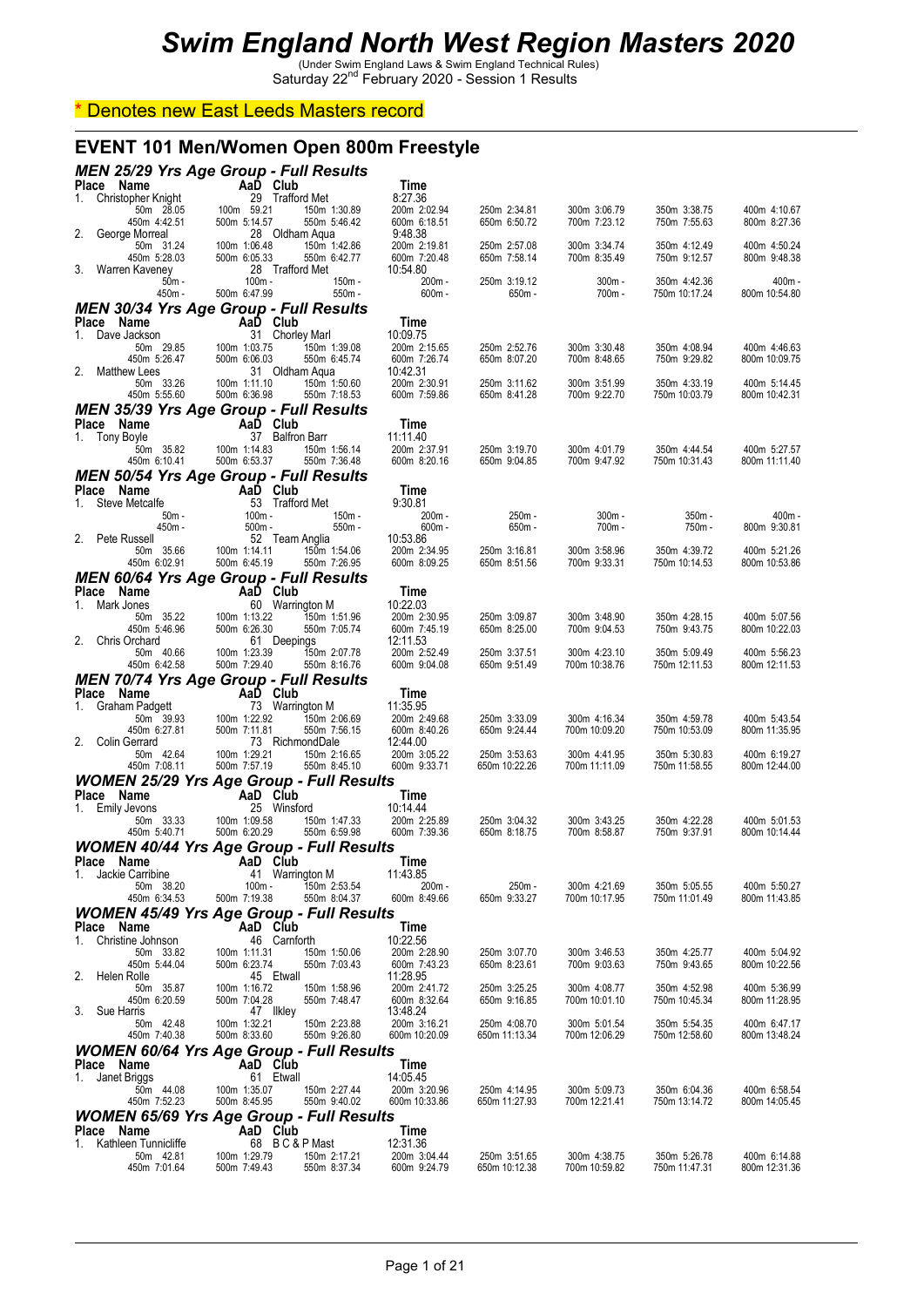#### \* Denotes new East Leeds Masters record

#### **EVENT 101 Men/Women Open 800m Freestyle**

| <b>MEN 25/29 Yrs Age Group - Full Results</b>                           |                                                      |                              |                              |                              |                              |                              |                               |                               |
|-------------------------------------------------------------------------|------------------------------------------------------|------------------------------|------------------------------|------------------------------|------------------------------|------------------------------|-------------------------------|-------------------------------|
| Place Name<br>1. Christopher Knight                                     | AaD<br>$29$<br>$100m$<br>$59.21$<br>$500m$<br>$5442$ | AaD Club<br>29 Trafford Met  |                              | Time<br>8:27.36              |                              |                              |                               |                               |
| 50m 28.05                                                               |                                                      |                              | 150m 1:30.89                 | 200m 2:02.94                 | 250m 2:34.81                 | 300m 3:06.79                 | 350m 3:38.75                  | 400m 4:10.67                  |
| 450m 4:42.51<br>2. George Morreal                                       | 500m 5:14.57                                         | 28 Oldham Aqua               | 550m 5:46.42                 | 600m 6:18.51<br>9:48.38      | 650m 6:50.72                 | 700m 7:23.12                 | 750m 7:55.63                  | 800m 8:27.36                  |
| 50m 31.24<br>450m 5:28.03                                               | 100m 1:06.48                                         | 500m 6:05.33                 | 150m 1:42.86<br>550m 6:42.77 | 200m 2:19.81<br>600m 7:20.48 | 250m 2:57.08<br>650m 7:58.14 | 300m 3:34.74<br>700m 8:35.49 | 350m 4:12.49<br>750m 9:12.57  | 400m 4:50.24<br>800m 9:48.38  |
| 3. Warren Kaveney                                                       |                                                      | 28 Trafford Met              |                              | 10:54.80                     |                              |                              |                               |                               |
| $50m -$<br>450m -                                                       | 500m 6:47.99                                         | $100m -$                     | 150m -<br>$550m -$           | 200m-<br>$600m -$            | 250m 3:19.12<br>650m -       | $300m -$<br>700m -           | 350m 4:42.36<br>750m 10:17.24 | $400m -$<br>800m 10:54.80     |
| <b>MEN 30/34 Yrs Age Group - Full Results</b>                           |                                                      |                              |                              |                              |                              |                              |                               |                               |
| Place Name<br>1. Dave Jackson                                           | <b>Example 2</b> AaD Club                            | 31 Chorley Marl              |                              | Time<br>10:09.75             |                              |                              |                               |                               |
| 50m 29.85<br>450m 5:26.47                                               | 100m 1:03.75<br>500m 6:06.03                         |                              | 150m 1:39.08<br>550m 6:45.74 | 200m 2:15.65<br>600m 7:26.74 | 250m 2:52.76<br>650m 8:07.20 | 300m 3:30.48<br>700m 8:48.65 | 350m 4:08.94<br>750m 9:29.82  | 400m 4:46.63<br>800m 10:09.75 |
| 2. Matthew Lees                                                         |                                                      | 31 Oldham Aqua               |                              | 10:42.31                     |                              |                              |                               |                               |
| 50m 33.26<br>450m 5:55.60                                               | 100m 1:11.10<br>500m 6:36.98                         |                              | 150m 1:50.60<br>550m 7:18.53 | 200m 2:30.91<br>600m 7:59.86 | 250m 3:11.62<br>650m 8:41.28 | 300m 3:51.99<br>700m 9:22.70 | 350m 4:33.19<br>750m 10:03.79 | 400m 5:14.45<br>800m 10:42.31 |
| <b>MEN 35/39 Yrs Age Group - Full Results</b>                           |                                                      |                              |                              |                              |                              |                              |                               |                               |
| Place Name<br>1. Tony Boyle                                             |                                                      | AaD Club<br>37 Balfron Barr  |                              | Time<br>11:11.40             |                              |                              |                               |                               |
| 50m 35.82                                                               | 100m 1:14.83                                         | 500m 6:53.37                 | 150m 1:56.14<br>550m 7:36.48 | 200m 2:37.91                 | 250m 3:19.70<br>650m 9:04.85 | 300m 4:01.79<br>700m 9:47.92 | 350m 4:44.54<br>750m 10:31.43 | 400m 5:27.57                  |
| 450m 6:10.41<br><b>MEN 50/54 Yrs Age Group - Full Results</b>           |                                                      |                              |                              | 600m 8:20.16                 |                              |                              |                               | 800m 11:11.40                 |
| Place Name                                                              | $3m -$<br>$3m -$<br>$3m -$                           | AaD Club                     |                              | Time                         |                              |                              |                               |                               |
| Steve Metcalfe<br>1.                                                    | 50m -                                                | 53 Trafford Met<br>$100m -$  | 150m -                       | 9:30.81<br>200m-             | 250m -                       | $300m -$                     | $350m -$                      | 400m -                        |
| 450m -<br>2. Pete Russell                                               |                                                      | $500m -$<br>52 Team Anglia   | $550m -$                     | $600m -$<br>10:53.86         | $650m -$                     | 700m -                       | 750m -                        | 800m 9:30.81                  |
| 50m 35.66                                                               | 100m 1:14.11<br>500m 6:45.19                         |                              | 150m 1:54.06<br>550m 7:26.95 | 200m 2:34.95<br>600m 8:09.25 | 250m 3:16.81<br>650m 8:51.56 | 300m 3:58.96                 | 350m 4:39.72<br>750m 10:14.53 | 400m 5:21.26<br>800m 10:53.86 |
| 450m 6:02.91<br><b>MEN 60/64 Yrs Age Group - Full Results</b>           |                                                      |                              |                              |                              |                              | 700m 9:33.31                 |                               |                               |
| Place Name                                                              |                                                      | AaD Club<br>60 Warrington M  |                              | Time                         |                              |                              |                               |                               |
| Mark Jones<br>1.<br>50m 35.22                                           | ں<br>100m 1:13.22<br>500m 6:26.30                    |                              | 150m 1:51.96                 | 10:22.03<br>200m 2:30.95     | 250m 3:09.87                 | 300m 3:48.90                 | 350m 4:28.15                  | 400m 5:07.56                  |
| 450m 5:46.96<br>2. Chris Orchard                                        |                                                      | 500m 6:26.30<br>61 Deepings  | 550m 7:05.74                 | 600m 7:45.19<br>12:11.53     | 650m 8:25.00                 | 700m 9:04.53                 | 750m 9:43.75                  | 800m 10:22.03                 |
| 50m 40.66<br>450m 6:42.58                                               |                                                      | 100m 1:23.39<br>500m 7:29.40 | 150m 2:07.78                 | 200m 2:52.49                 | 250m 3:37.51<br>650m 9:51.49 | 300m 4:23.10                 | 350m 5:09.49                  | 400m 5:56.23<br>800m 12:11.53 |
|                                                                         |                                                      |                              |                              |                              |                              |                              |                               |                               |
|                                                                         |                                                      |                              | 550m 8:16.76                 | 600m 9:04.08                 |                              | 700m 10:38.76                | 750m 12:11.53                 |                               |
| <b>MEN 70/74 Yrs Age Group - Full Results</b><br>Place Name             | $\mathcal{L}^{\text{max}}$                           | AaD Club                     |                              | Time                         |                              |                              |                               |                               |
| Graham Padgett<br>1.<br>50m 39.93                                       | 100m 1:22.92                                         | 73 Warrington M              | 150m 2:06.69                 | 11:35.95<br>200m 2:49.68     | 250m 3:33.09                 | 300m 4:16.34                 | 350m 4:59.78                  | 400m 5:43.54                  |
| 450m 6:27.81<br>2. Colin Gerrard                                        | 500m 7:11.81                                         |                              | 550m 7:56.15                 | 600m 8:40.26<br>12:44.00     | 650m 9:24.44                 | 700m 10:09.20                | 750m 10:53.09                 | 800m 11:35.95                 |
| 50m 42.64                                                               | 100m 1:29.21                                         | 73 RichmondDale              | 150m 2:16.65                 | 200m 3:05.22                 | 250m 3:53.63                 | 300m 4:41.95                 | 350m 5:30.83                  | 400m 6:19.27                  |
| 450m 7:08.11                                                            | 500m 7:57.19                                         |                              | 550m 8:45.10                 | 600m 9:33.71                 | 650m 10:22.26                | 700m 11:11.09                | 750m 11:58.55                 | 800m 12:44.00                 |
| <b>WOMEN 25/29 Yrs Age Group - Full Results</b><br>Place Name           |                                                      | AaD Club                     |                              | Time                         |                              |                              |                               |                               |
| 1. Emily Jevons<br>50m 33.33                                            | 100m 1:09.58                                         | 25 Winsford                  | 150m 1:47.33                 | 10:14.44<br>200m 2:25.89     | 250m 3:04.32                 | 300m 3:43.25                 | 350m 4:22.28                  | 400m 5:01.53                  |
| 450m 5:40.71                                                            | 500m 6:20.29                                         |                              | 550m 6:59.98                 | 600m 7:39.36                 | 650m 8:18.75                 | 700m 8:58.87                 | 750m 9:37.91                  | 800m 10:14.44                 |
| <b>WOMEN 40/44 Yrs Age Group - Full Results</b><br>Place Name           |                                                      | AaD Club                     |                              | Time                         |                              |                              |                               |                               |
| 1.<br>Jackie Carribine<br>50m 38.20                                     |                                                      | 41 Warrington M<br>$100m -$  | 150m 2:53.54                 | 11:43.85<br>200m -           | 250m -                       | 300m 4:21.69                 | 350m 5:05.55                  | 400m 5:50.27                  |
| 450m 6:34.53                                                            | 500m 7:19.38                                         |                              | 550m 8:04.37                 | 600m 8:49.66                 | 650m 9:33.27                 | 700m 10:17.95                | 750m 11:01.49                 | 800m 11:43.85                 |
| <b>WOMEN 45/49 Yrs Age Group - Full Results</b><br><b>Place</b><br>Name |                                                      | AaD Club                     |                              | Time                         |                              |                              |                               |                               |
| 1.<br>Christine Johnson                                                 |                                                      | 46 Carnforth                 |                              | 10:22.56                     |                              |                              |                               |                               |
| 50m 33.82<br>450m 5:44.04                                               | 100m 1:11.31<br>500m 6:23.74                         |                              | 150m 1:50.06<br>550m 7:03.43 | 200m 2:28.90<br>600m 7:43.23 | 250m 3:07.70<br>650m 8:23.61 | 300m 3:46.53<br>700m 9:03.63 | 350m 4:25.77<br>750m 9:43.65  | 400m 5:04.92<br>800m 10:22.56 |
| 2.<br>Helen Rolle<br>50m 35.87                                          | 100m 1:16.72                                         | 45 Etwall                    | 150m 1:58.96                 | 11:28.95<br>200m 2:41.72     | 250m 3:25.25                 | 300m 4:08.77                 | 350m 4:52.98                  | 400m 5:36.99                  |
| 450m 6:20.59                                                            | 500m 7:04.28                                         |                              | 550m 7:48.47                 | 600m 8:32.64                 | 650m 9:16.85                 | 700m 10:01.10                | 750m 10:45.34                 | 800m 11:28.95                 |
| 3. Sue Harris<br>50m 42.48                                              | 100m 1:32.21                                         | 47 Ilkley                    | 150m 2:23.88                 | 13:48.24<br>200m 3:16.21     | 250m 4:08.70                 | 300m 5:01.54                 | 350m 5:54.35                  | 400m 6:47.17                  |
| 450m 7:40.38                                                            | 500m 8:33.60                                         |                              | 550m 9:26.80                 | 600m 10:20.09                | 650m 11:13.34                | 700m 12:06.29                | 750m 12:58.60                 | 800m 13:48.24                 |
| <b>WOMEN 60/64 Yrs Age Group - Full Results</b><br>Place Name           |                                                      | AaD Club                     |                              | Time                         |                              |                              |                               |                               |
| Janet Briggs<br>1.<br>50m 44.08                                         | 100m 1:35.07                                         | 61 Etwall                    | 150m 2:27.44                 | 14:05.45<br>200m 3:20.96     | 250m 4:14.95                 | 300m 5:09.73                 | 350m 6:04.36                  | 400m 6:58.54                  |
| 450m 7:52.23                                                            | 500m 8:45.95                                         |                              | 550m 9:40.02                 | 600m 10:33.86                | 650m 11:27.93                | 700m 12:21.41                | 750m 13:14.72                 | 800m 14:05.45                 |
| <b>WOMEN 65/69 Yrs Age Group - Full Results</b><br>Name<br><b>Place</b> |                                                      | AaD Club                     |                              | Time                         |                              |                              |                               |                               |
| Kathleen Tunnicliffe<br>1.<br>50m 42.81                                 | 100m 1:29.79                                         | 68 BC&PMast                  | 150m 2:17.21                 | 12:31.36<br>200m 3:04.44     | 250m 3:51.65                 | 300m 4:38.75                 | 350m 5:26.78                  | 400m 6:14.88                  |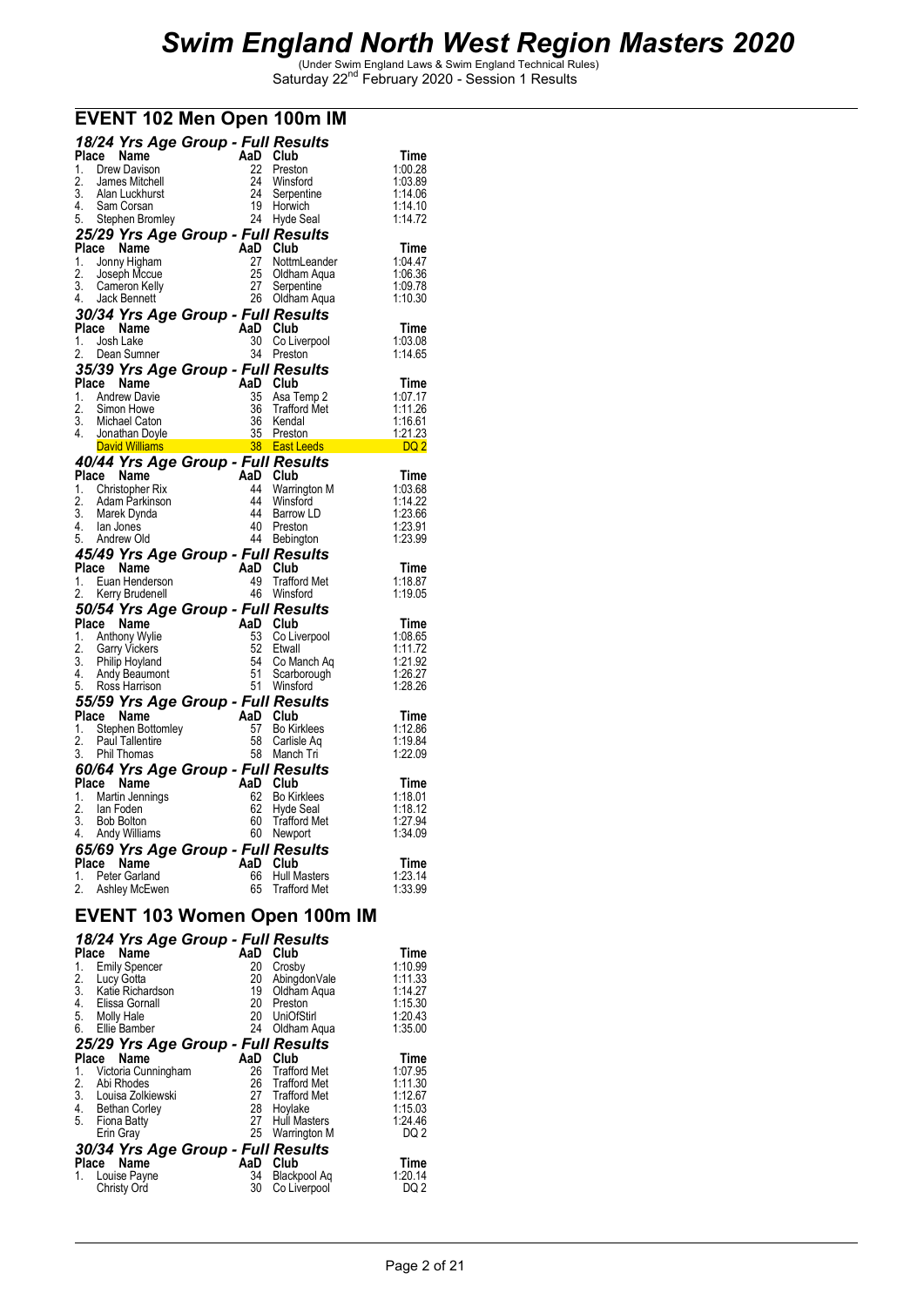|       | 18/24 Yrs Age Group - Full Results                                                   |                                                         |                                     |                       |
|-------|--------------------------------------------------------------------------------------|---------------------------------------------------------|-------------------------------------|-----------------------|
|       | Place Name                                                                           | AaD Club                                                |                                     | Time                  |
| 1.    | Drew Davison                                                                         | 22.                                                     | Preston                             | 1:00.28               |
| 2.    | James Mitchell                                                                       |                                                         | 24 Winsford                         | 1:03.89               |
|       | 3. Alan Luckhurst                                                                    |                                                         | 24 Serpentine                       | 1:14.06               |
|       | 4. Sam Corsan                                                                        |                                                         | 19 Horwich                          | 1:14.10               |
|       | 5. Stephen Bromley                                                                   |                                                         | 24 Hyde Seal                        | 1:14.72               |
|       |                                                                                      |                                                         |                                     |                       |
|       | 25/29 Yrs Age Group - Full Results<br>Place Name AaD Club                            |                                                         |                                     | Time                  |
|       | 1. Jonny Higham                                                                      |                                                         | 27 NottmLeander                     | 1:04.47               |
| 2.    | Joseph Mccue                                                                         |                                                         | 25 Oldham Aqua<br>27 Serpentine     | 1:06.36               |
|       | 3. Cameron Kelly                                                                     |                                                         |                                     | 1:09.78               |
|       | 4. Jack Bennett                                                                      |                                                         | 26 Oldham Aqua                      | 1:10.30               |
|       | 30/34 Yrs Age Group - Full Results                                                   |                                                         |                                     |                       |
|       | Place Name                                                                           | AaD Club                                                |                                     | Time                  |
|       | 1. Josh Lake                                                                         |                                                         | 30 Co Liverpool                     | 1:03.08               |
|       | 2. Dean Sumner                                                                       |                                                         | 34 Preston                          | 1:14.65               |
|       | 35/39 Yrs Age Group - Full Results                                                   |                                                         |                                     |                       |
|       | Place Name                                                                           | AaD Club                                                |                                     | Time                  |
|       | 1. Andrew Davie                                                                      |                                                         |                                     | 1:07.17               |
|       | 2. Simon Howe                                                                        |                                                         | 35 Asa Temp 2<br>36 Trafford Met    | 1:11.26               |
|       | 3. Michael Caton                                                                     |                                                         |                                     | 1:16.61               |
|       |                                                                                      |                                                         |                                     | <u>1:21.23</u>        |
|       |                                                                                      |                                                         |                                     | <b>Example 1</b> DQ 2 |
|       | 40/44 Yrs Age Group - Full Results                                                   | East<br>Full Res - م.<br>AaD Club<br>A4 Ward<br>A4 Ward |                                     |                       |
|       | Place Name                                                                           |                                                         |                                     | Time                  |
|       | 1. Christopher Rix                                                                   |                                                         | 44 Warrington M                     | 1:03.68               |
|       | 2. Adam Parkinson                                                                    |                                                         | 44 Winsford                         | 1:14.22               |
|       | 3. Marek Dynda                                                                       |                                                         | 44 Barrow LD                        | 1:23.66               |
| 4.    | lan Jones                                                                            |                                                         | 40 Preston                          | 1:23.91               |
|       | 5. Andrew Old                                                                        |                                                         | 44 Bebington                        | 1:23.99               |
|       | 45/49 Yrs Age Group - Full Results                                                   | $\frac{1}{40}$ Club                                     |                                     |                       |
|       | Place Name                                                                           |                                                         |                                     | Time                  |
|       | 1. Euan Henderson                                                                    |                                                         | 49 Trafford Met                     | 1:18.87               |
|       | 2. Kerry Brudenell                                                                   |                                                         | 46 Winsford                         | 1:19.05               |
|       | 50/54 Yrs Age Group - Full Results                                                   |                                                         |                                     |                       |
|       | Place Name                                                                           | AaD Club                                                |                                     | Time                  |
|       | 1. Anthony Wylie                                                                     |                                                         | 53 Co Liverpool                     | 1:08.65               |
|       | 2. Garry Vickers                                                                     | 52                                                      | Etwall                              | 1:11.72               |
|       | 3. Philip Hoyland                                                                    |                                                         | 54 Co Manch Aq                      | 1:21.92               |
|       | 4. Andy Beaumont                                                                     |                                                         | 51 Scarborough                      | 1:26.27               |
|       | 5. Ross Harrison                                                                     |                                                         | 51 Winsford                         | 1:28.26               |
|       | 55/59 Yrs Age Group - Full Results                                                   |                                                         |                                     |                       |
|       | 1. Stephen Bottomley<br>1. Stephen Bottomley<br>2. Paul Tallentire<br>3. Phil Themes |                                                         |                                     | Time                  |
|       |                                                                                      |                                                         | 57 Bo Kirklees                      | 1:12.86               |
|       |                                                                                      |                                                         | 58 Carlisle Aq                      | 1:19.84               |
|       | 3. Phil Thomas                                                                       |                                                         | 58 Manch Tri                        | 1:22.09               |
|       | 60/64 Yrs Age Group - Full Results                                                   |                                                         |                                     |                       |
|       | Place Name                                                                           | AaD Club                                                |                                     | Time                  |
|       | 1. Martin Jennings                                                                   |                                                         | 62 Bo Kirklees                      | 1:18.01               |
| 2.    | lan Foden                                                                            | 62                                                      | Hyde Seal                           | 1:18.12               |
|       | 3. Bob Bolton<br>4. Andy Williams                                                    |                                                         | 60 Trafford Met                     | 1:27.94<br>1:34.09    |
|       |                                                                                      |                                                         | 60 Newport                          |                       |
|       | 65/69 Yrs Age Group - Full Results                                                   |                                                         |                                     |                       |
| Place | Name                                                                                 | AaD                                                     | Club                                | Time                  |
| 1.    | Peter Garland                                                                        | 66                                                      | Hull Masters                        | 1:23.14               |
| 2.    | Ashley McEwen                                                                        | 65                                                      | <b>Trafford Met</b>                 | 1:33.99               |
|       |                                                                                      |                                                         |                                     |                       |
|       |                                                                                      |                                                         | <b>EVENT 103 Women Open 100m IM</b> |                       |
|       | 18/24 Yrs Age Group - Full Results                                                   |                                                         |                                     |                       |
|       | Place Name                                                                           | AaD                                                     | Club                                | Time                  |
| 1.    | <b>Emily Spencer</b>                                                                 | 20                                                      | Crosby                              | 1:10.99               |
| 2.    | Lucy Gotta                                                                           | 20                                                      | AbingdonVale                        | 1:11.33               |
| 3.    | Katie Richardson                                                                     | 19                                                      | Oldham Aqua                         | 1:14.27               |
| 4     | - Flissa Gornall                                                                     | 20                                                      | Preston                             | 1:15.30               |

### **EVENT 102 Men Open 100m IM**

| Name<br>Place                        | AaD | Club                | Time            |
|--------------------------------------|-----|---------------------|-----------------|
| <b>Emily Spencer</b><br>1.           | 20  | Crosby              | 1:10.99         |
| 2.<br>Lucy Gotta                     | 20  | AbingdonVale        | 1:11.33         |
| $\overline{3}$ .<br>Katie Richardson | 19  | Oldham Aqua         | 1:14.27         |
| 4.<br>Elissa Gornall                 | 20  | Preston             | 1:15.30         |
| 5.<br>Molly Hale                     | 20  | <b>UniOfStirl</b>   | 1:20.43         |
| 6.<br>Ellie Bamber                   | 24  | Oldham Aqua         | 1:35.00         |
| 25/29 Yrs Age Group - Full Results   |     |                     |                 |
| Name<br>Place                        | AaD | Club                | Time            |
| Victoria Cunningham                  | 26  | <b>Trafford Met</b> | 1:07.95         |
| Abi Rhodes<br>2.                     | 26  | Trafford Met        | 1:11.30         |
| 3. Louisa Zolkiewski                 | 27  | Trafford Met        | 1:12.67         |
| 4. Bethan Corley                     | 28  | Hoylake             | 1:15.03         |
| 5.<br>Fiona Batty                    | 27  | <b>Hull Masters</b> | 1:24.46         |
| Erin Gray                            | 25  | Warrington M        | DQ 2            |
| 30/34 Yrs Age Group - Full Results   |     |                     |                 |
| <b>Name</b><br><b>Place</b>          | AaD | Club                | <b>Time</b>     |
| Louise Payne                         | 34  | Blackpool Aq        | 1:20.14         |
| Christy Ord                          | 30  | Co Liverpool        | DQ <sub>2</sub> |
|                                      |     |                     |                 |
|                                      |     |                     |                 |
|                                      |     |                     |                 |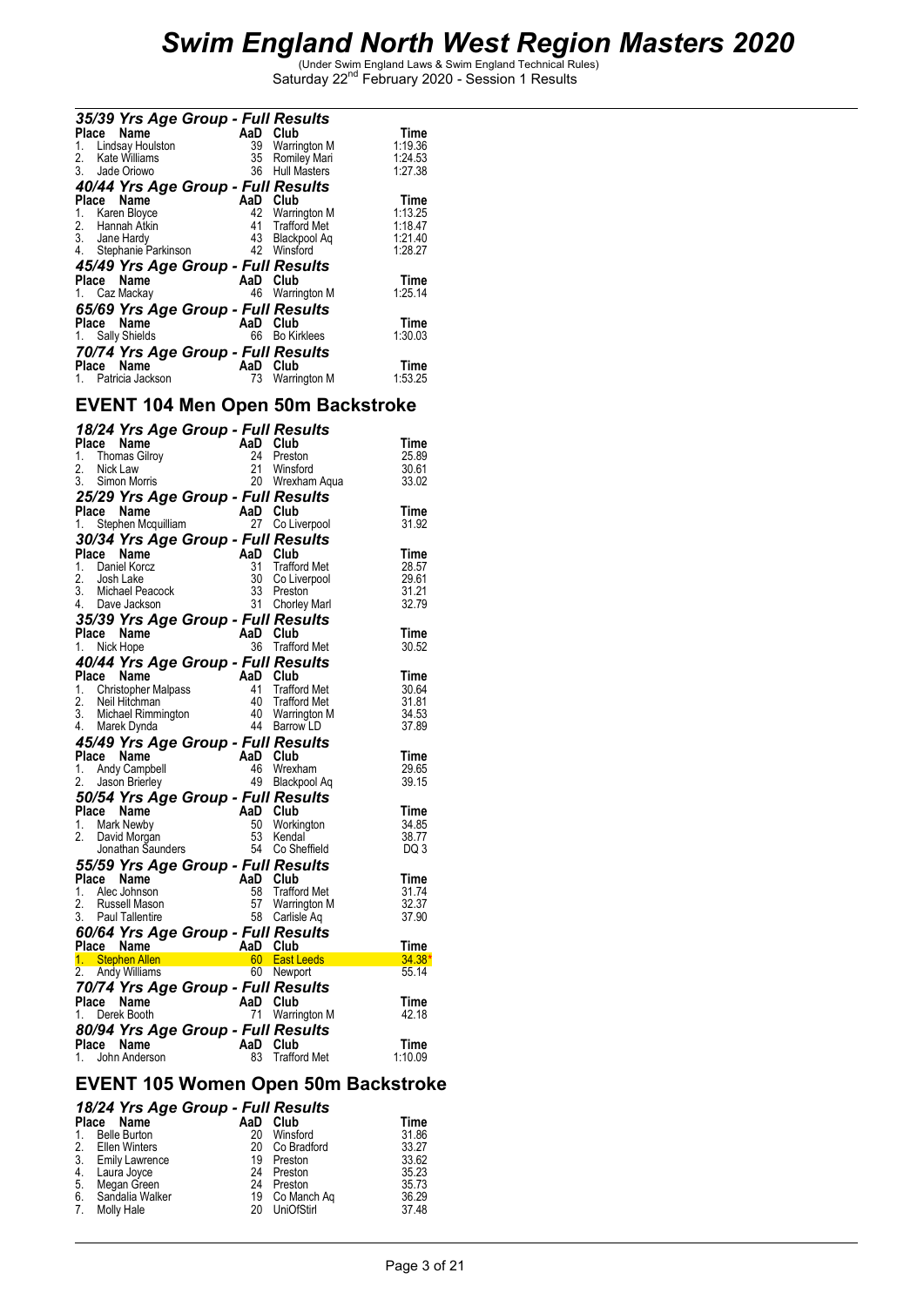| 35/39 Yrs Age Group - Full Results<br>Name<br>Place<br>Lindsay Houlston<br>1.<br>2. Kate Williams<br>3. Jade Oriowo                                                          | AaD<br>39<br>35<br>36             | Club<br>Warrington M<br>Romiley Mari<br>Hull Masters                                   | Time<br>1:19.36<br>1:24.53<br>1:27.38                               |
|------------------------------------------------------------------------------------------------------------------------------------------------------------------------------|-----------------------------------|----------------------------------------------------------------------------------------|---------------------------------------------------------------------|
| 40/44 Yrs Age Group - Full Results                                                                                                                                           |                                   |                                                                                        |                                                                     |
| Name<br>Place<br>Karen Bloyce<br>1.<br>2.<br>Hannah Atkin<br>3. Jane Hardy<br>4.<br>Stephanie Parkinson<br>45/49 Yrs Age Group - Full Results<br>Place Name<br>1. Caz Mackay | AaD<br>42<br>41<br>43<br>AaD Club | Club<br>Warrington M<br>Trafford Met<br>Blackpool Aq<br>42 Winsford<br>46 Warrington M | Time<br>1:13.25<br>1:18.47<br>1:21.40<br>1:28.27<br>Time<br>1:25.14 |
| 65/69 Yrs Age Group - Full Results<br>Name<br>Place<br>1. Sally Shields<br>70/74 Yrs Age Group - Full Results<br>Name<br>Place<br>Patricia Jackson                           | AaD<br>66<br>AaD<br>73            | Club<br><b>Bo Kirklees</b><br>Club<br>Warrington M                                     | Time<br>1:30.03<br>Time<br>1:53.25                                  |

### **EVENT 104 Men Open 50m Backstroke**

|    |                             | 18/24 Yrs Age Group - Full Results                                                                                                                                                                                                                                                 |                               |                 |
|----|-----------------------------|------------------------------------------------------------------------------------------------------------------------------------------------------------------------------------------------------------------------------------------------------------------------------------|-------------------------------|-----------------|
|    | Place Name                  | AaD Club<br>24 Prest<br>21 Winsf                                                                                                                                                                                                                                                   |                               | Time            |
| 1. | <b>Thomas Gilroy</b>        |                                                                                                                                                                                                                                                                                    | 24 Preston                    | 25.89           |
| 2. | Nick Law                    |                                                                                                                                                                                                                                                                                    | 21 Winsford                   | 30.61           |
|    | 3. Simon Morris             |                                                                                                                                                                                                                                                                                    | 20 Wrexham Aqua               | 33.02           |
|    |                             | 25/29 Yrs Age Group - Full Results                                                                                                                                                                                                                                                 |                               |                 |
|    |                             |                                                                                                                                                                                                                                                                                    |                               | Time            |
|    |                             | riace Name<br>1. Stephen Mcquilliam 27 Colin                                                                                                                                                                                                                                       | 27 Co Liverpool               | 31.92           |
|    |                             | 30/34 Yrs Age Group - Full Results                                                                                                                                                                                                                                                 |                               |                 |
|    |                             | Place Name<br>1. Daniel Korcz<br>2. Josh Lake<br>3. Michael Peacock<br>4. Dave Jackson<br>4. Dave Jackson<br>3. Chorle                                                                                                                                                             |                               | Time            |
|    |                             |                                                                                                                                                                                                                                                                                    | <b>Trafford Met</b>           | 28.57           |
|    |                             |                                                                                                                                                                                                                                                                                    | 30 Co Liverpool               | 29.61           |
|    |                             |                                                                                                                                                                                                                                                                                    | 33 Preston<br>31 Chorley Marl | 31.21<br>32.79  |
|    |                             |                                                                                                                                                                                                                                                                                    |                               |                 |
|    |                             | 35/39 Yrs Age Group - Full Results                                                                                                                                                                                                                                                 |                               |                 |
|    | Place Name<br>1 Nick Hope   | AaD Club                                                                                                                                                                                                                                                                           | 36 Trafford Met               | <b>Time</b>     |
|    | 1. Nick Hope                |                                                                                                                                                                                                                                                                                    |                               | 30.52           |
|    |                             | 40/44 Yrs Age Group - Full Results<br><b>40/44 Yrs Age Group - Fair Reservement Place Name AaD Club</b><br>1. Christopher Malpass 41 Trafford Met<br>2. Neil Hitchman 40 Trafford Met<br>3. Michael Rimmington 40 Warrington M<br><sup>4</sup> Barrow LD<br><sup>4</sup> Barrow LD |                               |                 |
|    |                             |                                                                                                                                                                                                                                                                                    |                               | Time            |
|    |                             |                                                                                                                                                                                                                                                                                    |                               | 30.64<br>31.81  |
|    |                             |                                                                                                                                                                                                                                                                                    |                               | 34.53           |
|    |                             |                                                                                                                                                                                                                                                                                    |                               | 37.89           |
|    |                             | 45/49 Yrs Age Group - Full Results                                                                                                                                                                                                                                                 |                               |                 |
|    |                             |                                                                                                                                                                                                                                                                                    |                               | Time            |
|    |                             |                                                                                                                                                                                                                                                                                    | 46 Wrexham                    | 29.65           |
|    |                             | <b>Place Name</b><br>1. Andy Campbell<br>2. Jason Brierley<br>2. Jason Brierley<br>19 Black                                                                                                                                                                                        | 49 Blackpool Aq               | 39.15           |
|    |                             | 50/54 Yrs Age Group - Full Results                                                                                                                                                                                                                                                 |                               |                 |
|    | Place Name                  | Place Name<br>1. Mark Newby<br>2. David Morgan<br>1. Mark Newby<br>2. David Morgan<br>1. Mark Newby<br>53 Kendal<br>54 Co Sheffield                                                                                                                                                |                               | Time            |
|    | 1. Mark Newby               |                                                                                                                                                                                                                                                                                    | 50 Workington                 | 34.85           |
|    | 2. David Morgan             |                                                                                                                                                                                                                                                                                    |                               | 38.77           |
|    |                             |                                                                                                                                                                                                                                                                                    |                               | DQ 3            |
|    |                             | 55/59 Yrs Age Group - Full Results                                                                                                                                                                                                                                                 |                               |                 |
|    | Place Name                  | <b>And Club</b><br>58 Trafford Me<br>57 Warrington<br>58 Carlisle Aq                                                                                                                                                                                                               |                               | Time            |
|    | 1. Alec Johnson             |                                                                                                                                                                                                                                                                                    | 58 Trafford Met               | 31.74           |
|    | 2. Russell Mason            |                                                                                                                                                                                                                                                                                    | 57 Warrington M               | 32.37           |
|    | 3. Paul Tallentire          |                                                                                                                                                                                                                                                                                    |                               | 37.90           |
|    |                             | 60/64 Yrs Age Group - Full Results                                                                                                                                                                                                                                                 |                               |                 |
|    |                             | Place Name AaD Club<br>1. Stephen Allen 60 East Leeds<br>2. Andy Williams 60 Newport                                                                                                                                                                                               |                               | Time            |
|    |                             |                                                                                                                                                                                                                                                                                    |                               | $34.38*$        |
|    |                             |                                                                                                                                                                                                                                                                                    |                               | 55.14           |
|    |                             | <b>70/74 Yrs Age Group - Full Results<br/>Place Name AaD Club<br/>1. Derek Booth 71 Warrington M</b>                                                                                                                                                                               |                               |                 |
|    | Place Name                  |                                                                                                                                                                                                                                                                                    | 71 Warrington M               | Time<br>42.18   |
|    | 1. Derek Booth              |                                                                                                                                                                                                                                                                                    |                               |                 |
|    |                             | 80/94 Yrs Age Group - Full Results                                                                                                                                                                                                                                                 |                               |                 |
| 1. | Place Name<br>John Anderson | AaD Club<br>83                                                                                                                                                                                                                                                                     | <b>Trafford Met</b>           | Time<br>1:10.09 |
|    |                             |                                                                                                                                                                                                                                                                                    |                               |                 |

#### **EVENT 105 Women Open 50m Backstroke**

#### *18/24 Yrs Age Group - Full Results*

| Place Name         |    | AaD Club       | Time  |
|--------------------|----|----------------|-------|
| 1. Belle Burton    | 20 | Winsford       | 31.86 |
| 2. Ellen Winters   |    | 20 Co Bradford | 33.27 |
| 3. Emily Lawrence  |    | 19 Preston     | 33.62 |
| 4. Laura Joyce     |    | 24 Preston     | 35.23 |
| 5. Megan Green     |    | 24 Preston     | 35.73 |
| 6. Sandalia Walker |    | 19 Co Manch Ag | 36.29 |
| 7. Molly Hale      |    | 20 UniOfStirl  | 37.48 |
|                    |    |                |       |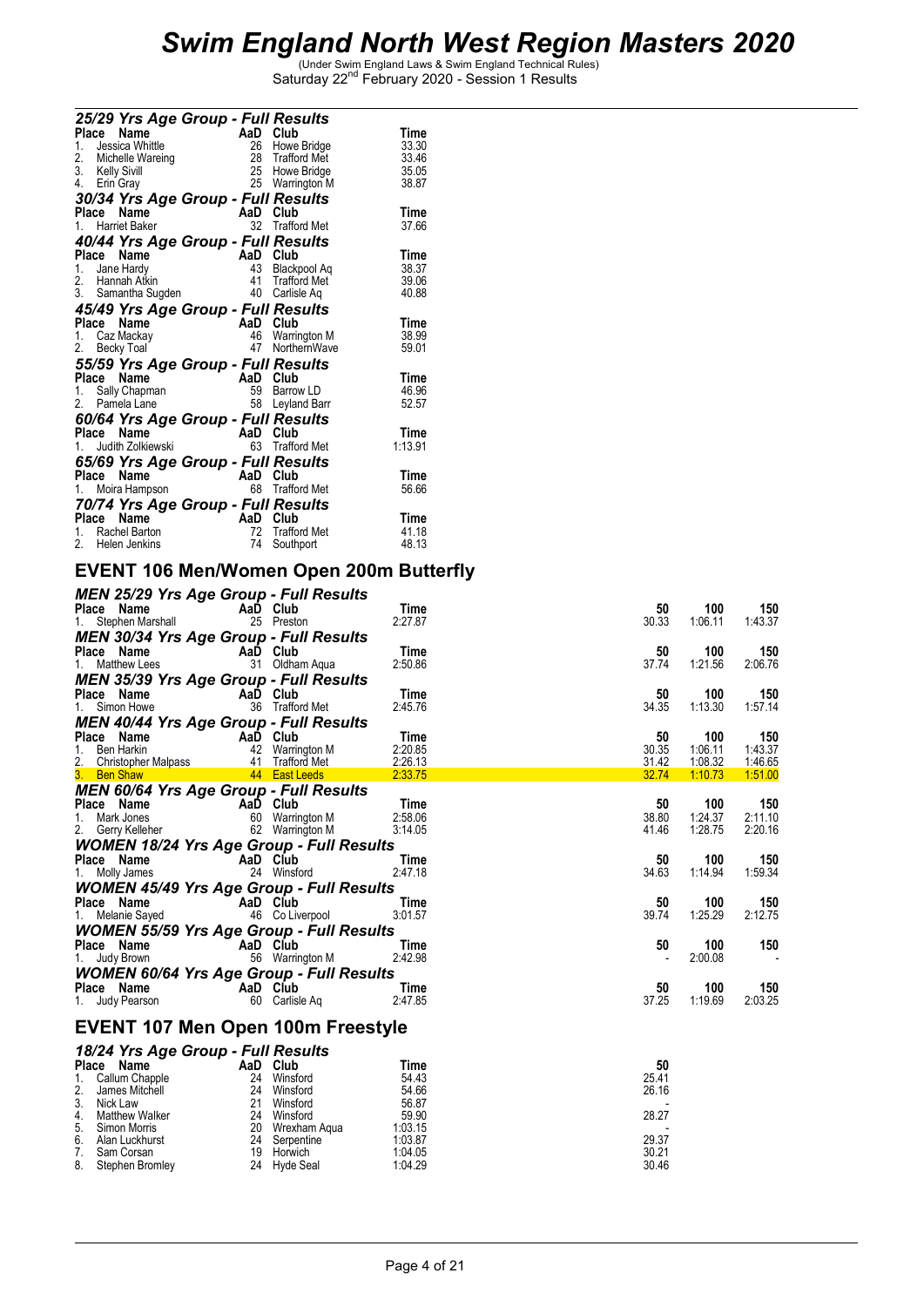|                                         | 25/29 Yrs Age Group - Full Results        | AaD Club                              |                |
|-----------------------------------------|-------------------------------------------|---------------------------------------|----------------|
| Place<br>Name<br>Jessica Whittle        |                                           |                                       | Time<br>33.30  |
| 1.                                      | 28                                        | 26 Howe Bridge<br><b>Trafford Met</b> | 33.46          |
| 2. Michelle Wareing<br>3. Kelly Sivill  |                                           | 25 Howe Bridge                        | 35.05          |
| 4.<br>Erin Gray                         |                                           | 25 Warrington M                       | 38.87          |
|                                         |                                           |                                       |                |
| Place Name                              | 30/34 Yrs Age Group - Full Results<br>AaD | Club                                  |                |
| 1. Harriet Baker                        |                                           | 32 Trafford Met                       | Time<br>37.66  |
|                                         |                                           |                                       |                |
|                                         | 40/44 Yrs Age Group - Full Results        |                                       |                |
| Place Name                              |                                           | AaD Club                              | Time           |
| 1. Jane Hardy                           | 43                                        | Blackpool Aq                          | 38.37          |
| 2. Hannah Atkin                         | 41                                        | <b>Trafford Met</b>                   | 39.06          |
|                                         | 3. Samantha Sugden                        | 40 Carlisle Aq                        | 40.88          |
|                                         | 45/49 Yrs Age Group - Full Results        |                                       |                |
| Place Name                              |                                           | AaD Club                              | Time           |
| Caz Mackay<br>1.                        |                                           | 46 Warrington M                       | 38.99          |
| 2.<br>Becky Toal                        | 47                                        | NorthernWave                          | 59.01          |
|                                         | 55/59 Yrs Age Group - Full Results        |                                       |                |
| Name<br>Place                           | AaD                                       | Club                                  | Time           |
| Sally Chapman<br>1.                     | 59                                        | Barrow LD                             | 46.96          |
| 2. Pamela Lane                          |                                           | 58 Leyland Barr                       | 52.57          |
|                                         | 60/64 Yrs Age Group - Full Results        |                                       |                |
| Place Name                              | AaD                                       | Club                                  | Time           |
| 1. Judith Zolkiewski                    |                                           | 63 Trafford Met                       | 1:13.91        |
|                                         | 65/69 Yrs Age Group - Full Results        |                                       |                |
| Place Name                              |                                           | AaD Club                              | Time           |
| 1. Moira Hampson                        |                                           | 68 Trafford Met                       | 56.66          |
|                                         |                                           |                                       |                |
|                                         | 70/74 Yrs Age Group - Full Results        |                                       |                |
| Place<br>Name                           | AaD<br>72                                 | Club<br><b>Trafford Met</b>           | Time           |
| Rachel Barton<br>1.<br>2. Helen Jenkins | 74                                        |                                       | 41.18<br>48.13 |
|                                         |                                           | Southport                             |                |

### **EVENT 106 Men/Women Open 200m Butterfly**

| MEN 25/29 Yrs Age Group - Full Results                                                                                                                                                                                                           |             |             |       |         |         |
|--------------------------------------------------------------------------------------------------------------------------------------------------------------------------------------------------------------------------------------------------|-------------|-------------|-------|---------|---------|
| Place Name<br>1. Stephen Marshall<br>25 Preston                                                                                                                                                                                                  |             | Time        | 50    | 100     | 150     |
|                                                                                                                                                                                                                                                  |             | 2:27.87     | 30.33 | 1:06.11 | 1:43.37 |
| <b>MEN 30/34 Yrs Age Group - Full Results</b>                                                                                                                                                                                                    |             |             |       |         |         |
|                                                                                                                                                                                                                                                  |             | Time        | 50    | 100     | 150     |
| <b>Place Name</b><br>1. Matthew Lees <b>COM</b> 31 Oldham Aqua                                                                                                                                                                                   |             | 2:50.86     | 37.74 | 1:21.56 | 2:06.76 |
|                                                                                                                                                                                                                                                  |             |             |       |         |         |
| <b>MEN 35/39 Yrs Age Group - Full Results</b>                                                                                                                                                                                                    |             |             |       |         |         |
| Place Name AaD Club                                                                                                                                                                                                                              |             | Time        | 50    | 100     | 150     |
| 1. Simon Howe 36 Trafford Met                                                                                                                                                                                                                    |             | 2:45.76     | 34.35 | 1:13.30 | 1:57.14 |
| MEN 40/44 Yrs Age Group - Full Results                                                                                                                                                                                                           |             |             |       |         |         |
|                                                                                                                                                                                                                                                  |             | Time        | 50    | 100     | 150     |
| <b>Place Name</b><br>1. Ben Harkin <b>Capacity AD Club</b><br>42 Warrington M                                                                                                                                                                    |             | 2:20.85     | 30.35 | 1:06.11 | 1:43.37 |
|                                                                                                                                                                                                                                                  |             |             | 31.42 | 1:08.32 | 1:46.65 |
|                                                                                                                                                                                                                                                  |             |             | 32.74 | 1:10.73 | 1:51.00 |
| MEN 60/64 Yrs Age Group - Full Results                                                                                                                                                                                                           |             |             |       |         |         |
|                                                                                                                                                                                                                                                  |             | Time        | 50    | 100     | 150     |
| Place Name<br>1. Mark Jones<br>2. Gerry Kelleher<br>2. Gerry Kelleher<br>2. Gerry Kelleher<br>2. Gerry Kelleher<br>2. Gerry Kelleher<br>2. Gerry Kelleher<br>2. Gerry Kelleher<br>2. Gerry Kelleher<br>2. Gerry Kelleher<br>2. Gerry Kelleher    |             | 2:58.06     | 38.80 | 1:24.37 | 2:11.10 |
|                                                                                                                                                                                                                                                  |             | 3:14.05     | 41.46 | 1:28.75 | 2:20.16 |
|                                                                                                                                                                                                                                                  |             |             |       |         |         |
| <b>WOMEN 18/24 Yrs Age Group - Full Results</b>                                                                                                                                                                                                  |             |             |       |         |         |
| <b>Place Name</b><br>1. Molly James <b>Capacity 24</b> Winsform                                                                                                                                                                                  |             | <b>Time</b> | 50    | 100     | 150     |
|                                                                                                                                                                                                                                                  | 24 Winsford | 2:47.18     | 34.63 | 1:14.94 | 1:59.34 |
| <b>WOMEN 45/49 Yrs Age Group - Full Results</b>                                                                                                                                                                                                  |             |             |       |         |         |
| <b>Place Name</b><br>1. Melanie Sayed <b>1. AaD Club</b><br>46 Co Liverpool                                                                                                                                                                      |             | Time        | 50    | 100     | 150     |
|                                                                                                                                                                                                                                                  |             | 3:01.57     | 39.74 | 1:25.29 | 2:12.75 |
| <b>WOMEN 55/59 Yrs Age Group - Full Results</b>                                                                                                                                                                                                  |             |             |       |         |         |
|                                                                                                                                                                                                                                                  |             | Time        | 50    | 100     | 150     |
| <b>Place Name</b><br>1. Judy Brown <b>1.</b> 56 Warrington M                                                                                                                                                                                     |             | 2:42.98     |       | 2:00.08 | $\sim$  |
|                                                                                                                                                                                                                                                  |             |             |       |         |         |
| <b>WOMEN 60/64 Yrs Age Group - Full Results</b>                                                                                                                                                                                                  |             |             |       |         |         |
| <b>Place Name</b><br>1. Judy Pearson <b>Carlise Access 1. Judy Pearson</b>                                                                                                                                                                       |             | Time        | 50    | 100     | 150     |
|                                                                                                                                                                                                                                                  |             | 2:47.85     | 37.25 | 1:19.69 | 2:03.25 |
|                                                                                                                                                                                                                                                  |             |             |       |         |         |
| <b>EVENT 107 Men Open 100m Freestyle</b>                                                                                                                                                                                                         |             |             |       |         |         |
| 18/24 Yrs Age Group - Full Results                                                                                                                                                                                                               |             |             |       |         |         |
|                                                                                                                                                                                                                                                  |             |             | 50    |         |         |
|                                                                                                                                                                                                                                                  |             |             | 25.41 |         |         |
|                                                                                                                                                                                                                                                  |             |             | 26.16 |         |         |
|                                                                                                                                                                                                                                                  |             |             |       |         |         |
|                                                                                                                                                                                                                                                  |             |             | 28.27 |         |         |
|                                                                                                                                                                                                                                                  |             |             |       |         |         |
|                                                                                                                                                                                                                                                  |             |             | 29.37 |         |         |
|                                                                                                                                                                                                                                                  |             |             | 30.21 |         |         |
| Place Name Chapter 113 Apple 114 Callum Chapple<br>2. James Michell<br>2. James Michell<br>2. James Michell<br>2. Winsford<br>3. Nick Law 21 Winsford<br>4. Matthew Walker<br>5. Simon Morris 20 Wrexham Aqua<br>7. Sam Corsan<br>8. Stephen Bro |             |             | 30.46 |         |         |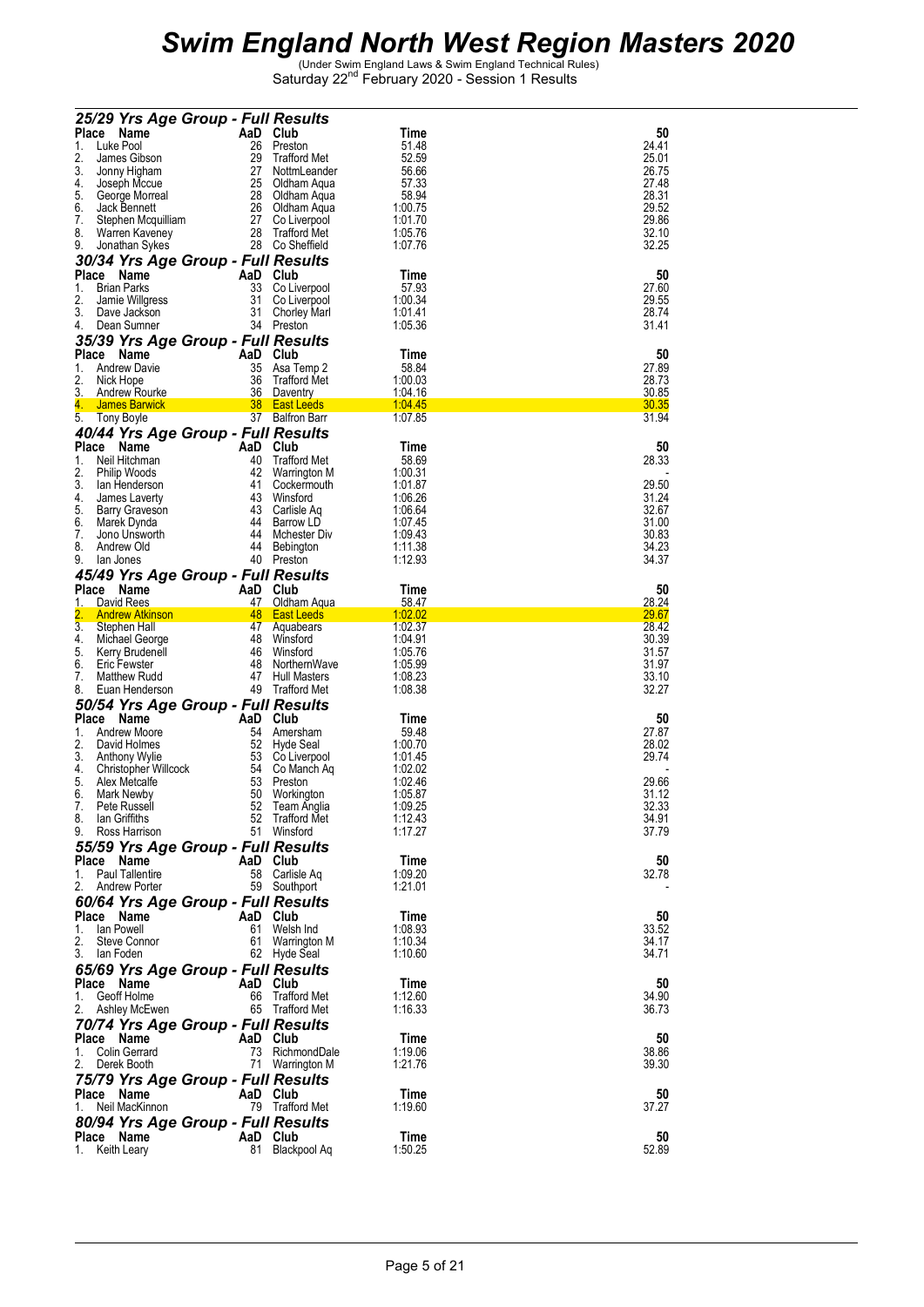|          | 25/29 Yrs Age Group - Full Results                     |                |                                     |                           |                |
|----------|--------------------------------------------------------|----------------|-------------------------------------|---------------------------|----------------|
| Place    | Name                                                   | AaD Club       |                                     | Time                      | 50             |
| 1.       | Luke Pool                                              | 26             | Preston                             | 51.48                     | 24.41          |
| 2.<br>3. | James Gibson<br>Jonny Higham                           | 29<br>27       | <b>Trafford Met</b><br>NottmLeander | 52.59<br>56.66            | 25.01<br>26.75 |
| 4.       | Joseph Mccue                                           | 25             | Oldham Aqua                         | 57.33                     | 27.48          |
| 5.       | George Morreal                                         | 28             | Oldham Aqua                         | 58.94                     | 28.31          |
| 6.<br>7. | Jack Bennett                                           |                | 26 Oldham Aqua                      | 1:00.75                   | 29.52<br>29.86 |
| 8.       | Stephen Mcquilliam<br>Warren Kaveney                   | 27<br>28       | Co Liverpool<br>Trafford Met        | 1:01.70<br>1:05.76        | 32.10          |
| 9.       | Jonathan Sykes                                         |                | 28 Co Sheffield                     | 1:07.76                   | 32.25          |
|          | 30/34 Yrs Age Group - Full Results                     |                |                                     |                           |                |
|          | Place Name                                             | AaD            | Club                                | Time                      | 50             |
| 1.       | <b>Brian Parks</b>                                     | 33             | Co Liverpool                        | 57.93                     | 27.60          |
| 2.<br>3. | Jamie Willgress<br>Dave Jackson                        | 31<br>31       | Co Liverpool<br><b>Chorley Marl</b> | 1:00.34<br>1:01.41        | 29.55<br>28.74 |
| 4.       | Dean Sumner                                            |                | 34 Preston                          | 1:05.36                   | 31.41          |
|          | 35/39 Yrs Age Group - Full Results                     |                |                                     |                           |                |
|          | Place Name                                             | AaD            | Club                                | Time                      | 50             |
| 1.       | <b>Andrew Davie</b>                                    | 35             | Asa Temp 2                          | 58.84                     | 27.89          |
| 2.<br>3. | Nick Hope<br><b>Andrew Rourke</b>                      | 36             | <b>Trafford Met</b><br>36 Daventry  | 1:00.03<br><u>1:04.16</u> | 28.73<br>30.85 |
| 4.       | James Barwick                                          |                | 38 East Leeds                       | 1:04.45                   | 30.35          |
| 5.       | Tony Boyle                                             |                | 37 Balfron Barr                     | 1:07.85                   | 31.94          |
|          | 40/44 Yrs Age Group - Full Results                     |                |                                     |                           |                |
|          | Place Name                                             | AaD            | Club                                | Time                      | 50             |
| 1.<br>2. | Neil Hitchman<br>Philip Woods                          | 40<br>42       | <b>Trafford Met</b><br>Warrington M | 58.69<br>1:00.31          | 28.33          |
| 3.       | lan Henderson                                          | 41             | Cockermouth                         | 1:01.87                   | 29.50          |
| 4.       | James Laverty                                          | 43             | Winsford                            | 1:06.26                   | 31.24          |
| 5.<br>6. | Barry Graveson<br>Marek Dynda                          | 44             | 43 Carlisle Aq<br>Barrow LD         | 1:06.64<br>1:07.45        | 32.67<br>31.00 |
| 7.       | Jono Unsworth                                          | 44             | Mchester Div                        | 1:09.43                   | 30.83          |
| 8.       | Andrew Old                                             | 44             | Bebington                           | 1:11.38                   | 34.23          |
| 9.       | lan Jones                                              | 40             | Preston                             | 1:12.93                   | 34.37          |
|          | 45/49 Yrs Age Group - Full Results                     |                |                                     |                           |                |
| 1.       | Place Name<br>David Rees                               | AaD Club<br>47 | Oldham Aqua                         | Time<br>58.47             | 50<br>28.24    |
|          | <b>Andrew Atkinson</b>                                 | 48             | <b>East Leeds</b>                   | 1:02.02                   | 29.67          |
| 3.       | Stephen Hall                                           |                | 47 Aquabears                        | 1:02.37                   | 28.42          |
| 4.<br>5. | Michael George<br>Kerry Brudenell                      | 48<br>46       | Winsford<br>Winsford                | 1:04.91<br>1:05.76        | 30.39<br>31.57 |
| 6.       | <b>Eric Fewster</b>                                    | 48             | NorthernWave                        | 1:05.99                   | 31.97          |
| 7.       | <b>Matthew Rudd</b>                                    | 47             | <b>Hull Masters</b>                 | 1:08.23                   | 33.10          |
| 8.       | Euan Henderson                                         | 49             | Trafford Met                        | 1:08.38                   | 32.27          |
|          | 50/54 Yrs Age Group - Full Results                     |                |                                     |                           |                |
| 1.       | Place Name<br>Andrew Moore                             | AaD<br>54      | Club<br>Amersham                    | Time<br>59.48             | 50<br>27.87    |
| 2.       | David Holmes                                           | 52             | Hyde Seal                           | 1:00.70                   | 28.02          |
| 3.       | Anthony Wylie                                          | 53             | Co Liverpool                        | 1:01.45                   | 29.74          |
| 4.<br>5. | Christopher Willcock<br>Alex Metcalfe                  | 54<br>53       | Co Manch Aq<br>Preston              | 1:02.02<br>1:02.46        | 29.66          |
| 6.       | Mark Newby                                             | 50             | Workington                          | 1:05.87                   | 31.12          |
|          | 7. Pete Russell                                        |                | 52 Team Anglia                      | 1:09.25                   | 32.33          |
| 8.       | lan Griffiths                                          |                | 52 Trafford Met                     | 1:12.43                   | 34.91          |
|          | 9. Ross Harrison<br>55/59 Yrs Age Group - Full Results |                | 51 Winsford                         | 1:17.27                   | 37.79          |
|          | Place Name                                             | AaD Club       |                                     | Time                      | 50             |
|          | 1. Paul Tallentire                                     |                | 58 Carlisle Aq                      | 1:09.20                   | 32.78          |
|          | 2. Andrew Porter                                       |                | 59 Southport                        | 1:21.01                   |                |
|          | 60/64 Yrs Age Group - Full Results                     |                |                                     |                           |                |
| 1.       | Place Name<br>lan Powell                               | AaD Club       |                                     | Time<br>1:08.93           | 50<br>33.52    |
| 2.       | Steve Connor                                           |                | 61 Welsh Ind<br>61 Warrington M     | 1:10.34                   | 34.17          |
|          | 3. Ian Foden                                           |                | 62 Hyde Seal                        | 1:10.60                   | 34.71          |
|          | 65/69 Yrs Age Group - Full Results                     |                |                                     |                           |                |
|          | Place Name                                             | AaD Club       |                                     | Time                      | 50             |
| 1.       | Geoff Holme<br>2. Ashley McEwen                        |                | 66 Trafford Met<br>65 Trafford Met  | 1:12.60<br>1:16.33        | 34.90<br>36.73 |
|          | 70/74 Yrs Age Group - Full Results                     |                |                                     |                           |                |
|          | Place Name                                             | AaD Club       |                                     | Time                      | 50             |
|          | 1. Colin Gerrard                                       |                | 73 RichmondDale                     | 1:19.06                   | 38.86          |
|          | 2. Derek Booth                                         |                | 71 Warrington M                     | 1:21.76                   | 39.30          |
|          | 75/79 Yrs Age Group - Full Results                     |                |                                     |                           |                |
| 1.       | Place Name<br>Neil MacKinnon                           | AaD Club       | 79 Trafford Met                     | Time<br>1:19.60           | 50<br>37.27    |
|          | 80/94 Yrs Age Group - Full Results                     |                |                                     |                           |                |
|          | Place Name                                             | AaD Club       |                                     | Time                      | 50             |
|          | 1. Keith Leary                                         |                | 81 Blackpool Aq                     | 1:50.25                   | 52.89          |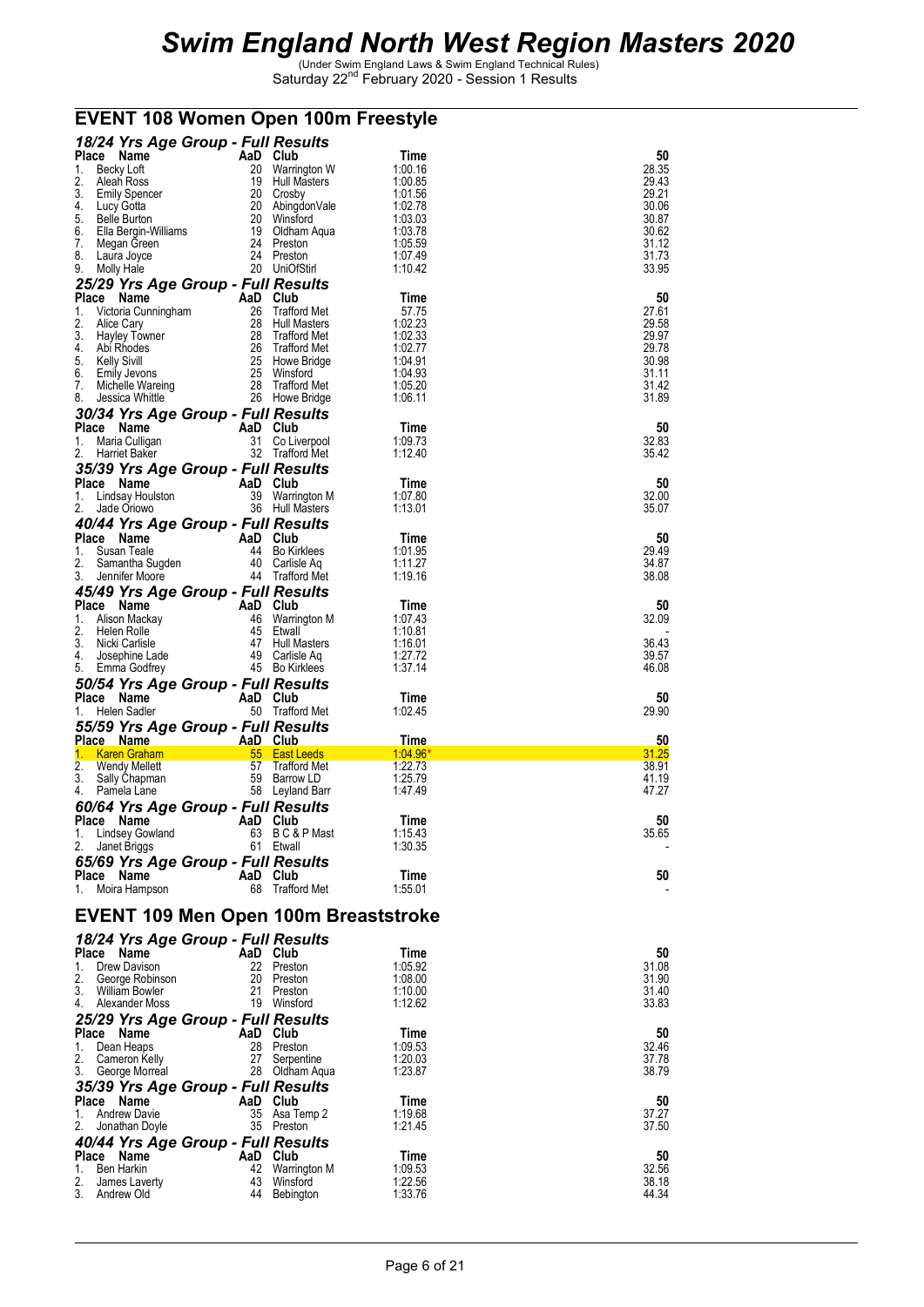### **EVENT 108 Women Open 100m Freestyle**

|                                                             | 18/24 Yrs Age Group - Full Results |                                    |                    |                |
|-------------------------------------------------------------|------------------------------------|------------------------------------|--------------------|----------------|
| Place Name<br>1.<br>Becky Loft                              | AaD Club                           | 20 Warrington W                    | Time<br>1:00.16    | 50<br>28.35    |
| 2.<br>Aleah Ross                                            |                                    | 19 Hull Masters                    | 1:00.85            | 29.43          |
| 3.<br><b>Emily Spencer</b>                                  |                                    | 20 Crosby                          | 1:01.56            | 29.21          |
| 4.<br>Lucy Gotta                                            |                                    | 20 AbingdonVale                    | 1:02.78            | 30.06          |
| 5.<br>Belle Burton<br>6.<br>Ella Bergin-Williams            | 20                                 | Winstord<br>19 Oldham Aqua         | 1:03.03<br>1:03.78 | 30.87<br>30.62 |
| 7.<br>Megan Green                                           |                                    | 24 Preston                         | 1:05.59            | 31.12          |
| 8.<br>Laura Joyce                                           |                                    | 24 Preston                         | 1:07.49            | 31.73          |
| 9.<br>Molly Hale                                            |                                    | 20 UniOfStirl                      | 1:10.42            | 33.95          |
| 25/29 Yrs Age Group - Full Results<br>Place Name            | AaD Club                           |                                    | Time               | 50             |
| 1.<br>Victoria Cunningham                                   | 26                                 | <b>Trafford Met</b>                | 57.75              | 27.61          |
| 2.<br>Alice Cary                                            |                                    | 28 Hull Masters                    | 1:02.23            | 29.58          |
| 3.<br>Hayley Towner<br>4.                                   |                                    | 28 Trafford Met<br>26 Trafford Met | 1:02.33<br>1:02.77 | 29.97<br>29.78 |
| Abi Rhodes<br>5.<br>Kelly Sivill                            |                                    | 25 Howe Bridge                     | 1:04.91            | 30.98          |
| 6.<br>Emily Jevons                                          |                                    | 25 Winsford                        | 1:04.93            | 31.11          |
| 7.<br>Michelle Wareing                                      |                                    | 28 Trafford Met                    | 1:05.20            | 31.42          |
| 8.<br>Jessica Whittle<br>30/34 Yrs Age Group - Full Results |                                    | 26 Howe Bridge                     | 1:06.11            | 31.89          |
| Place Name                                                  | AaD Club                           |                                    | Time               | 50             |
| 1.<br>Maria Culligan                                        | 31                                 | Co Liverpool                       | 1:09.73            | 32.83          |
| 2.<br>Harriet Baker                                         |                                    | 32 Trafford Met                    | 1:12.40            | 35.42          |
| 35/39 Yrs Age Group - Full Results                          |                                    |                                    |                    |                |
| Place Name<br>1.<br>Lindsay Houlston                        | AaD Club                           | 39 Warrington M                    | Time<br>1:07.80    | 50<br>32.00    |
| 2.<br>Jade Oriowo                                           |                                    | 36 Hull Masters                    | 1:13.01            | 35.07          |
| 40/44 Yrs Age Group - Full Results                          |                                    |                                    |                    |                |
| Place Name                                                  | AaD Club                           |                                    | Time               | 50             |
| 1.<br>Susan Teale<br>2.                                     |                                    | 44 Bo Kirklees<br>40 Carlisle Aq   | 1:01.95<br>1:11.27 | 29.49<br>34.87 |
| Samantha Sugden<br>3.<br>Jennifer Moore                     |                                    | 44 Trafford Met                    | 1:19.16            | 38.08          |
| 45/49 Yrs Age Group - Full Results                          |                                    |                                    |                    |                |
| Place Name                                                  | AaD Club                           |                                    | Time               | 50             |
| 1.<br>Alison Mackay                                         |                                    | 46 Warrington M                    | 1:07.43            | 32.09          |
| 2.<br>Helen Rolle<br>3.<br>Nicki Carlisle                   |                                    | 45 Etwall<br>47 Hull Masters       | 1:10.81<br>1:16.01 | 36.43          |
| 4.<br>Josephine Lade                                        | 49                                 | Carlisle Aq                        | 1:27.72            | 39.57          |
| 5.<br>Emma Godfrey                                          |                                    | 45 Bo Kirklees                     | 1:37.14            | 46.08          |
| 50/54 Yrs Age Group - Full Results                          |                                    |                                    |                    |                |
| Place Name<br>Helen Sadler<br>1.                            | AaD Club                           | 50 Trafford Met                    | Time<br>1:02.45    | 50<br>29.90    |
| 55/59 Yrs Age Group - Full Results                          |                                    |                                    |                    |                |
| Place Name                                                  | AaD Club                           |                                    | Time               | 50             |
| 1. Karen Graham                                             |                                    |                                    |                    | 31.25          |
|                                                             |                                    | 55 East Leeds                      | 1:04.96            |                |
| 2.<br>Wendy Mellett                                         | 57                                 | Trafford Met                       | 1:22.73            | 38.91          |
| 3.<br>Sally Chapman<br>4.<br>Pamela Lane                    |                                    | 59 Barrow LD                       | 1:25.79<br>1:47.49 | 41.19<br>47.27 |
|                                                             |                                    | 58 Leyland Barr                    |                    |                |
| 60/64 Yrs Age Group - Full Results<br>Place Name            | AaD Club                           |                                    | Time               | 50             |
| Lindsey Gowland<br>1.                                       |                                    | 63 BC&PMast                        | 1:15.43            | 35.65          |
| 2.<br>Janet Briggs                                          |                                    | 61 Etwall                          | 1:30.35            |                |
| 65/69 Yrs Age Group - Full Results<br>Place Name            | AaD Club                           |                                    | Time               | 50             |
| Moira Hampson<br>1.                                         | 68                                 | Trafford Met                       | 1:55.01            |                |
|                                                             |                                    |                                    |                    |                |
| <b>EVENT 109 Men Open 100m Breaststroke</b>                 |                                    |                                    |                    |                |
| 18/24 Yrs Age Group - Full Results                          |                                    |                                    |                    |                |
| Place Name                                                  | AaD Club                           |                                    | Time               | 50             |
| 1.<br>Drew Davison                                          |                                    | 22 Preston                         | 1:05.92            | 31.08          |
| 2.<br>George Robinson<br>3.<br>William Bowler               | 21                                 | 20 Preston<br>Preston              | 1:08.00<br>1:10.00 | 31.90<br>31.40 |
| 4.<br>Alexander Moss                                        |                                    | 19 Winsford                        | 1:12.62            | 33.83          |
| 25/29 Yrs Age Group - Full Results                          |                                    |                                    |                    |                |
| Place Name                                                  | AaD Club                           |                                    | Time               | 50             |
| Dean Heaps<br>1.<br>2.<br>Cameron Kelly                     | 27                                 | 28 Preston<br>Serpentine           | 1:09.53<br>1:20.03 | 32.46<br>37.78 |
| 3.<br>George Morreal                                        |                                    | 28 Oldham Aqua                     | 1:23.87            | 38.79          |
| 35/39 Yrs Age Group - Full Results                          |                                    |                                    |                    |                |
| Place Name                                                  | AaD Club                           |                                    | Time               | 50             |
| 1.<br><b>Andrew Davie</b><br>2.                             |                                    | 35 Asa Temp 2<br>35 Preston        | 1:19.68<br>1:21.45 | 37.27<br>37.50 |
| Jonathan Doyle                                              |                                    |                                    |                    |                |
| 40/44 Yrs Age Group - Full Results<br>Place Name            | AaD Club                           |                                    | Time               | 50             |
| 1.<br><b>Ben Harkin</b>                                     |                                    | 42 Warrington M                    | 1:09.53            | 32.56          |
| 2.<br>James Laverty<br>3.<br>Andrew Old                     | 43                                 | Winsford<br>44 Bebington           | 1:22.56<br>1:33.76 | 38.18<br>44.34 |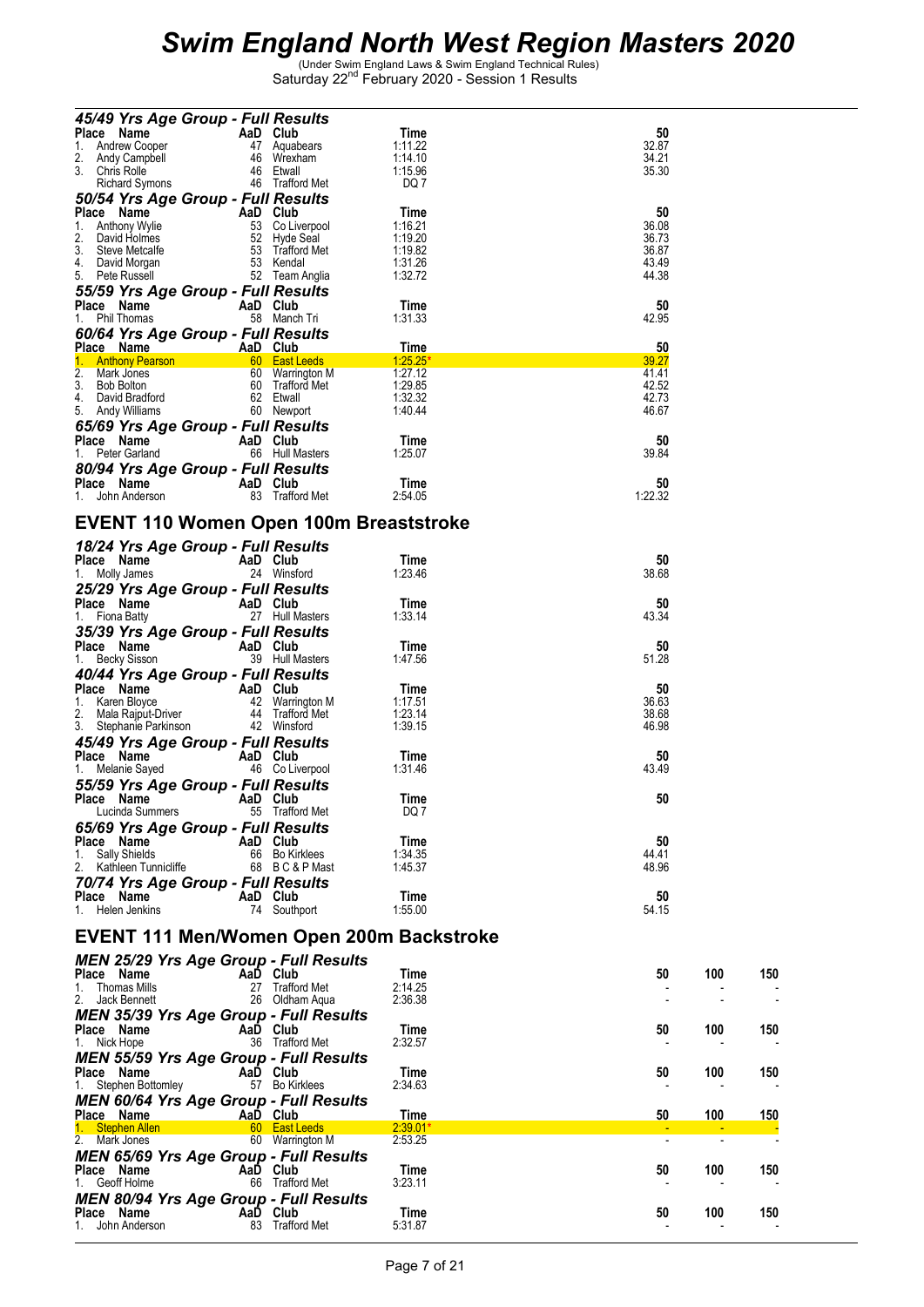| 45/49 Yrs Age Group - Full Results                                                                   |          |                                    |                       |                |     |     |
|------------------------------------------------------------------------------------------------------|----------|------------------------------------|-----------------------|----------------|-----|-----|
| Place Name<br>er <b>AaD Club</b><br>er 47 Aquabears<br><sup>ell</sup> 46 Wrexham<br>1. Andrew Cooper |          |                                    | Time<br>1:11.22       | 50<br>32.87    |     |     |
| 2.<br>Andy Campbell<br>3. Chris Rolle                                                                |          | 46 Etwall                          | 1:14.10               | 34.21          |     |     |
| <b>Richard Symons</b>                                                                                |          | 46 Trafford Met                    | 1:15.96<br>DQ 7       | 35.30          |     |     |
| 50/54 Yrs Age Group - Full Results                                                                   |          |                                    |                       |                |     |     |
| Place Name<br>AaD Club<br>53 Co Liverpool<br>52 Hyde Seal<br>53 Trafford Met<br>1.<br>Anthony Wylie  |          |                                    | Time<br>1:16.21       | 50<br>36.08    |     |     |
| David Holmes                                                                                         |          |                                    | 1:19.20               | 36.73          |     |     |
| 3. Steve Metcalfe<br>4.                                                                              |          | 53 Kendal                          | 1:19.82<br>1:31.26    | 36.87<br>43.49 |     |     |
| David Morgan<br>5. Pete Russell                                                                      |          | 52 Team Anglia                     | 1:32.72               | 44.38          |     |     |
| 55/59 Yrs Age Group - Full Results                                                                   |          |                                    |                       |                |     |     |
| Place Name<br>1. Phil Thomas                                                                         | AaD Club | 58 Manch Tri                       | Time<br>1:31.33       | 50<br>42.95    |     |     |
| 60/64 Yrs Age Group - Full Results                                                                   |          |                                    |                       |                |     |     |
|                                                                                                      |          |                                    | Time                  | 50             |     |     |
| <b>Place Name</b><br>1. Anthony Pearson <b>AaD Club</b><br>2. Mark Jones<br>2. Mark Jones            |          |                                    | $1:25.25*$<br>1:27.12 | 39.27<br>41.41 |     |     |
| 60 Warrington M<br>60 Trafford Met<br>3. Bob Bolton                                                  |          |                                    | 1:29.85               | 42.52          |     |     |
| 4. David Bradford                                                                                    |          | 62 Etwall<br>60 Newport            | 1:32.32<br>1:40.44    | 42.73<br>46.67 |     |     |
| 65/69 Yrs Age Group - Full Results                                                                   |          |                                    |                       |                |     |     |
| Place Name                                                                                           | AaD Club |                                    | Time                  | 50             |     |     |
| 1. Peter Garland                                                                                     |          | 66 Hull Masters                    | 1:25.07               | 39.84          |     |     |
| 80/94 Yrs Age Group - Full Results<br>Place Name<br><b>Example 2</b> AaD Club                        |          |                                    | Time                  | 50             |     |     |
| 1. John Anderson                                                                                     |          | 83 Trafford Met                    | 2:54.05               | 1:22.32        |     |     |
|                                                                                                      |          |                                    |                       |                |     |     |
| <b>EVENT 110 Women Open 100m Breaststroke</b>                                                        |          |                                    |                       |                |     |     |
| 18/24 Yrs Age Group - Full Results<br>Place Name                                                     | AaD Club |                                    | Time                  | 50             |     |     |
| 1. Molly James                                                                                       |          | 24 Winsford                        | 1:23.46               | 38.68          |     |     |
| 25/29 Yrs Age Group - Full Results                                                                   |          |                                    |                       |                |     |     |
| Place Name                                                                                           | AaD Club | 27 Hull Masters                    | Time<br>1:33.14       | 50<br>43.34    |     |     |
| 1. Fiona Batty<br>35/39 Yrs Age Group - Full Results                                                 |          |                                    |                       |                |     |     |
|                                                                                                      | AaD Club |                                    | Time                  | 50             |     |     |
| $\frac{1}{1}$ Becky Sisson<br>1. Becky Sisson                                                        |          | 39 Hull Masters                    | 1:47.56               | 51.28          |     |     |
| 40/44 Yrs Age Group - Full Results<br>Place Name<br>AaD Club                                         |          |                                    | Time                  | 50             |     |     |
| 1. Karen Bloyce                                                                                      |          | 42 Warrington M<br>44 Trafford Met | 1:17.51               | 36.63          |     |     |
| 2. Mala Rajput-Driver<br>3. Stephanie Parkinson                                                      |          | 42 Winsford                        | 1:23.14<br>1:39.15    | 38.68<br>46.98 |     |     |
| 45/49 Yrs Age Group - Full Results                                                                   |          |                                    |                       |                |     |     |
| Place Name                                                                                           | AaD Club |                                    | Time                  | 50             |     |     |
| 1. Melanie Sayed                                                                                     |          | 46 Co Liverpool                    | 1:31.46               | 43.49          |     |     |
| 55/59 Yrs Age Group - Full Results<br>Place Name                                                     | AaD Club |                                    | Time                  | 50             |     |     |
| Lucinda Summers                                                                                      |          | 55 Trafford Met                    | DQ 1                  |                |     |     |
| 65/69 Yrs Age Group - Full Results                                                                   |          |                                    |                       |                |     |     |
| Place Name<br><b>Sally Shields</b><br>1.                                                             | AaD Club | 66 Bo Kirklees                     | Time<br>1:34.35       | 50<br>44.41    |     |     |
| 2. Kathleen Tunnicliffe                                                                              |          | 68 BC&PMast                        | 1:45.37               | 48.96          |     |     |
| 70/74 Yrs Age Group - Full Results                                                                   |          |                                    |                       |                |     |     |
| Place Name<br>1. Helen Jenkins                                                                       | AaD Club | 74 Southport                       | Time<br>1:55.00       | 50<br>54.15    |     |     |
|                                                                                                      |          |                                    |                       |                |     |     |
| EVENT 111 Men/Women Open 200m Backstroke                                                             |          |                                    |                       |                |     |     |
| <b>MEN 25/29 Yrs Age Group - Full Results</b><br>Place Name                                          | AaD Club |                                    | Time                  | 50             | 100 | 150 |
| 1. Thomas Mills                                                                                      |          | 27 Trafford Met                    | 2:14.25               |                |     |     |
| 2. Jack Bennett                                                                                      |          | 26 Oldham Agua                     | 2:36.38               |                |     |     |
| <b>MEN 35/39 Yrs Age Group - Full Results</b>                                                        |          |                                    |                       |                |     | 150 |
| Place Name<br>1. Nick Hope                                                                           | AaD Club | 36 Trafford Met                    | Time<br>2:32.57       | 50             | 100 |     |
| <b>MEN 55/59 Yrs Age Group - Full Results</b>                                                        |          |                                    |                       |                |     |     |
| Place Name                                                                                           | AaD Club | 57 Bo Kirklees                     | Time<br>2:34.63       | 50             | 100 | 150 |
| 1. Stephen Bottomley<br><b>MEN 60/64 Yrs Age Group - Full Results</b>                                |          |                                    |                       |                |     |     |
| Place Name                                                                                           | AaD Club |                                    | Time                  | 50             | 100 | 150 |
| 1. Stephen Allen<br>2. Mark Jones                                                                    |          | 60 East Leeds<br>60 Warrington M   | $2:39.01*$<br>2:53.25 |                |     |     |
| <b>MEN 65/69 Yrs Age Group - Full Results</b>                                                        |          |                                    |                       |                |     |     |
| Place Name                                                                                           | AaD Club |                                    | Time                  | 50             | 100 | 150 |
| 1. Geoff Holme                                                                                       |          | 66 Trafford Met                    | 3:23.11               |                |     |     |
| <b>MEN 80/94 Yrs Age Group - Full Results</b><br>Place Name                                          | AaD Club |                                    | Time                  | 50             | 100 | 150 |
| 1. John Anderson                                                                                     |          | 83 Trafford Met                    | 5:31.87               |                |     |     |
|                                                                                                      |          |                                    |                       |                |     |     |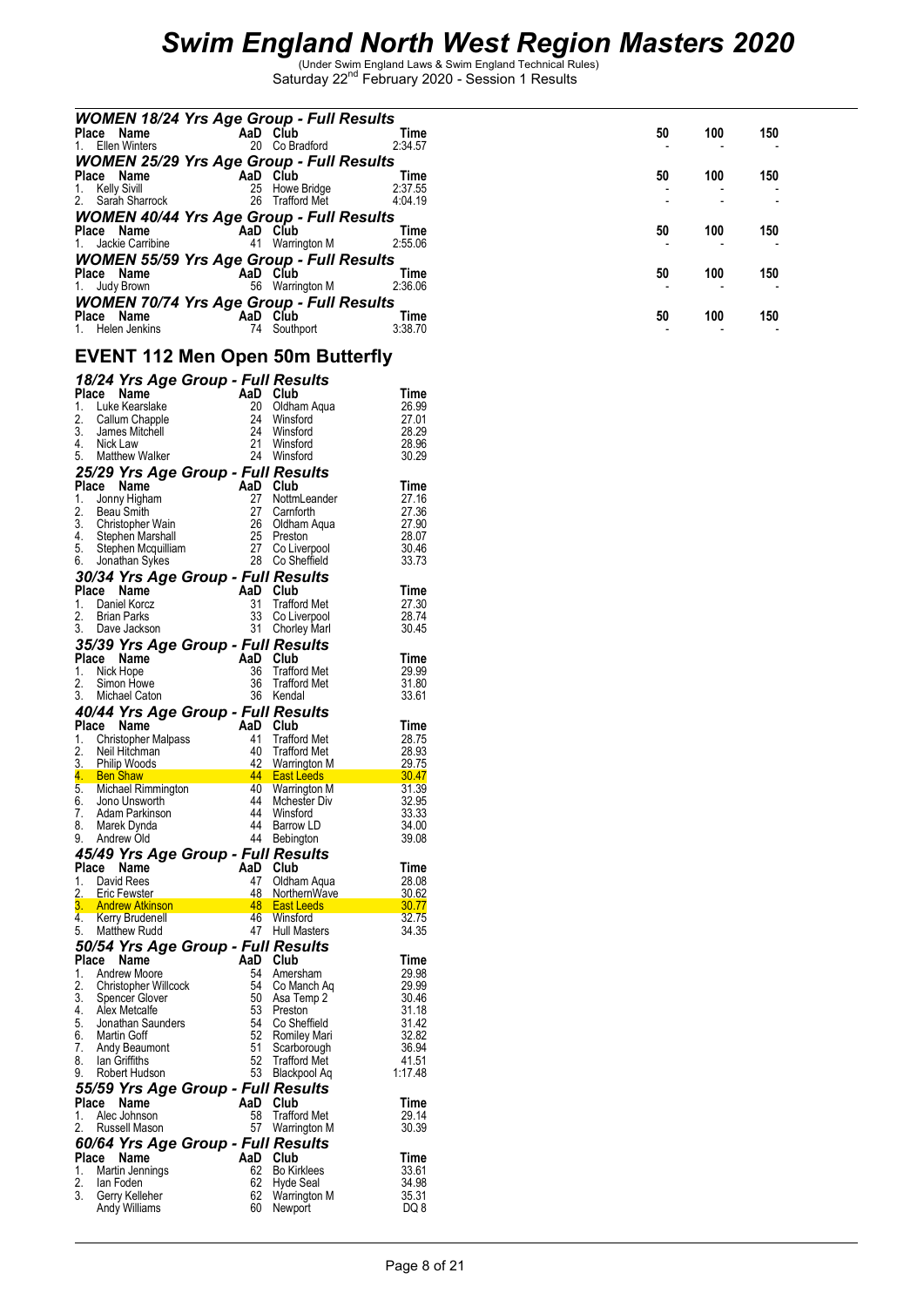| <b>WOMEN 18/24 Yrs Age Group - Full Results</b><br>Place Name       | AaD Club       | 20 Co Bradford                               | Time<br>2:34.57 | 50 | 100 | 150 |
|---------------------------------------------------------------------|----------------|----------------------------------------------|-----------------|----|-----|-----|
| 1. Ellen Winters<br><b>WOMEN 25/29 Yrs Age Group - Full Results</b> |                |                                              |                 |    |     |     |
| Place Name<br><b>Kelly Sivill</b><br>1.                             |                | AaD Club<br>25 Howe Bridge                   | Time<br>2:37.55 | 50 | 100 | 150 |
| Sarah Sharrock<br>2.<br>WOMEN 40/44 Yrs Age Group - Full Results    |                | 26 Trafford Met                              | 4:04.19         |    |     |     |
| Place Name<br>Jackie Carribine<br>1.                                |                | AaD Club<br>41 Warrington M                  | Time<br>2:55.06 | 50 | 100 | 150 |
| <b>WOMEN 55/59 Yrs Age Group - Full Results</b><br>Place Name       |                | AaD Club                                     | Time            | 50 | 100 | 150 |
| Judy Brown                                                          |                | 56 Warrington M                              | 2:36.06         |    |     |     |
| WOMEN 70/74 Yrs Age Group - Full Results<br>Place Name              | AaD Club       |                                              | Time            | 50 | 100 | 150 |
| 1. Helen Jenkins<br><b>EVENT 112 Men Open 50m Butterfly</b>         |                | 74 Southport                                 | 3:38.70         |    |     |     |
| 18/24 Yrs Age Group - Full Results                                  |                |                                              |                 |    |     |     |
| Place Name                                                          | AaD Club       |                                              | Time            |    |     |     |
| 1.<br>Luke Kearslake<br>2.<br>Callum Chapple                        | 24             | 20 Oldham Aqua<br>Winsford                   | 26.99<br>27.01  |    |     |     |
| 3.<br>James Mitchell                                                | 24             | Winsford                                     | 28.29           |    |     |     |
| 4. Nick Law                                                         |                | 21 Winsford                                  | 28.96           |    |     |     |
| 5.<br>Matthew Walker                                                |                | 24 Winsford                                  | 30.29           |    |     |     |
| 25/29 Yrs Age Group - Full Results                                  |                |                                              |                 |    |     |     |
| Place Name<br>Jonny Higham<br>1.                                    | AaD Club       | 27 NottmLeander                              | Time<br>27.16   |    |     |     |
| 2.<br>Beau Smith                                                    |                |                                              | 27.36           |    |     |     |
| 3.<br>Christopher Wain                                              |                | 27 Carnforth<br>26 Oldham Aqua<br>25 Preston | 27.90           |    |     |     |
| 4. Stephen Marshall                                                 |                |                                              | 28.07           |    |     |     |
| 5.<br>Stephen Mcquilliam<br>Jonathan Sykes<br>6.                    |                | 27 Co Liverpool<br>28 Co Sheffield           | 30.46<br>33.73  |    |     |     |
| 30/34 Yrs Age Group - Full Results                                  |                |                                              |                 |    |     |     |
| Place Name                                                          | AaD Club       |                                              | Time            |    |     |     |
| Daniel Korcz<br>1.                                                  |                | 31 Trafford Met                              | 27.30           |    |     |     |
| 2.<br>Brian Parks                                                   |                | 33 Co Liverpool                              | 28.74           |    |     |     |
| 3. Dave Jackson                                                     |                | 31 Chorley Marl                              | 30.45           |    |     |     |
| 35/39 Yrs Age Group - Full Results                                  |                |                                              |                 |    |     |     |
| Place Name<br>Nick Hope<br>1.                                       | AaD Club<br>36 | Trafford Met                                 | Time<br>29.99   |    |     |     |
| 2.<br>Simon Howe                                                    |                | 36 Trafford Met                              | 31.80           |    |     |     |
| Michael Caton<br>3.                                                 |                | 36 Kendal                                    | 33.61           |    |     |     |
| 40/44 Yrs Age Group - Full Results                                  |                |                                              |                 |    |     |     |
| Place Name                                                          | AaD Club       |                                              | Time            |    |     |     |
| <b>Christopher Malpass</b><br>1.<br>2.<br>Neil Hitchman             |                | 41 Trafford Met<br>40 Trafford Met           | 28.75<br>28.93  |    |     |     |
| 3.<br><b>Philip Woods</b>                                           |                | 42 Warrington M                              | 29.75           |    |     |     |
| 4.<br><b>Ben Shaw</b>                                               |                | <b>East Leeds</b>                            | 30.47           |    |     |     |
| Michael Rimmington<br>5.                                            |                | 40 Warrington M                              | 31.39           |    |     |     |
| 6.<br>Jono Unsworth<br>7.<br>Adam Parkinson                         | 44<br>44       | <b>Mchester Div</b><br>Winsford              | 32.95<br>33.33  |    |     |     |
| Marek Dynda<br>8.                                                   |                | 44 Barrow LD                                 | 34.00           |    |     |     |
| Andrew Old<br>9.                                                    | 44             | Bebington                                    | 39.08           |    |     |     |
| 45/49 Yrs Age Group - Full Results                                  |                |                                              |                 |    |     |     |
| Place Name                                                          | AaD            | Club                                         | Time            |    |     |     |
| David Rees<br>1.<br>2.<br>Eric Fewster                              | 47<br>48       | Oldham Aqua<br>NorthernWave                  | 28.08<br>30.62  |    |     |     |
| 3.<br><b>Andrew Atkinson</b>                                        | 48             | <b>East Leeds</b>                            | 30.77           |    |     |     |
| 4. Kerry Brudenell                                                  |                | 46 Winsford                                  | 32.75           |    |     |     |
| <b>Matthew Rudd</b><br>5.                                           |                | 47 Hull Masters                              | 34.35           |    |     |     |
| 50/54 Yrs Age Group - Full Results                                  |                |                                              |                 |    |     |     |
| Place Name<br>Andrew Moore                                          | AaD            | Club                                         | Time            |    |     |     |
| 1.<br>2.<br>Christopher Willcock                                    | 54<br>54       | Amersham<br>Co Manch Ag                      | 29.98<br>29.99  |    |     |     |
| 3.<br>Spencer Glover                                                | 50             | Asa Temp 2                                   | 30.46           |    |     |     |
| 4. Alex Metcalfe                                                    | 53             | Preston                                      | 31.18           |    |     |     |
| 5.<br>Jonathan Saunders                                             | 54             | Co Sheffield                                 | 31.42           |    |     |     |
| Martin Goff<br>6.<br>7.<br>Andy Beaumont                            | 52<br>51       | <b>Romiley Mari</b><br>Scarborough           | 32.82<br>36.94  |    |     |     |
| 8.<br>lan Griffiths                                                 | 52             | Trafford Met                                 | 41.51           |    |     |     |
| 9.<br>Robert Hudson                                                 |                | 53 Blackpool Aq                              | 1:17.48         |    |     |     |
| 55/59 Yrs Age Group - Full Results                                  |                |                                              |                 |    |     |     |
| Place Name                                                          |                | AaD Club                                     | Time            |    |     |     |
| Alec Johnson<br>1.<br>2.<br>Russell Mason                           | 58             | Trafford Met<br>57 Warrington M              | 29.14<br>30.39  |    |     |     |
| 60/64 Yrs Age Group - Full Results                                  |                |                                              |                 |    |     |     |
| Place Name                                                          |                | AaD Club                                     | Time            |    |     |     |
| Martin Jennings<br>1.                                               | 62             | <b>Bo Kirklees</b>                           | 33.61           |    |     |     |
| 2.<br>lan Foden                                                     | 62             | Hyde Seal                                    | 34.98           |    |     |     |
| Gerry Kelleher<br>3.<br>Andy Williams                               |                | 62 Warrington M<br>60 Newport                | 35.31<br>DQ 8   |    |     |     |
|                                                                     |                |                                              |                 |    |     |     |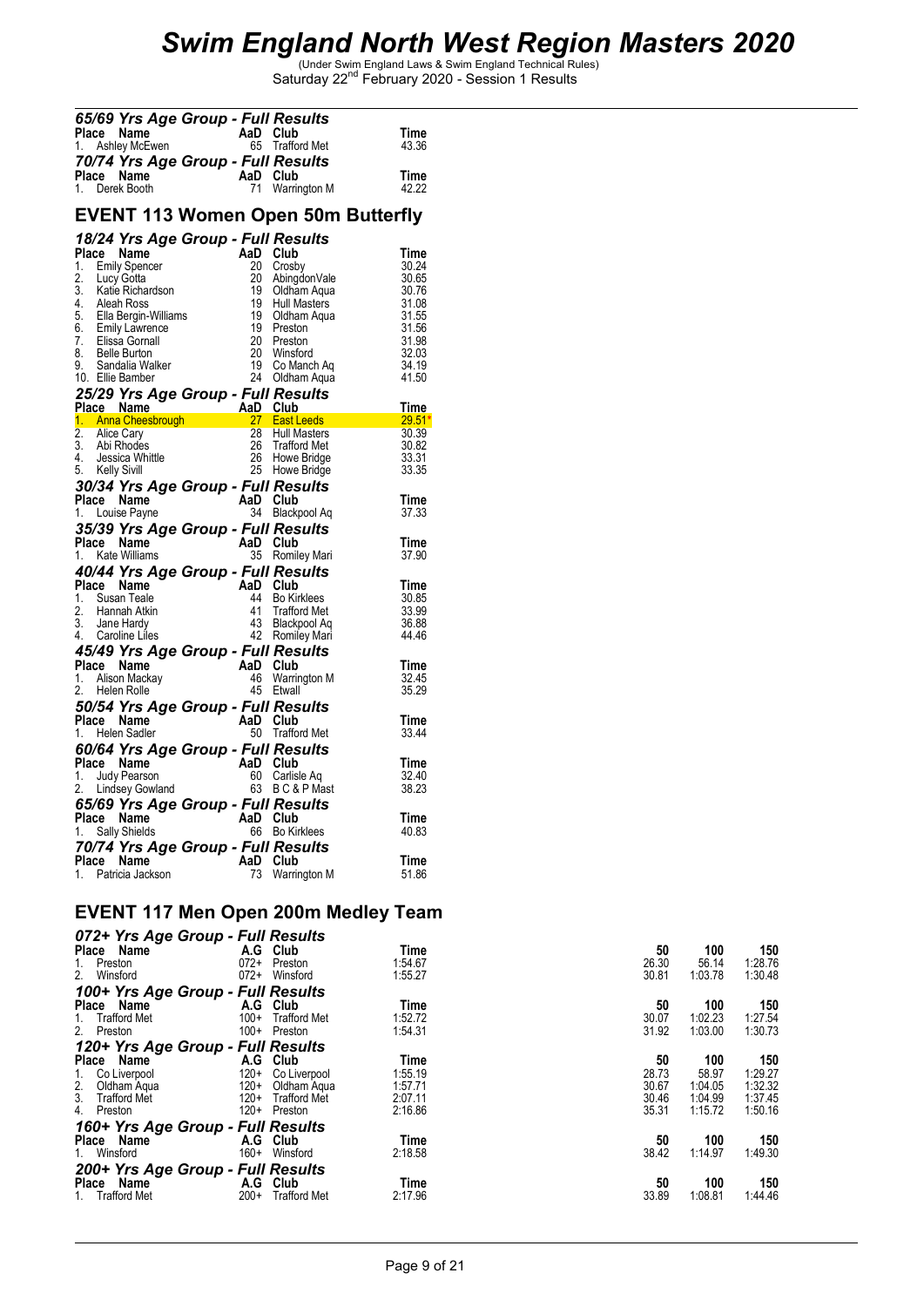| Place Name<br>1.                                                                         | 65/69 Yrs Age Group - Full Results                                                                                                                                           | AaD Club                                                       | 65 Trafford Met                                                                                                                                                                                 | Time<br>43.36                                                                                  |
|------------------------------------------------------------------------------------------|------------------------------------------------------------------------------------------------------------------------------------------------------------------------------|----------------------------------------------------------------|-------------------------------------------------------------------------------------------------------------------------------------------------------------------------------------------------|------------------------------------------------------------------------------------------------|
| Place Name<br>1. Derek Booth                                                             |                                                                                                                                                                              | AaD Club<br>71                                                 | 70/74 Yrs Age Group - Full Results<br>Warrington M                                                                                                                                              | Time<br>42.22                                                                                  |
|                                                                                          |                                                                                                                                                                              |                                                                | <b>EVENT 113 Women Open 50m Butterfly</b>                                                                                                                                                       |                                                                                                |
|                                                                                          | 18/24 Yrs Age Group - Full Results                                                                                                                                           |                                                                |                                                                                                                                                                                                 |                                                                                                |
| Place Name<br>1.<br>2.<br>Lucy Gotta<br>4.<br>Aleah Ross<br>8.<br>9.<br>10. Ellie Bamber | <b>Emily Spencer</b><br>2. Easy Settle<br>3. Katie Richardson<br>5. Ella Bergin-Williams<br>6. Emily Lawrence<br>7. Elissa Gornall<br><b>Belle Burton</b><br>Sandalia Walker | AaD Club<br>20<br>20<br>19<br>19<br>19<br>19<br>20<br>20<br>19 | Crosby<br>AbingdonVale<br>Oldham Aqua<br>Hull Masters<br><b>Oldham Aqua</b><br>Preston<br>Preston<br>Preston<br>Preston<br>Winsford<br>Co Manch Aq<br>Oldham Agua<br>Winsford<br>24 Oldham Aqua | Time<br>30.24<br>30.65<br>30.76<br>31.08<br>31.55<br>31.56<br>31.98<br>32.03<br>34.19<br>41.50 |
|                                                                                          | 25/29 Yrs Age Group - Full Results                                                                                                                                           |                                                                |                                                                                                                                                                                                 | <u>Time</u>                                                                                    |
|                                                                                          |                                                                                                                                                                              |                                                                | Place Name<br>1. Anna Cheesbrough 1. Anna Cheesbrough 1. 27 East Leeds<br>27 East Leeds 29.51*                                                                                                  |                                                                                                |
| 2.<br>Alice Cary<br>3.<br>Abi Rhodes<br>4.<br>5.<br>Kelly Sivill                         | Jessica Whittle                                                                                                                                                              | 26                                                             | 28 Hull Masters<br>Trafford Met<br>26 Howe Bridge<br>25 Howe Bridge                                                                                                                             | 30.39<br>30.82<br>33.31<br>33.35                                                               |
| Place Name<br>1. Louise Payne                                                            |                                                                                                                                                                              | AaD Club<br>34                                                 | 30/34 Yrs Age Group - Full Results<br>Blackpool Aq                                                                                                                                              | Time<br>37.33                                                                                  |
| Place Name<br>1. Kate Williams                                                           | 35/39 Yrs Age Group - Full Results                                                                                                                                           | AaD Club<br>35                                                 | Romiley Mari                                                                                                                                                                                    | Time<br>37.90                                                                                  |
|                                                                                          | 40/44 Yrs Age Group - Full Results                                                                                                                                           |                                                                |                                                                                                                                                                                                 |                                                                                                |
| Place Name<br>1.<br>2.<br>3.<br>4. Caroline Liles                                        | Susan Teale<br>Hannah Atkin<br>Jane Hardy                                                                                                                                    | AaD Club<br>44<br>41                                           | <b>Bo Kirklees</b><br><b>Trafford Met</b><br>43 Blackpool Aq<br>42 Romiley Mari                                                                                                                 | Time<br>30.85<br>33.99<br>36.88<br>44.46                                                       |
|                                                                                          |                                                                                                                                                                              |                                                                | 45/49 Yrs Age Group - Full Results                                                                                                                                                              |                                                                                                |
| Place Name<br>1. Alison Mackay<br>2.<br>Helen Rolle                                      |                                                                                                                                                                              | AaD Club<br>46                                                 | Warrington M<br>45 Etwall                                                                                                                                                                       | Time<br>32.45<br>35.29                                                                         |
| Place Name<br>1.                                                                         | Helen Sadler                                                                                                                                                                 | AaD Club                                                       | 50/54 Yrs Age Group - Full Results<br>50 Trafford Met                                                                                                                                           | Time<br>33.44                                                                                  |
| Place Name<br>1. Judy Pearson                                                            | 60/64 Yrs Age Group - Full Results<br>2. Lindsey Gowland                                                                                                                     | AaD Club<br>60                                                 | Carlisle Aq<br>63 BC&PMast                                                                                                                                                                      | Time<br>32.40<br>38.23                                                                         |
| Place Name<br>1. Sally Shields                                                           | 65/69 Yrs Age Group - Full Results                                                                                                                                           | AaD Club                                                       | 66 Bo Kirklees                                                                                                                                                                                  | Time<br>40.83                                                                                  |
| Place                                                                                    | Name<br>1. Patricia Jackson                                                                                                                                                  | AaD<br>73                                                      | 70/74 Yrs Age Group - Full Results<br>Club<br>Warrington M                                                                                                                                      | Time<br>51.86                                                                                  |

#### **EVENT 117 Men Open 200m Medley Team**

| 072+ Yrs Age Group - Full Results |        |                     |         |       |         |         |
|-----------------------------------|--------|---------------------|---------|-------|---------|---------|
| Name<br><b>Place</b>              | A.G    | Club                | Time    | 50    | 100     | 150     |
| Preston<br>1.                     | $072+$ | Preston             | 1:54.67 | 26.30 | 56.14   | 1:28.76 |
| 2.<br>Winsford                    | $072+$ | Winsford            | 1:55.27 | 30.81 | 1:03.78 | 1:30.48 |
| 100+ Yrs Age Group - Full Results |        |                     |         |       |         |         |
| Place Name                        | A.G    | Club                | Time    | 50    | 100     | 150     |
| <b>Trafford Met</b><br>1.         | $100+$ | <b>Trafford Met</b> | 1:52.72 | 30.07 | 1:02.23 | 1:27.54 |
| 2. Preston                        | $100+$ | Preston             | 1:54.31 | 31.92 | 1:03.00 | 1:30.73 |
| 120+ Yrs Age Group - Full Results |        |                     |         |       |         |         |
| Place<br>Name                     | A.G    | Club                | Time    | 50    | 100     | 150     |
| 1. Co Liverpool                   | $120+$ | Co Liverpool        | 1:55.19 | 28.73 | 58.97   | 1:29.27 |
| $\frac{2}{3}$ .<br>Oldham Agua    | $120+$ | Oldham Aqua         | 1:57.71 | 30.67 | 1:04.05 | 1:32.32 |
| <b>Trafford Met</b>               | $120+$ | <b>Trafford Met</b> | 2:07.11 | 30.46 | 1:04.99 | 1:37.45 |
| 4.<br>Preston                     | $120+$ | Preston             | 2:16.86 | 35.31 | 1:15.72 | 1:50.16 |
| 160+ Yrs Age Group - Full Results |        |                     |         |       |         |         |
| Place Name                        | A.G    | Club                | Time    | 50    | 100     | 150     |
| 1. Winsford                       | $160+$ | Winsford            | 2:18.58 | 38.42 | 1:14.97 | 1:49.30 |
| 200+ Yrs Age Group - Full Results |        |                     |         |       |         |         |
| Place<br>Name                     | A.G    | Club                | Time    | 50    | 100     | 150     |
| <b>Trafford Met</b>               | $200+$ | <b>Trafford Met</b> | 2:17.96 | 33.89 | 1:08.81 | 1:44.46 |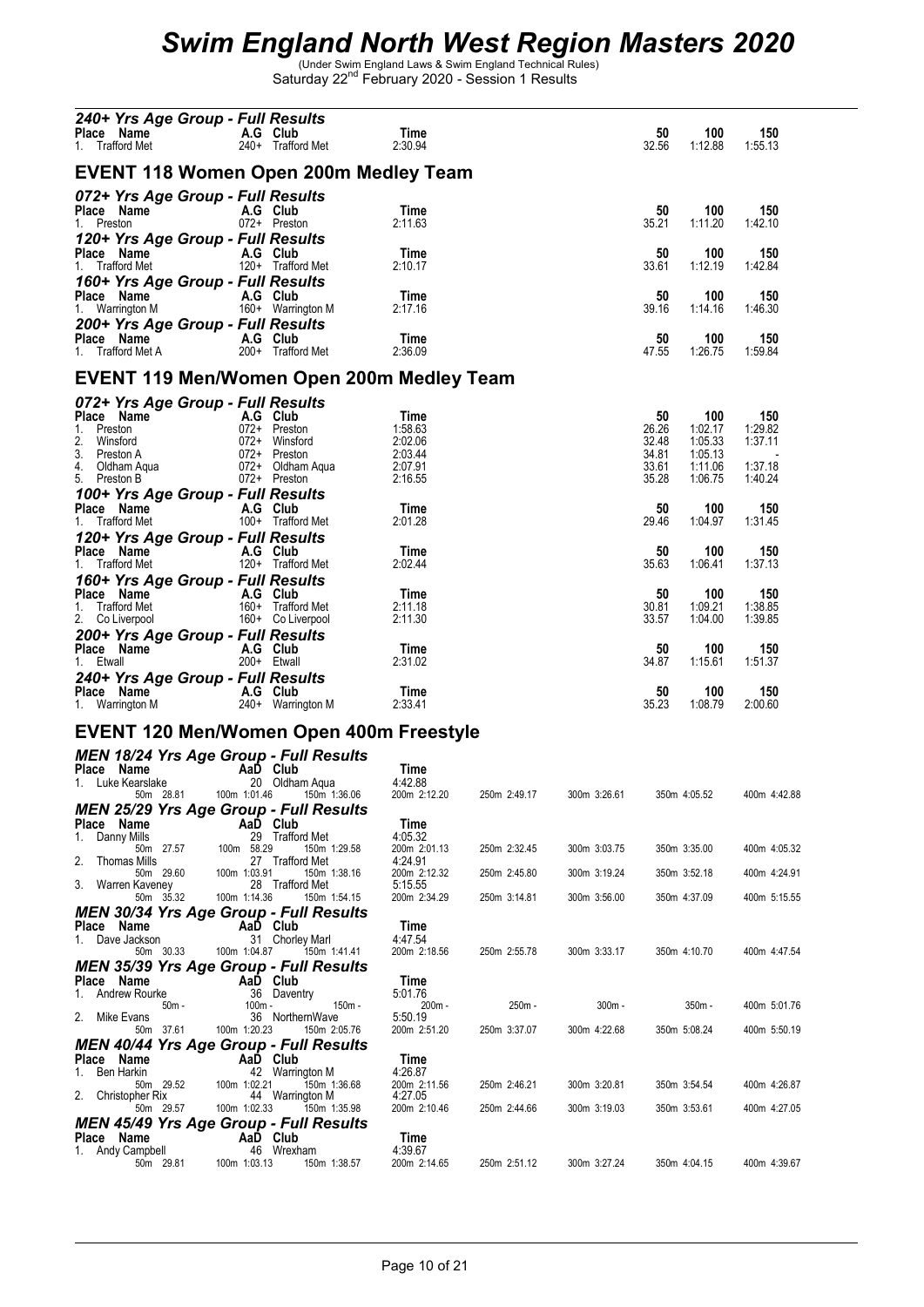| 240+ Yrs Age Group - Full Results<br><b>Place Name 1 A.G Club</b><br>1 Trafford Met 1 240+ Traffor<br>1. Trafford Met                                      | 240+ Trafford Met                                                                                                                                                                                                                                            | Time<br>2:30.94                                  |              |              | 50<br>100<br>32.56<br>1:12.88                                                             | 150<br>1:55.13                       |
|------------------------------------------------------------------------------------------------------------------------------------------------------------|--------------------------------------------------------------------------------------------------------------------------------------------------------------------------------------------------------------------------------------------------------------|--------------------------------------------------|--------------|--------------|-------------------------------------------------------------------------------------------|--------------------------------------|
|                                                                                                                                                            | EVENT 118 Women Open 200m Medley Team                                                                                                                                                                                                                        |                                                  |              |              |                                                                                           |                                      |
| 072+ Yrs Age Group - Full Results                                                                                                                          |                                                                                                                                                                                                                                                              |                                                  |              |              |                                                                                           |                                      |
| <b>Place Name A.G Club</b><br>1 Preston <b>1</b> 072+ Presto<br>1. Preston                                                                                 | 072+ Preston                                                                                                                                                                                                                                                 | Time<br>2:11.63                                  |              |              | 50<br>100<br>35.21<br>1:11.20                                                             | 150<br>1:42.10                       |
| 120+ Yrs Age Group - Full Results<br><b>Place Name A.G Club</b><br>1. Trafford Met <b>120</b> + Trafford Met                                               |                                                                                                                                                                                                                                                              | Time<br>2:10.17                                  |              |              | 50<br>100<br>33.61<br>1:12.19                                                             | 150<br>1:42.84                       |
| 160+ Yrs Age Group - Full Results<br>Place Name (A.G. Club)<br>1. Warrington M (160+ Warrington M                                                          |                                                                                                                                                                                                                                                              | Time<br>2:17.16                                  |              |              | 50<br>100<br>39.16<br>1:14.16                                                             | 150<br>1:46.30                       |
| 200+ Yrs Age Group - Full Results<br>Place Name<br>1. Trafford Met A 200+ Trafford Met                                                                     |                                                                                                                                                                                                                                                              | Time<br>2:36.09                                  |              |              | 50<br>100<br>47.55<br>1:26.75                                                             | 150<br>1:59.84                       |
|                                                                                                                                                            | EVENT 119 Men/Women Open 200m Medley Team                                                                                                                                                                                                                    |                                                  |              |              |                                                                                           |                                      |
| 072+ Yrs Age Group - Full Results                                                                                                                          |                                                                                                                                                                                                                                                              |                                                  |              |              |                                                                                           |                                      |
|                                                                                                                                                            | Place Name<br>2. Winsford<br>2. Winsford<br>3. Preston A<br>4. Oldham Aqua<br>5. Preston B<br>2. Club<br>2. Oldham Aqua<br>2. Preston B<br>2. Oldham Aqua<br>2. Oldham Aqua<br>2. Oldham Aqua<br>2. Oldham Aqua<br>2. Oldham Aqua<br>2. Preston B<br>2. Oldh | Time<br>1:58.63<br>2:02.06<br>2:03.44<br>2:07.91 |              |              | 50<br>100<br>26.26<br>1:02.17<br>32.48<br>1:05.33<br>34.81<br>1:05.13<br>33.61<br>1:11.06 | 150<br>1:29.82<br>1:37.11<br>1:37.18 |
|                                                                                                                                                            | 100+ Yrs Age Group - Full Results<br><sup>Place</sup> Name                                   A.G   Club                                                                                                                                                      | 2:16.55                                          |              |              | 35.28<br>1:06.75                                                                          | 1:40.24                              |
| <b>Place Name</b><br>1. Trafford Met <b>A.G Club</b><br>100+ Traffor<br>120+ Yrs Age Group - Full Results                                                  | 100+ Trafford Met                                                                                                                                                                                                                                            | Time<br>2:01.28                                  |              |              | 50<br>100<br>29.46<br>1:04.97                                                             | 150<br>1:31.45                       |
| Place Name<br>1. Trafford Met 120+ Trafford Met                                                                                                            |                                                                                                                                                                                                                                                              | Time<br>2:02.44                                  |              |              | 50<br>100<br>35.63<br>1:06.41                                                             | 150<br>1:37.13                       |
| 160+ Yrs Age Group - Full Results<br><b>Place Name A.G Club</b><br>1. Trafford Met 160+ Trafford Met<br>2. Colivernool 160+ Colivernool<br>2. Co Liverpool | 160+ Co Liverpool                                                                                                                                                                                                                                            | Time<br>2:11.18<br>2:11.30                       |              |              | 50<br>100<br>30.81<br>1:09.21<br>33.57<br>1:04.00                                         | 150<br>1:38.85<br>1:39.85            |
| 200+ Yrs Age Group - Full Results<br><b>Place Name A.G Club</b><br>1 Ftwall 1 200+ Ftwall<br>1. Etwall                                                     | 200+ Etwall                                                                                                                                                                                                                                                  | Time<br>2:31.02                                  |              |              | 50<br>100<br>34.87<br>1:15.61                                                             | 150<br>1:51.37                       |
| 240+ Yrs Age Group - Full Results<br><b>Place Name A.G Club</b><br>1. Warrington M 240+ Warrington M                                                       |                                                                                                                                                                                                                                                              | Time<br>2:33.41                                  |              |              | 50<br>100<br>35.23<br>1:08.79                                                             | 150<br>2:00.60                       |
|                                                                                                                                                            | EVENT 120 Men/Women Open 400m Freestyle                                                                                                                                                                                                                      |                                                  |              |              |                                                                                           |                                      |
|                                                                                                                                                            | <b>MEN 18/24 Yrs Age Group - Full Results</b>                                                                                                                                                                                                                |                                                  |              |              |                                                                                           |                                      |
| Place Name<br>1. Luke Kearslake                                                                                                                            | AaD Club<br>20 Oldham Aqua<br>50m 28.81  100m 1:01.46  150m 1:36.06                                                                                                                                                                                          | Time<br>4:42.88<br>200m 2:12.20                  | 250m 2:49.17 | 300m 3:26.61 | 350m 4:05.52                                                                              | 400m 4:42.88                         |
| Place Name                                                                                                                                                 | MEN 25/29 Yrs Age Group - Full Results<br>AaD Club                                                                                                                                                                                                           | Time                                             |              |              |                                                                                           |                                      |
| 1.<br>Danny Mills<br>50m 27.57<br>2.<br><b>Thomas Mills</b>                                                                                                | 29 Trafford Met<br>100m 58.29<br>150m 1:29.58<br>27 Trafford Met                                                                                                                                                                                             | 4:05.32<br>200m 2:01.13<br>4:24.91               | 250m 2:32.45 | 300m 3:03.75 | 350m 3:35.00                                                                              | 400m 4:05.32                         |
| 50m 29.60<br>3. Warren Kaveney                                                                                                                             | 150m 1:38.16<br>100m 1:03.91<br>28 Trafford Met                                                                                                                                                                                                              | 200m 2:12.32<br>5:15.55                          | 250m 2:45.80 | 300m 3:19.24 | 350m 3:52.18                                                                              | 400m 4:24.91                         |
| 50m 35.32                                                                                                                                                  | 100m 1:14.36<br>150m 1:54.15<br><b>MEN 30/34 Yrs Age Group - Full Results</b>                                                                                                                                                                                | 200m 2:34.29                                     | 250m 3:14.81 | 300m 3:56.00 | 350m 4:37.09                                                                              | 400m 5:15.55                         |
| Place Name<br>1. Dave Jackson                                                                                                                              | AaD Club<br>31 Chorley Marl                                                                                                                                                                                                                                  | Time<br>4:47.54                                  |              |              |                                                                                           |                                      |
| 50m 30.33                                                                                                                                                  | 100m 1:04.87<br>150m 1:41.41                                                                                                                                                                                                                                 | 200m 2:18.56                                     | 250m 2:55.78 | 300m 3:33.17 | 350m 4:10.70                                                                              | 400m 4:47.54                         |
| Place Name                                                                                                                                                 | <b>MEN 35/39 Yrs Age Group - Full Results</b><br>AaD Club                                                                                                                                                                                                    | Time                                             |              |              |                                                                                           |                                      |
| 1. Andrew Rourke<br>50m -                                                                                                                                  | 36 Daventry<br>100m -<br>150m -                                                                                                                                                                                                                              | 5:01.76<br>200m -                                | 250m -       | $300m -$     | $350m -$                                                                                  | 400m 5:01.76                         |
| 2. Mike Evans<br>50m 37.61                                                                                                                                 | 36 NorthernWave<br>100m 1:20.23<br>150m 2:05.76                                                                                                                                                                                                              | 5:50.19<br>200m 2:51.20                          | 250m 3:37.07 | 300m 4:22.68 | 350m 5:08.24                                                                              | 400m 5:50.19                         |
| Place Name<br>1. Ben Harkin                                                                                                                                | MEN 40/44 Yrs Age Group - Full Results<br>AaD Club<br>42 Warrington M                                                                                                                                                                                        | Time<br>4:26.87                                  |              |              |                                                                                           |                                      |
| 50m 29.52<br>2.<br>Christopher Rix                                                                                                                         | 100m 1:02.21<br>150m 1:36.68<br>44 Warrington M                                                                                                                                                                                                              | 200m 2:11.56<br>4:27.05                          | 250m 2:46.21 | 300m 3:20.81 | 350m 3:54.54                                                                              | 400m 4:26.87                         |
| 50m 29.57                                                                                                                                                  | 100m 1:02.33<br>150m 1:35.98<br>MEN 45/49 Yrs Age Group - Full Results                                                                                                                                                                                       | 200m 2:10.46                                     | 250m 2:44.66 | 300m 3:19.03 | 350m 3:53.61                                                                              | 400m 4:27.05                         |
| Place Name<br>1. Andy Campbell                                                                                                                             | AaD Club<br>46 Wrexham                                                                                                                                                                                                                                       | Time<br>4:39.67                                  |              |              |                                                                                           |                                      |
| 50m 29.81                                                                                                                                                  | 100m 1:03.13<br>150m 1:38.57                                                                                                                                                                                                                                 | 200m 2:14.65                                     | 250m 2:51.12 | 300m 3:27.24 | 350m 4:04.15                                                                              | 400m 4:39.67                         |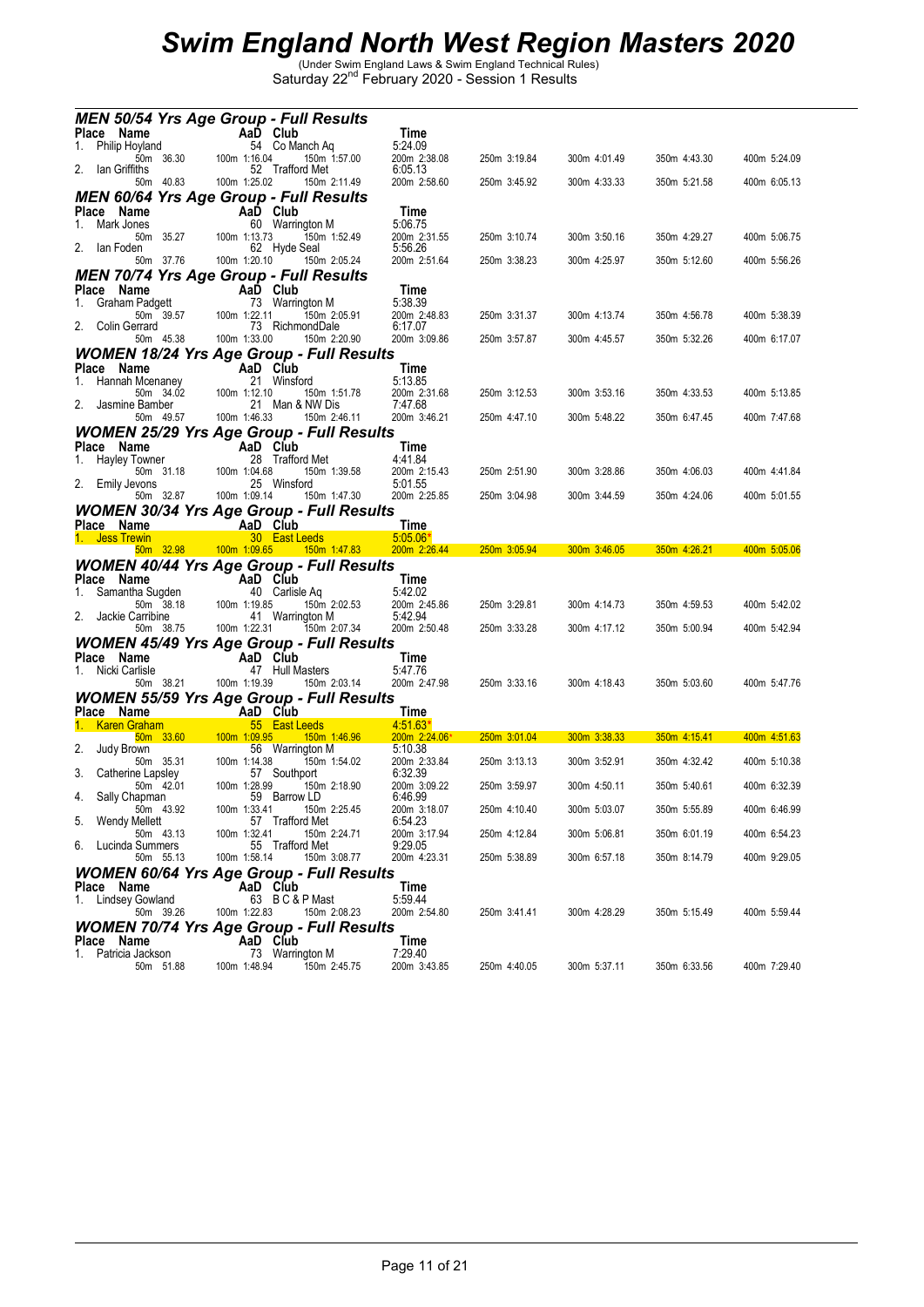|                |                               |             |              |                             | <b>MEN 50/54 Yrs Age Group - Full Results</b>   |                             |              |              |              |              |
|----------------|-------------------------------|-------------|--------------|-----------------------------|-------------------------------------------------|-----------------------------|--------------|--------------|--------------|--------------|
|                | Place Name                    |             |              | AaD Club                    |                                                 | Time                        |              |              |              |              |
| 1.             | Philip Hoyland                |             |              | 54 Co Manch Ag              |                                                 | 5:24.09                     |              |              |              |              |
| 2.             | lan Griffiths                 | 50m 36.30   | 100m 1:16.04 | 52 Trafford Met             | 150m 1:57.00                                    | 200m 2:38.08<br>6:05.13     | 250m 3:19.84 | 300m 4:01.49 | 350m 4:43.30 | 400m 5:24.09 |
|                |                               | 50m 40.83   | 100m 1:25.02 |                             | 150m 2:11.49                                    | 200m 2:58.60                | 250m 3:45.92 | 300m 4:33.33 | 350m 5:21.58 | 400m 6:05.13 |
|                |                               |             |              |                             | <b>MEN 60/64 Yrs Age Group - Full Results</b>   |                             |              |              |              |              |
| 1.             | Place Name<br>Mark Jones      |             |              | AaD Club<br>60 Warrington M |                                                 | Time<br>5:06.75             |              |              |              |              |
|                |                               | 50m 35.27   | 100m 1:13.73 |                             | 150m 1:52.49                                    | 200m 2:31.55                | 250m 3:10.74 | 300m 3:50.16 | 350m 4:29.27 | 400m 5:06.75 |
| 2.             | lan Foden                     | 50m 37.76   | 100m 1:20.10 | 62 Hyde Seal                | 150m 2:05.24                                    | 5:56.26<br>200m 2:51.64     | 250m 3:38.23 | 300m 4:25.97 | 350m 5:12.60 | 400m 5:56.26 |
|                |                               |             |              |                             | <b>MEN 70/74 Yrs Age Group - Full Results</b>   |                             |              |              |              |              |
|                | Place Name                    |             |              | AaD Club                    |                                                 | Time                        |              |              |              |              |
| 1.             | Graham Padgett                |             |              | 73 Warrington M             |                                                 | 5:38.39                     |              |              |              |              |
| 2.             | Colin Gerrard                 | 50m 39.57   | 100m 1:22.11 | 73 RichmondDale             | 150m 2:05.91                                    | 200m 2:48.83<br>6:17.07     | 250m 3:31.37 | 300m 4:13.74 | 350m 4:56.78 | 400m 5:38.39 |
|                |                               | 50m 45.38   | 100m 1:33.00 |                             | 150m 2:20.90                                    | 200m 3:09.86                | 250m 3:57.87 | 300m 4:45.57 | 350m 5:32.26 | 400m 6:17.07 |
|                |                               |             |              |                             | <b>WOMEN 18/24 Yrs Age Group - Full Results</b> |                             |              |              |              |              |
| 1.             | Place Name<br>Hannah Mcenaney |             |              | AaD Club<br>21 Winsford     |                                                 | Time<br>5:13.85             |              |              |              |              |
|                |                               | 50m 34.02   | 100m 1:12.10 |                             | 150m 1:51.78                                    | 200m 2:31.68                | 250m 3:12.53 | 300m 3:53.16 | 350m 4:33.53 | 400m 5:13.85 |
| 2.             | Jasmine Bamber                |             |              | 21 Man & NW Dis             |                                                 | 7:47.68                     |              |              |              |              |
|                |                               | 50m 49.57   | 100m 1:46.33 |                             | 150m 2:46.11                                    | 200m 3:46.21                | 250m 4:47.10 | 300m 5:48.22 | 350m 6:47.45 | 400m 7:47.68 |
|                | Place Name                    |             |              | AaD Club                    | <b>WOMEN 25/29 Yrs Age Group - Full Results</b> | Time                        |              |              |              |              |
|                | Hayley Towner                 |             |              | 28 Trafford Met             |                                                 | 4:41.84                     |              |              |              |              |
|                | 2. Emily Jevons               | 50m 31.18   | 100m 1:04.68 | 25 Winsford                 | 150m 1:39.58                                    | 200m 2:15.43<br>5:01.55     | 250m 2:51.90 | 300m 3:28.86 | 350m 4:06.03 | 400m 4:41.84 |
|                |                               | 50m 32.87   | 100m 1:09.14 |                             | 150m 1:47.30                                    | 200m 2:25.85                | 250m 3:04.98 | 300m 3:44.59 | 350m 4:24.06 | 400m 5:01.55 |
|                |                               |             |              |                             | <b>WOMEN 30/34 Yrs Age Group - Full Results</b> |                             |              |              |              |              |
|                | <u>Place Name</u>             |             |              | AaD Club                    |                                                 | <b>Time</b>                 |              |              |              |              |
|                |                               |             |              |                             |                                                 |                             |              |              |              |              |
| 1. Jess Trewin |                               |             |              | 30 East Leeds               |                                                 | $5:05.06*$                  |              |              |              |              |
|                |                               | $50m$ 32.98 |              |                             | 100m 1:09.65  150m 1:47.83                      | 200m 2:26.44                | 250m 3:05.94 | 300m 3:46.05 | 350m 4:26.21 | 400m 5:05.06 |
|                | Place Name                    |             |              | AaD Club                    | <b>WOMEN 40/44 Yrs Age Group - Full Results</b> | Time                        |              |              |              |              |
| 1.             | Samantha Sugden               |             |              | 40 Carlisle Aq              |                                                 | 5:42.02                     |              |              |              |              |
| 2.             | Jackie Carribine              | 50m 38.18   | 100m 1:19.85 | 41 Warrington M             | 150m 2:02.53                                    | 200m 2:45.86<br>5:42.94     | 250m 3:29.81 | 300m 4:14.73 | 350m 4:59.53 | 400m 5:42.02 |
|                |                               | 50m 38.75   | 100m 1:22.31 |                             | 150m 2:07.34                                    | 200m 2:50.48                | 250m 3:33.28 | 300m 4:17.12 | 350m 5:00.94 | 400m 5:42.94 |
|                |                               |             |              |                             | <b>WOMEN 45/49 Yrs Age Group - Full Results</b> |                             |              |              |              |              |
| 1.             | Place Name<br>Nicki Carlisle  |             |              | AaD Club<br>47 Hull Masters |                                                 | Time<br>5:47.76             |              |              |              |              |
|                |                               | 50m 38.21   | 100m 1:19.39 |                             | 150m 2:03.14                                    | 200m 2:47.98                | 250m 3:33.16 | 300m 4:18.43 | 350m 5:03.60 | 400m 5:47.76 |
|                |                               |             |              |                             | <b>WOMEN 55/59 Yrs Age Group - Full Results</b> |                             |              |              |              |              |
|                | Place Name                    |             |              | AaD Club                    |                                                 | Time                        |              |              |              |              |
|                | <b>Karen Graham</b>           | $50m$ 33.60 | 100m 1:09.95 | 55 East Leeds               | 150m 1:46.96                                    | $4:51.63*$<br>200m 2:24.06* | 250m 3:01.04 | 300m 3:38.33 | 350m 4:15.41 | 400m 4:51.63 |
| 2.             | Judy Brown                    |             |              | 56 Warrington M             |                                                 | 5:10.38                     |              |              |              |              |
| 3.             | Catherine Lapsley             | 50m 35.31   | 100m 1:14.38 | 57 Southport                | 150m 1:54.02                                    | 200m 2:33.84<br>6:32.39     | 250m 3:13.13 | 300m 3:52.91 | 350m 4:32.42 | 400m 5:10.38 |
|                |                               | 50m 42.01   | 100m 1:28.99 |                             | 150m 2:18.90                                    | 200m 3:09.22                | 250m 3:59.97 | 300m 4:50.11 | 350m 5:40.61 | 400m 6:32.39 |
| 4.             | Sally Chapman                 | 50m 43.92   | 100m 1:33.41 | 59 Barrow LD                | 150m 2:25.45                                    | 6:46.99<br>200m 3:18.07     | 250m 4:10.40 |              |              |              |
| 5.             | Wendy Mellett                 |             |              | 57 Trafford Met             |                                                 | 6:54.23                     |              | 300m 5:03.07 | 350m 5:55.89 | 400m 6:46.99 |
|                |                               | 50m 43.13   | 100m 1:32.41 |                             | 150m 2:24.71                                    | 200m 3:17.94                | 250m 4:12.84 | 300m 5:06.81 | 350m 6:01.19 | 400m 6:54.23 |
| 6.             | Lucinda Summers               | 50m 55.13   | 100m 1:58.14 | 55 Trafford Met             | 150m 3:08.77                                    | 9:29.05<br>200m 4:23.31     | 250m 5:38.89 | 300m 6:57.18 | 350m 8:14.79 | 400m 9:29.05 |
|                |                               |             |              |                             | <b>WOMEN 60/64 Yrs Age Group - Full Results</b> |                             |              |              |              |              |
|                | Place Name                    |             |              | AaD Club                    |                                                 | Time                        |              |              |              |              |
| 1.             | Lindsey Gowland               | 50m 39.26   | 100m 1:22.83 | 63 BC&PMast                 | 150m 2:08.23                                    | 5:59.44<br>200m 2:54.80     | 250m 3:41.41 | 300m 4:28.29 | 350m 5:15.49 | 400m 5:59.44 |
|                |                               |             |              |                             | <b>WOMEN 70/74 Yrs Age Group - Full Results</b> |                             |              |              |              |              |
|                | Place Name                    |             |              | AaD Club                    |                                                 | Time                        |              |              |              |              |
| 1.             | Patricia Jackson              | 50m 51.88   | 100m 1:48.94 | 73 Warrington M             | 150m 2:45.75                                    | 7:29.40<br>200m 3:43.85     | 250m 4:40.05 | 300m 5:37.11 | 350m 6:33.56 | 400m 7:29.40 |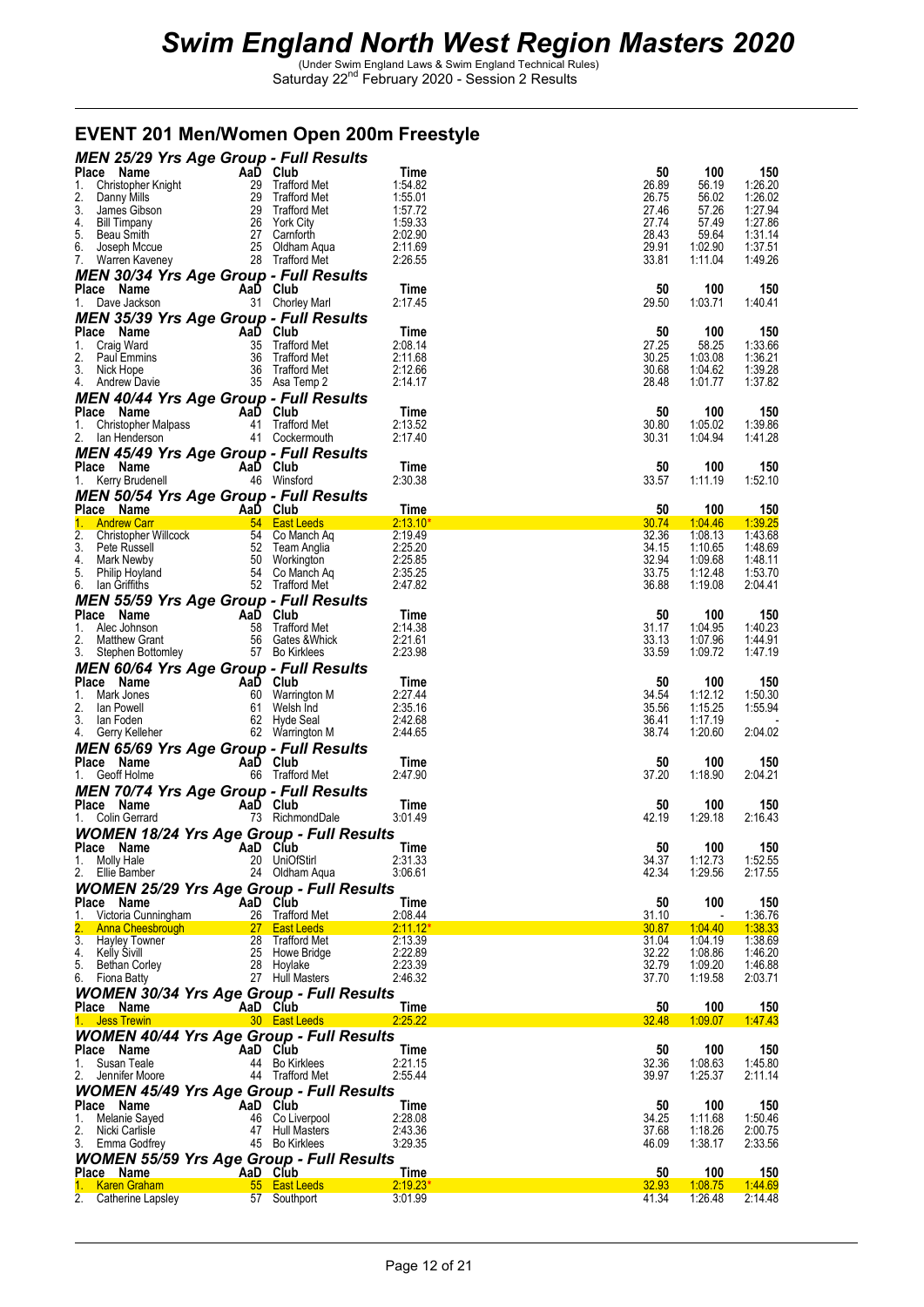#### **EVENT 201 Men/Women Open 200m Freestyle**

| <b>MEN 25/29 Yrs Age Group - Full Results</b>                                                                                                                                                                                                                                |                        |                                    |                    |                |    |                                          |
|------------------------------------------------------------------------------------------------------------------------------------------------------------------------------------------------------------------------------------------------------------------------------|------------------------|------------------------------------|--------------------|----------------|----|------------------------------------------|
| Place Manne Christopher Knight<br>2. Danny Mills<br>2. Danny Mills<br>2. Danny Mills<br>2. Danny Mills<br>2. Danny Mills<br>2. Danny Mills<br>2. Danny Mills<br>2. Trafford Met<br>4. Bill Timpany<br>5. Beau Smith<br>6. Joseph Mccue<br>7. Waren Kav                       |                        |                                    | Time               |                | 50 | 100<br>150                               |
|                                                                                                                                                                                                                                                                              |                        |                                    | 1:54.82            | 26.89<br>26.75 |    | 56.19<br>1:26.20<br>1:26.02              |
|                                                                                                                                                                                                                                                                              |                        |                                    | 1:55.01<br>1:57.72 | 27.46          |    | 56.02<br>57.26<br>1:27.94                |
|                                                                                                                                                                                                                                                                              |                        |                                    | 1:59.33            | 27.74          |    | 1:27.86<br>57.49                         |
|                                                                                                                                                                                                                                                                              |                        |                                    | 2:02.90            | 28.43          |    | 59.64<br>1:31.14                         |
|                                                                                                                                                                                                                                                                              |                        |                                    | 2:11.69            | 29.91          |    | 1:02.90<br>1:37.51                       |
|                                                                                                                                                                                                                                                                              |                        |                                    | 2:26.55            | 33.81          |    | 1:11.04<br>1:49.26                       |
| <b>MEN 30/34 Yrs Age Group - Full Results</b>                                                                                                                                                                                                                                |                        |                                    |                    |                |    |                                          |
| Place Name                                                                                                                                                                                                                                                                   | Aa $\overline{D}$ Club |                                    | Time               |                | 50 | 100<br>150                               |
| 1. Dave Jackson                                                                                                                                                                                                                                                              |                        | 31 Chorley Marl                    | 2:17.45            | 29.50          |    | 1:03.71<br>1:40.41                       |
| <b>MEN 35/39 Yrs Age Group - Full Results</b>                                                                                                                                                                                                                                |                        |                                    |                    |                |    |                                          |
| Place Name<br>1. Craig Ward<br>2. Paul Emmins<br>3. Nick Hope<br>4. Andrew Davie<br>2. Paul Emmins<br>3. Nick Hope<br>4. Andrew Davie<br>2. Paul Emmins<br>3. Signal Andrew Davie<br>2. Paul Emmins<br>3. Signal Andrew Davie                                                |                        |                                    | Time               |                | 50 | 100<br>150                               |
|                                                                                                                                                                                                                                                                              |                        |                                    | 2:08.14            | 27.25          |    | 1:33.66<br>58.25                         |
|                                                                                                                                                                                                                                                                              |                        |                                    | 2:11.68            | 30.25          |    | 1:03.08<br>1:36.21                       |
|                                                                                                                                                                                                                                                                              |                        |                                    | 2:12.66<br>2:14.17 | 30.68<br>28.48 |    | 1:39.28<br>1:04.62<br>1:01.77<br>1:37.82 |
|                                                                                                                                                                                                                                                                              |                        |                                    |                    |                |    |                                          |
| <b>MEN 40/44 Yrs Age Group - Full Results</b>                                                                                                                                                                                                                                | AaD Club               |                                    |                    |                |    |                                          |
| Place Name                                                                                                                                                                                                                                                                   |                        |                                    | Time<br>2:13.52    | 30.80          | 50 | 100<br>150<br>1:05.02<br>1:39.86         |
| 1. Christopher Malpass 41 Trafford Met<br>2. Ian Henderson 41 Cockermouth                                                                                                                                                                                                    |                        |                                    | 2:17.40            | 30.31          |    | 1:41.28<br>1:04.94                       |
|                                                                                                                                                                                                                                                                              |                        |                                    |                    |                |    |                                          |
| <b>MEN 45/49 Yrs Age Group - Full Results<br/>Place Name AaD Club</b>                                                                                                                                                                                                        |                        |                                    | Time               |                | 50 | 100<br>150                               |
| 1. Kerry Brudenell                                                                                                                                                                                                                                                           |                        | 46 Winsford                        | 2:30.38            | 33.57          |    | 1:11.19<br>1:52.10                       |
|                                                                                                                                                                                                                                                                              |                        |                                    |                    |                |    |                                          |
| <b>MEN 50/54 Yrs Age Group - Full Results</b>                                                                                                                                                                                                                                |                        |                                    |                    |                |    |                                          |
| <b>Prince Name Prince Name Capture 1.1 Andrew Carrel 1. Andrew Carrel 1. Andrew Carrel 1. Andrew Carrel 1. Andrew Carrel 1. Andrew Capture 1.1 Andrew Capture 1.1 Andrew Capture 1.1 Andrew Capture 1.1 Andrew Capture 1.1 Andre</b>                                         |                        |                                    | Time<br>$2:13.10*$ | 30.74          | 50 | 100<br><u> 150</u><br>1:39.25<br>1:04:46 |
|                                                                                                                                                                                                                                                                              |                        |                                    | 2:19.49            | 32.36          |    | 1:08.13<br>1:43.68                       |
|                                                                                                                                                                                                                                                                              |                        |                                    | 2:25.20            | 34.15          |    | 1:10.65<br>1:48.69                       |
|                                                                                                                                                                                                                                                                              |                        |                                    | 2:25.85            | 32.94          |    | 1:09.68<br>1:48.11                       |
|                                                                                                                                                                                                                                                                              |                        |                                    | 2:35.25            | 33.75          |    | 1:12.48<br>1:53.70                       |
|                                                                                                                                                                                                                                                                              |                        |                                    | 2:47.82            | 36.88          |    | 1:19.08<br>2:04.41                       |
| <b>MEN 55/59 Yrs Age Group - Full Results<br/> Place Name<br/> 1. Alec Johnson<br/> 2. Matthew Grant<br/> 3. Stephen Bottomley<br/> 1. Stephen Bottomley<br/> 1. Stephen Bottomley<br/> 1. Stephen Bottomley<br/> 1. Stephen Bottomley<br/> 1. Bo Kirklees<br/> 1. Bo Ki</b> |                        |                                    |                    |                |    |                                          |
|                                                                                                                                                                                                                                                                              |                        |                                    | Time               |                | 50 | 100<br>150                               |
|                                                                                                                                                                                                                                                                              |                        |                                    | 2:14.38            | 31.17          |    | 1:40.23<br>1:04.95                       |
|                                                                                                                                                                                                                                                                              |                        |                                    | 2:21.61            | 33.13          |    | 1:07.96<br>1:44.91                       |
|                                                                                                                                                                                                                                                                              |                        |                                    |                    |                |    | 1:09.72<br>1:47.19                       |
|                                                                                                                                                                                                                                                                              |                        |                                    | 2:23.98            | 33.59          |    |                                          |
|                                                                                                                                                                                                                                                                              |                        |                                    |                    |                |    |                                          |
| <b>MEN 60/64 Yrs Age Group - Full Results</b>                                                                                                                                                                                                                                |                        |                                    | Time               |                | 50 | 100<br>150                               |
|                                                                                                                                                                                                                                                                              |                        |                                    | 2:27.44            | 34.54          |    | 1:12.12<br>1:50.30                       |
|                                                                                                                                                                                                                                                                              |                        |                                    | 2:35.16            | 35.56          |    | 1:15.25<br>1:55.94                       |
|                                                                                                                                                                                                                                                                              |                        |                                    | 2:42.68            | 36.41          |    | 1:17.19                                  |
| Place Name<br>1. Mark Jones<br>2. Ian Powell<br>3. Ian Foden<br>4. Gerry Kelleher<br>1. Mark Jones<br>2. Hyde Seal<br>4. Gerry Kelleher<br>2. Warrington M<br>4. Gerry Kelleher<br>2. Warrington M                                                                           |                        |                                    | 2:44.65            | 38.74          |    | 1:20.60<br>2:04.02                       |
|                                                                                                                                                                                                                                                                              |                        |                                    |                    |                |    |                                          |
| <b>MEN 65/69 Yrs Age Group - Full Results</b><br>Place Name                                                                                                                                                                                                                  | AaD Club               |                                    | Time               |                | 50 | 100<br>150                               |
| 1. Geoff Holme                                                                                                                                                                                                                                                               | $\sim$ $\sim$          | 66 Trafford Met                    | 2:47.90            | 37.20          |    | 1:18.90<br>2:04.21                       |
|                                                                                                                                                                                                                                                                              |                        |                                    |                    |                |    |                                          |
| <b>MEN 70/74 Yrs Age Group - Full Results</b><br>Place Name                                                                                                                                                                                                                  | AaD Club               |                                    | Time               |                | 50 | 100<br>150                               |
| 1. Colin Gerrard                                                                                                                                                                                                                                                             | and the sea            | 73 RichmondDale                    | 3:01.49            | 42.19          |    | 2:16.43<br>1:29.18                       |
|                                                                                                                                                                                                                                                                              |                        |                                    |                    |                |    |                                          |
| <b>WOMEN 18/24 Yrs Age Group - Full Results</b><br>Place Name                                                                                                                                                                                                                | AaD Club               |                                    | Time               |                | 50 | 100<br>150                               |
| 1. Molly Hale                                                                                                                                                                                                                                                                |                        | 20 UniOfStirl                      | 2:31.33            | 34.37          |    | 1:12.73<br>1:52.55                       |
| 2. Ellie Bamber                                                                                                                                                                                                                                                              |                        | 24 Oldham Aqua                     | 3:06.61            | 42.34          |    | 1:29.56<br>2:17.55                       |
| <b>WOMEN 25/29 Yrs Age Group - Full Results</b>                                                                                                                                                                                                                              |                        |                                    |                    |                |    |                                          |
| Place Name                                                                                                                                                                                                                                                                   | AaD Club               |                                    | Time               |                | 50 | 100<br>150                               |
| 1. Victoria Cunningham                                                                                                                                                                                                                                                       |                        | 26 Trafford Met                    | 2:08.44            | 31.10          |    | 1:36.76                                  |
| 2. Anna Cheesbrough                                                                                                                                                                                                                                                          |                        | 27 East Leeds                      | 2:11.12'           | <u>30.87</u>   |    | 1:38.33<br>1:04.40                       |
| 3. Hayley Towner                                                                                                                                                                                                                                                             |                        | 28 Trafford Met                    | 2:13.39            | 31.04          |    | 1:04.19<br>1:38.69                       |
| 4.<br>Kelly Sivill                                                                                                                                                                                                                                                           |                        | 25 Howe Bridge                     | 2:22.89            | 32.22          |    | 1:08.86<br>1:46.20                       |
| 5. Bethan Corley                                                                                                                                                                                                                                                             |                        | 28 Hoylake                         | 2:23.39            | 32.79          |    | 1:09.20<br>1:46.88                       |
| 6. Fiona Batty                                                                                                                                                                                                                                                               |                        | 27 Hull Masters                    | 2:46.32            | 37.70          |    | 2:03.71<br>1:19.58                       |
| <b>WOMEN 30/34 Yrs Age Group - Full Results</b>                                                                                                                                                                                                                              |                        |                                    |                    |                |    |                                          |
| Place Name                                                                                                                                                                                                                                                                   | AaD Club               |                                    | Time               |                | 50 | 100<br><u>150</u>                        |
| 1. Jess Trewin                                                                                                                                                                                                                                                               |                        | 30 East Leeds                      | 2:25.22            | 32.48          |    | 1.09.07<br><u>1:47.43</u>                |
| <b>WOMEN 40/44 Yrs Age Group - Full Results</b>                                                                                                                                                                                                                              |                        |                                    |                    |                |    |                                          |
| Place Name                                                                                                                                                                                                                                                                   |                        | AaD Club                           | Time               |                | 50 | 100<br>150                               |
| 1. Susan Teale                                                                                                                                                                                                                                                               |                        | 44 Bo Kirklees                     | 2:21.15<br>2:55.44 | 32.36<br>39.97 |    | 1:08.63<br>1:45.80<br>1:25.37            |
| 2. Jennifer Moore                                                                                                                                                                                                                                                            |                        | 44 Trafford Met                    |                    |                |    | 2:11.14                                  |
| <b>WOMEN 45/49 Yrs Age Group - Full Results</b>                                                                                                                                                                                                                              |                        |                                    |                    |                |    |                                          |
| Place Name                                                                                                                                                                                                                                                                   |                        | AaD Club                           | Time               |                | 50 | 100<br>150                               |
| 1. Melanie Sayed<br>2.<br>Nicki Carlisle                                                                                                                                                                                                                                     |                        | 46 Co Liverpool<br>47 Hull Masters | 2:28.08<br>2:43.36 | 34.25<br>37.68 |    | 1:11.68<br>1:50.46<br>1:18.26<br>2:00.75 |
|                                                                                                                                                                                                                                                                              |                        | 45 Bo Kirklees                     | 3:29.35            | 46.09          |    | 1:38.17<br>2:33.56                       |
| 3. Emma Godfrey                                                                                                                                                                                                                                                              |                        |                                    |                    |                |    |                                          |
| <b>WOMEN 55/59 Yrs Age Group - Full Results</b>                                                                                                                                                                                                                              |                        |                                    |                    |                |    |                                          |
| Place Name<br>1. Karen Graham                                                                                                                                                                                                                                                | AaD Club               | 55 East Leeds                      | Time<br>2:19.23'   | 32.93          | 50 | 100<br><u> 150</u><br>1:08.75<br>1:44.69 |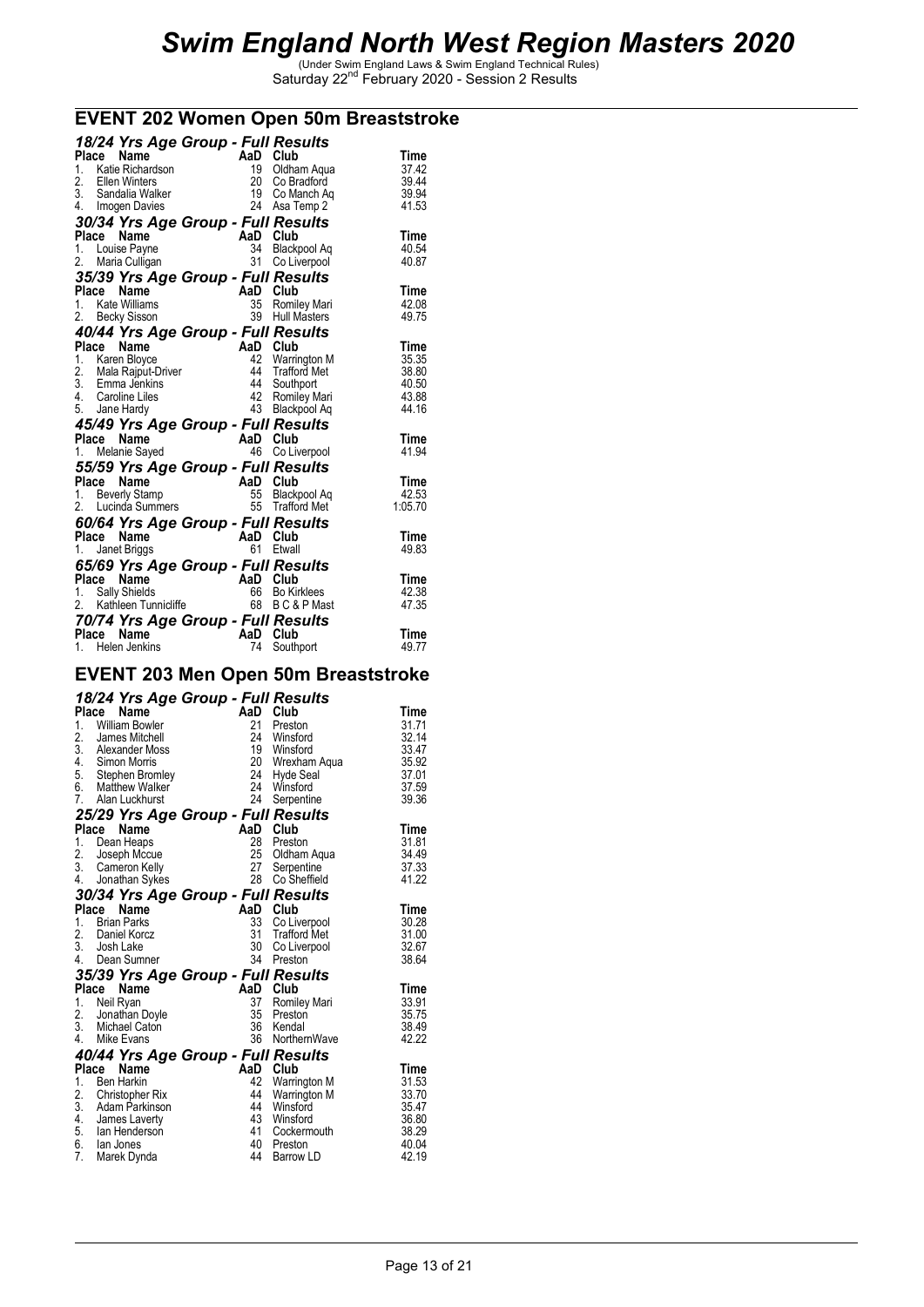#### **EVENT 202 Women Open 50m Breaststroke**

| 18/24 Yrs Age Group - Full Results                               |          |                              |                |
|------------------------------------------------------------------|----------|------------------------------|----------------|
| Name<br>Place                                                    | AaD Club |                              | Time           |
| $1_{-}$<br>Katie Richardson                                      |          | 19 Oldham Aqua               | 37.42          |
| 2. Ellen Winters                                                 |          | 20 Co Bradford               | 39.44          |
| 3. Sandalia Walker<br>4. Imogen Davies                           |          | 19 Co Manch Aq               | 39.94          |
|                                                                  |          | 24 Asa Temp 2                | 41.53          |
| 30/34 Yrs Age Group - Full Results                               |          |                              |                |
| Place<br>Name                                                    |          | AaD Club                     | Time           |
| 1. Louise Payne                                                  |          | 34 Blackpool Aq              | 40.54          |
| 2.<br>Maria Culligan                                             |          | 31 Co Liverpool              | 40.87          |
| 35/39 Yrs Age Group - Full Results                               |          |                              |                |
| Place<br>Name                                                    |          | AaD Club                     | Time           |
| 1. Kate Williams                                                 |          | 35 Romiley Mari              | 42.08          |
| 2.<br>Becky Sisson                                               | 39       | <b>Hull Masters</b>          | 49.75          |
| 40/44 Yrs Age Group - Full Results                               |          |                              |                |
| Place Name                                                       |          | AaD Club                     | Time           |
| 1. Karen Bloyce                                                  |          | 42 Warrington M              | 35.35          |
| 2. Mala Rajput-Driver                                            | 44       | 44 Trafford Met              | 38.80          |
| 3. Emma Jenkins                                                  |          | Southport<br>42 Romiley Mari | 40.50<br>43.88 |
| 4. Caroline Liles<br>5. Jane Hardy                               |          | 43 Blackpool Aq              | 44.16          |
|                                                                  |          |                              |                |
| 45/49 Yrs Age Group - Full Results<br>Place<br>Name              |          | AaD Club                     | Time           |
| an Sirika.<br>Mga kalendar<br>1. Melanie Sayed                   |          | 46 Co Liverpool              | 41.94          |
|                                                                  |          |                              |                |
| 55/59 Yrs Age Group - Full Results<br>Place<br>Name              |          | AaD Club                     | Time           |
| <b>Beverly Stamp</b><br>1.                                       |          | 55 Blackpool Aq              | 42.53          |
| 2. Lucinda Summers                                               |          | 55 Trafford Met              | 1:05.70        |
| 60/64 Yrs Age Group - Full Results                               |          |                              |                |
| Place<br>Name                                                    |          | AaD Club                     | Time           |
| Janet Briggs<br>1.                                               |          | 61 Etwall                    | 49.83          |
|                                                                  |          |                              |                |
| 65/69 Yrs Age Group - Full Results<br>Place<br>Name              |          | AaD Club                     | Time           |
|                                                                  |          | 66 Bo Kirklees               | 42.38          |
| <b>Place Name</b><br>1. Sally Shields<br>2. Kathleen Tunnicliffe |          | 68 BC&PMast                  | 47.35          |
| 70/74 Yrs Age Group - Full Results                               |          |                              |                |
| Place<br>Name                                                    |          | AaD Club                     | Time           |
| 1. Helen Jenkins                                                 | 74       | Southport                    | 49.77          |
|                                                                  |          |                              |                |

### **EVENT 203 Men Open 50m Breaststroke**

|              | 18/24 Yrs Age Group - Full Results      |     |                     |       |
|--------------|-----------------------------------------|-----|---------------------|-------|
| <b>Place</b> | Name                                    | AaD | Club                | Time  |
| 1.           | <b>William Bowler</b>                   | 21  | Preston             | 31.71 |
|              | 2. James Mitchell<br>3. Alexander Moss  | 24  | Winsford            | 32.14 |
|              |                                         | 19  | Winsford            | 33.47 |
|              | 4. Simon Morris                         | 20  | Wrexham Aqua        | 35.92 |
|              | 5. Stephen Bromley<br>6. Matthew Walker | 24  | Hyde Seal           | 37.01 |
|              |                                         | 24  | Winsford            | 37.59 |
|              | 7. Alan Luckhurst                       |     | 24 Serpentine       | 39.36 |
|              | 25/29 Yrs Age Group - Full Results      |     |                     |       |
| Place        | Name                                    | AaD | Club                | Time  |
| 1.           | Dean Heaps                              | 28  | Preston             | 31.81 |
| 2.           | Joseph Mccue                            | 25  | Oldham Aqua         | 34.49 |
| 3.           | Cameron Kelly                           | 27  | Serpentine          | 37.33 |
| 4.           | Jonathan Sykes                          |     | 28<br>Co Sheffield  | 41.22 |
|              | 30/34 Yrs Age Group - Full Results      |     |                     |       |
| <b>Place</b> | Name                                    | AaD | Club                | Time  |
| 1.           | <b>Brian Parks</b>                      | 33  | Co Liverpool        | 30.28 |
| 2.           | Daniel Korcz                            | 31  | <b>Trafford Met</b> | 31.00 |
|              | $\overline{3}$ . Josh Lake              | 30  | Co Liverpool        | 32.67 |
|              | 4. Dean Sumner                          | 34  | Preston             | 38.64 |
|              | 35/39 Yrs Age Group - Full Results      |     |                     |       |
|              | Place<br>Name                           |     | AaD Club            | Time  |
| 1.           | Neil Ryan                               | 37  | Romiley Mari        | 33.91 |
| 2.           | Jonathan Doyle                          | 35  | Preston             | 35.75 |
|              | 3. Michael Caton                        | 36  | Kendal              | 38.49 |
| 4.           | Mike Evans                              |     | 36 NorthernWave     | 42.22 |
|              | 40/44 Yrs Age Group - Full Results      |     |                     |       |
| Place        | Name                                    | AaD | Club                | Time  |
| 1.           | <b>Ben Harkin</b>                       | 42  | Warrington M        | 31.53 |
|              | 2. Christopher Rix<br>3. Adam Parkinson | 44  | <b>Warrington M</b> | 33.70 |
|              |                                         | 44  | Winsford            | 35.47 |
| 4.           | James Laverty                           | 43  | Winsford            | 36.80 |
|              | 5. Ian Henderson                        | 41  | Cockermouth         | 38.29 |
|              | 6. Ian Jones                            |     | 40 Preston          | 40.04 |
| 7.           | Marek Dynda                             | 44  | Barrow LD           | 42.19 |
|              |                                         |     |                     |       |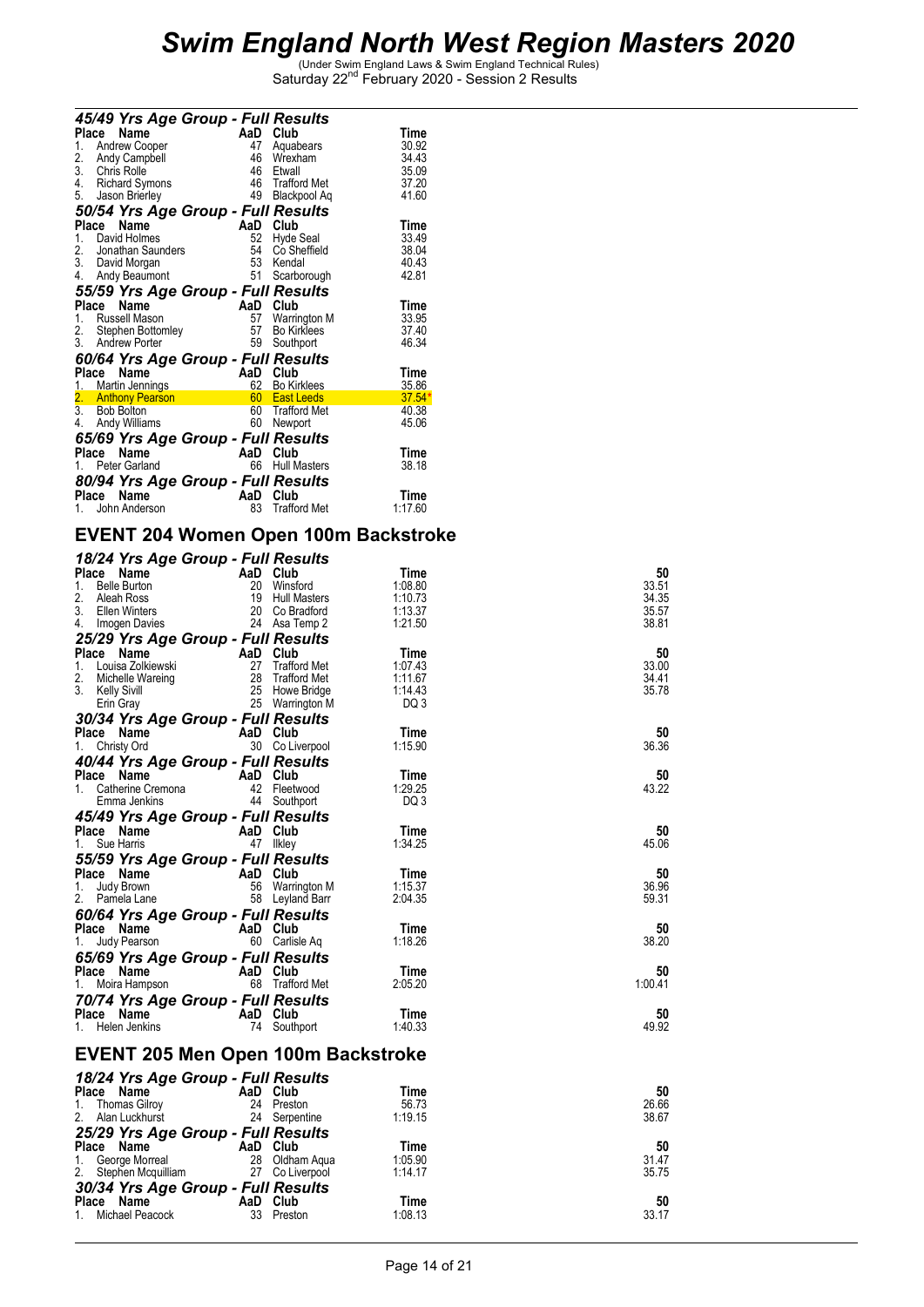| 45/49 Yrs Age Group - Full Results  |     |                     |         |
|-------------------------------------|-----|---------------------|---------|
| Place<br>Name                       | AaD | Club                | Time    |
| <b>Andrew Cooper</b><br>1.          | 47  | Aquabears           | 30.92   |
| $\frac{2}{3}$ .<br>Andy Campbell    | 46  | Wrexham             | 34.43   |
| Chris Rolle                         | 46  | Etwall              | 35.09   |
| 4. Richard Symons                   |     | 46 Trafford Met     | 37.20   |
| 5.<br>Jason Brierley                | 49  | Blackpool Aq        | 41.60   |
| 50/54 Yrs Age Group - Full Results  |     |                     |         |
| Name<br>Place                       | AaD | Club                | Time    |
| David Holmes<br>1.                  | 52  | Hyde Seal           | 33.49   |
| 2.<br>Jonathan Saunders             | 54  | Co Sheffield        | 38.04   |
| 3. David Morgan                     | 53  | Kendal              | 40.43   |
| 4.<br>Andy Beaumont                 | 51  | Scarborough         | 42.81   |
| 55/59 Yrs Age Group - Full Results  |     |                     |         |
| Place<br>Name                       | AaD | Club                | Time    |
| <b>Russell Mason</b><br>1.          | 57  | Warrington M        | 33.95   |
| 2. Stephen Bottomley                | 57  | <b>Bo Kirklees</b>  | 37.40   |
| 3.<br>Andrew Porter                 | 59  | Southport           | 46.34   |
| 60/64 Yrs Age Group - Full Results  |     |                     |         |
| Place<br>Name                       | AaD | Club                | Time    |
| 1. Martin Jennings                  | 62  | <b>Bo Kirklees</b>  | 35.86   |
| 2. Anthony Pearson<br>3. Bob Bolton |     | 60 East Leeds       | 37.54   |
|                                     |     | 60 Trafford Met     | 40.38   |
| 4.<br>Andy Williams                 | 60  | Newport             | 45.06   |
| 65/69 Yrs Age Group - Full Results  |     |                     |         |
| Place<br>Name                       | AaD | Club                | Time    |
| Peter Garland<br>1.                 | 66  | <b>Hull Masters</b> | 38.18   |
| 80/94 Yrs Age Group - Full Results  |     |                     |         |
| Place<br>Name                       | AaD | Club                | Time    |
| John Anderson<br>1.                 | 83  | <b>Trafford Met</b> | 1:17.60 |

### **EVENT 204 Women Open 100m Backstroke**

| 18/24 Yrs Age Group - Full Results                |          |                                 |                    |                |
|---------------------------------------------------|----------|---------------------------------|--------------------|----------------|
| Place Name                                        | AaD Club |                                 | Time               | 50             |
| <b>Belle Burton</b><br>1.                         |          | 20 Winsford                     | 1:08.80            | 33.51          |
| 2.<br>Aleah Ross                                  |          | 19 Hull Masters                 | 1:10.73            | 34.35          |
| 3.<br>Ellen Winters                               |          | 20 Co Bradford                  | 1:13.37            | 35.57          |
| 4. Imogen Davies                                  |          | 24 Asa Temp 2                   | 1:21.50            | 38.81          |
| 25/29 Yrs Age Group - Full Results                |          |                                 |                    |                |
| Place Name                                        | AaD Club |                                 | Time               | 50             |
| 1.<br>Louisa Zolkiewski<br>2.<br>Michelle Wareing | 27       | Trafford Met<br>28 Trafford Met | 1:07.43<br>1:11.67 | 33.00<br>34.41 |
| 3. Kelly Sivill                                   |          | 25 Howe Bridge                  | 1:14.43            | 35.78          |
| Erin Gray                                         |          | 25 Warrington M                 | DQ 3               |                |
| 30/34 Yrs Age Group - Full Results                |          |                                 |                    |                |
| Place Name                                        | AaD Club |                                 | Time               | 50             |
| Christy Ord<br>1.                                 |          | 30 Co Liverpool                 | 1:15.90            | 36.36          |
| 40/44 Yrs Age Group - Full Results                |          |                                 |                    |                |
| Place Name                                        | AaD Club |                                 | Time               | 50             |
| $1_{-}$<br>Catherine Cremona                      |          | 42 Fleetwood                    | 1:29.25            | 43.22          |
| Emma Jenkins                                      |          | 44 Southport                    | DQ 3               |                |
| 45/49 Yrs Age Group - Full Results                |          |                                 |                    |                |
| <b>Place Name</b><br>1 Sue Herris                 | AaD Club |                                 | Time               | 50             |
| 1. Sue Harris                                     |          | 47 Ilkley                       | 1:34.25            | 45.06          |
| 55/59 Yrs Age Group - Full Results                |          |                                 |                    |                |
| Place Name                                        | AaD Club |                                 | Time               | 50             |
| 1.<br>Judy Brown                                  |          | 56 Warrington M                 | 1:15.37            | 36.96          |
| 2.<br>Pamela Lane                                 |          | 58 Leyland Barr                 | 2:04.35            | 59.31          |
| 60/64 Yrs Age Group - Full Results                |          |                                 |                    |                |
| Place Name                                        | AaD Club |                                 | Time               | 50             |
| Judy Pearson<br>1.                                |          | 60 Carlisle Aq                  | 1:18.26            | 38.20          |
| 65/69 Yrs Age Group - Full Results                |          |                                 |                    |                |
| Place Name                                        | AaD Club |                                 | Time               | 50             |
| Moira Hampson<br>1.                               |          | 68 Trafford Met                 | 2:05.20            | 1:00.41        |
| 70/74 Yrs Age Group - Full Results                |          |                                 |                    |                |
| Place Name                                        | AaD Club |                                 | Time               | 50             |
| 1. Helen Jenkins                                  |          | 74 Southport                    | 1:40.33            | 49.92          |
|                                                   |          |                                 |                    |                |
| EVENT 205 Men Open 100m Backstroke                |          |                                 |                    |                |
| 18/24 Yrs Age Group - Full Results                |          |                                 |                    |                |
| Place Name                                        | AaD Club |                                 | Time               | 50             |
| 1.<br><b>Thomas Gilroy</b>                        |          | 24 Preston                      | 56.73              | 26.66          |
| 2.<br>Alan Luckhurst                              |          | 24 Serpentine                   | 1:19.15            | 38.67          |
| 25/29 Yrs Age Group - Full Results                |          |                                 |                    |                |
| Place Name                                        | AaD Club |                                 | Time               | 50             |
| George Morreal<br>1.                              |          | 28 Oldham Aqua                  | 1:05.90            | 31.47          |
| Stephen Mcquilliam<br>2.                          |          | 27 Co Liverpool                 | 1:14.17            | 35.75          |
| 30/34 Yrs Age Group - Full Results                |          |                                 |                    |                |
| Place Name                                        | AaD Club |                                 | Time               | 50             |
| Michael Peacock<br>1.                             |          | 33 Preston                      | 1:08.13            | 33.17          |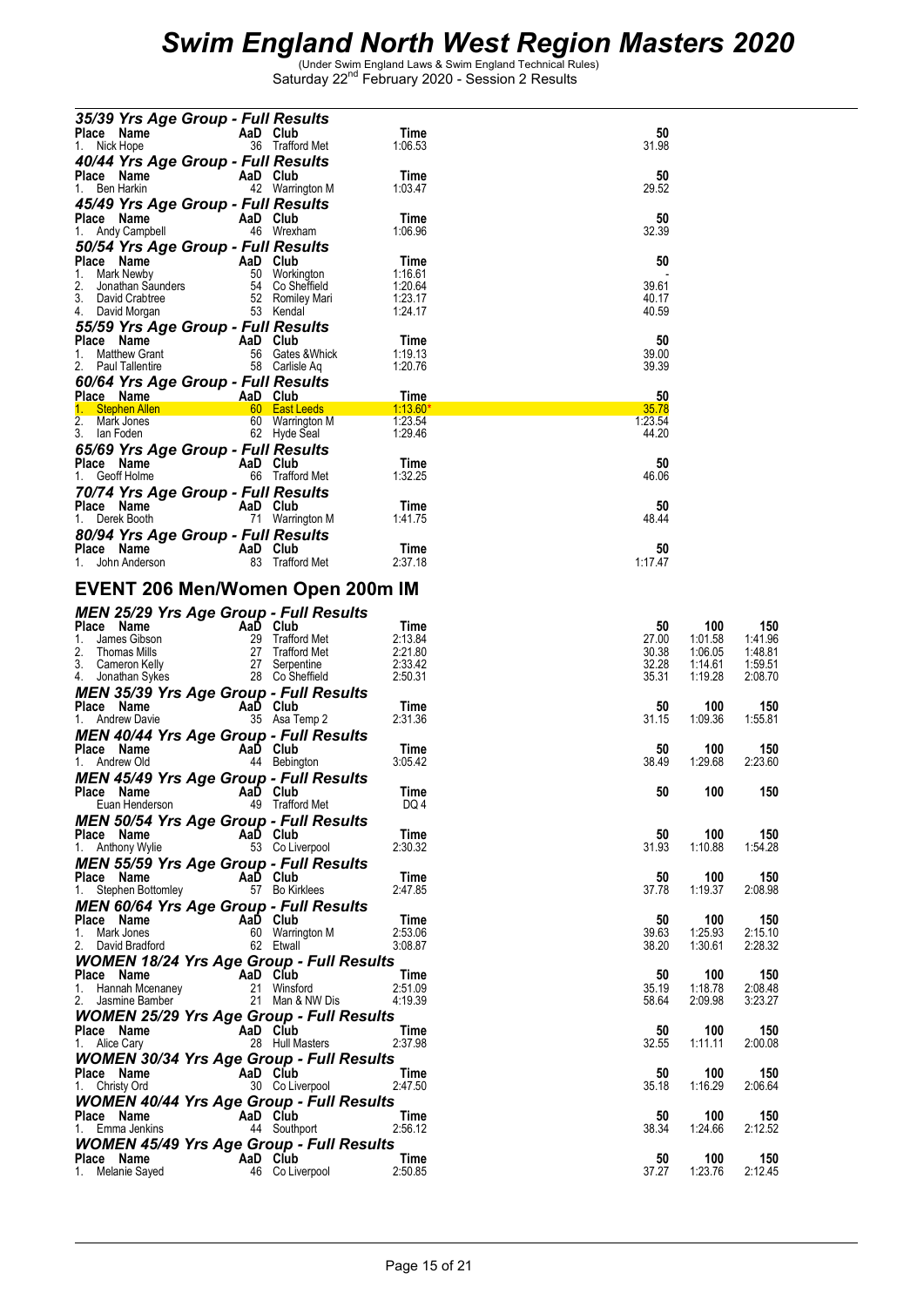| 35/39 Yrs Age Group - Full Results                                   |                                  |                    |                |                    |                    |
|----------------------------------------------------------------------|----------------------------------|--------------------|----------------|--------------------|--------------------|
| Place Name                                                           | AaD Club                         | Time               | 50             |                    |                    |
| 1. Nick Hope                                                         | 36 Trafford Met                  | 1:06.53            | 31.98          |                    |                    |
| 40/44 Yrs Age Group - Full Results<br>Place Name                     | AaD Club                         | Time               | 50             |                    |                    |
| 1. Ben Harkin                                                        | 42 Warrington M                  | 1:03.47            | 29.52          |                    |                    |
| 45/49 Yrs Age Group - Full Results                                   |                                  |                    |                |                    |                    |
| Place Name<br><b>Example 2</b> AaD Club                              |                                  | Time               | 50             |                    |                    |
| 1. Andy Campbell                                                     | 46 Wrexham                       | 1:06.96            | 32.39          |                    |                    |
| 50/54 Yrs Age Group - Full Results<br>Place Name                     |                                  | Time               | 50             |                    |                    |
| AaD Club<br>50 Workington<br>Inders 54 Co Sheffield<br>1. Mark Newby |                                  | 1:16.61            |                |                    |                    |
| 2.<br>Jonathan Saunders                                              |                                  | 1:20.64            | 39.61          |                    |                    |
| 3. David Crabtree<br>4. David Morgan                                 | 52 Romiley Mari<br>53 Kendal     | 1:23.17<br>1:24.17 | 40.17<br>40.59 |                    |                    |
| 55/59 Yrs Age Group - Full Results                                   |                                  |                    |                |                    |                    |
| Place Name<br><b>Example 2</b> AaD Club                              |                                  | Time               | 50             |                    |                    |
| 1.<br><b>Matthew Grant</b>                                           | 56 Gates & Whick                 | 1:19.13            | 39.00          |                    |                    |
| 2. Paul Tallentire                                                   | 58 Carlisle Aq                   | 1:20.76            | 39.39          |                    |                    |
| 60/64 Yrs Age Group - Full Results                                   |                                  | Time               | 50             |                    |                    |
| Place Name <b>AaD Club</b><br>1. Stephen Allen 1. 60 East Leeds      |                                  | $1:13.60*$         | 35.78          |                    |                    |
| 2. Mark Jones                                                        | 60 Warrington M                  | 1:23.54            | 1:23.54        |                    |                    |
| 3. Ian Foden                                                         | 62 Hyde Seal                     | 1.29.46            | 44.20          |                    |                    |
| 65/69 Yrs Age Group - Full Results                                   | AaD Club                         | Time               | 50             |                    |                    |
| <b>Place Name</b><br>1 Geoff Holme<br>1. Geoff Holme                 | 66 Trafford Met                  | 1:32.25            | 46.06          |                    |                    |
| 70/74 Yrs Age Group - Full Results                                   |                                  |                    |                |                    |                    |
| Place Name                                                           | AaD Club                         | Time               | 50             |                    |                    |
| 1. Derek Booth                                                       | 71 Warrington M                  | 1:41.75            | 48.44          |                    |                    |
| 80/94 Yrs Age Group - Full Results                                   | AaD Club                         | Time               | 50             |                    |                    |
| riace <b>Name</b><br>1. John Anderson                                | 83 Trafford Met                  | 2:37.18            | 1:17.47        |                    |                    |
|                                                                      |                                  |                    |                |                    |                    |
| EVENT 206 Men/Women Open 200m IM                                     |                                  |                    |                |                    |                    |
| <b>MEN 25/29 Yrs Age Group - Full Results</b>                        |                                  |                    |                |                    |                    |
| Place Name<br>AaD Club                                               |                                  | Time               | 50             | 100                | 150                |
| 1. James Gibson<br>2.<br>Thomas Mills                                | 29 Trafford Met                  | 2:13.84<br>2:21.80 | 27.00<br>30.38 | 1:01.58<br>1:06.05 | 1:41.96<br>1:48.81 |
| 3. Cameron Kelly                                                     | 27 Trafford Met<br>27 Serpentine | 2:33.42            | 32.28          | 1:14.61            | 1:59.51            |
| 4. Jonathan Sykes                                                    | 28 Co Sheffield                  | 2:50.31            | 35.31          | 1:19.28            | 2:08.70            |
| <b>MEN 35/39 Yrs Age Group - Full Results</b>                        |                                  |                    |                |                    |                    |
| Place Name<br>1. Andrew Davie                                        | AaD Club<br>35 Asa Temp 2        | Time<br>2:31.36    | 50<br>31.15    | 100<br>1.09.36     | 150<br>1:55.81     |
| <b>MEN 40/44 Yrs Age Group - Full Results</b>                        |                                  |                    |                |                    |                    |
| Place Name                                                           | AaD Club                         | Time               | 50             | 100                | 150                |
| 1. Andrew Old                                                        | 44 Bebington                     | 3:05.42            | 38.49          | 1:29.68            | 2:23.60            |
| <b>MEN 45/49 Yrs Age Group - Full Results</b><br>Place Name          | AaD Club                         | Time               | 50             | 100                | 150                |
| Euan Henderson                                                       | 49 Trafford Met                  | DQ 4               |                |                    |                    |
| <b>MEN 50/54 Yrs Age Group - Full Results</b>                        |                                  |                    |                |                    |                    |
| Place Name                                                           | AaD Club                         | Time               | 50             | 100                | 150                |
| 1. Anthony Wylie                                                     | 53 Co Liverpool                  | 2:30.32            | 31.93          | 1:10.88            | 1:54.28            |
| <b>MEN 55/59 Yrs Age Group - Full Results</b><br>Place Name          | AaD Club                         | Time               | 50             | 100                | 150                |
| 1. Stephen Bottomley                                                 | 57 Bo Kirklees                   | 2:47.85            | 37.78          | 1:19.37            | 2:08.98            |
| <b>MEN 60/64 Yrs Age Group - Full Results</b>                        |                                  |                    |                |                    |                    |
| Place Name<br>1. Mark Jones                                          | AaD Club<br>60 Warrington M      | Time<br>2:53.06    | 50<br>39.63    | 100<br>1:25.93     | 150<br>2:15.10     |
| 2. David Bradford                                                    | 62 Etwall                        | 3:08.87            | 38.20          | 1:30.61            | 2:28.32            |
| <b>WOMEN 18/24 Yrs Age Group - Full Results</b>                      |                                  |                    |                |                    |                    |
| AaD Club<br>Place Name                                               |                                  | Time               | 50             | 100                | 150                |
| 1. Hannah Mcenaney<br>2. Jasmine Bamber                              | 21 Winsford<br>21 Man & NW Dis   | 2:51.09<br>4:19.39 | 35.19<br>58.64 | 1:18.78<br>2:09.98 | 2:08.48<br>3:23.27 |
| <b>WOMEN 25/29 Yrs Age Group - Full Results</b>                      |                                  |                    |                |                    |                    |
| Place Name<br>AaD Club                                               |                                  | Time               | 50             | 100                | 150                |
| 1. Alice Cary                                                        | 28 Hull Masters                  | 2:37.98            | 32.55          | 1:11.11            | 2:00.08            |
| <b>WOMEN 30/34 Yrs Age Group - Full Results</b>                      | AaD Club                         | Time               | 50             | 100                | 150                |
| Place Name<br>1. Christy Ord                                         | 30 Co Liverpool                  | 2:47.50            | 35.18          | 1:16.29            | 2:06.64            |
| <b>WOMEN 40/44 Yrs Age Group - Full Results</b>                      |                                  |                    |                |                    |                    |
| Place Name                                                           |                                  |                    | 50             | 100                | 150                |
|                                                                      | AaD Club                         | Time               |                |                    |                    |
| 1. Emma Jenkins                                                      | 44 Southport                     | 2:56.12            | 38.34          | 1:24.66            | 2:12.52            |
| <b>WOMEN 45/49 Yrs Age Group - Full Results</b>                      |                                  |                    |                |                    |                    |
| AaD Club<br>Place Name<br>1. Melanie Sayed                           | 46 Co Liverpool                  | Time<br>2:50.85    | 50<br>37.27    | 100<br>1:23.76     | 150<br>2:12.45     |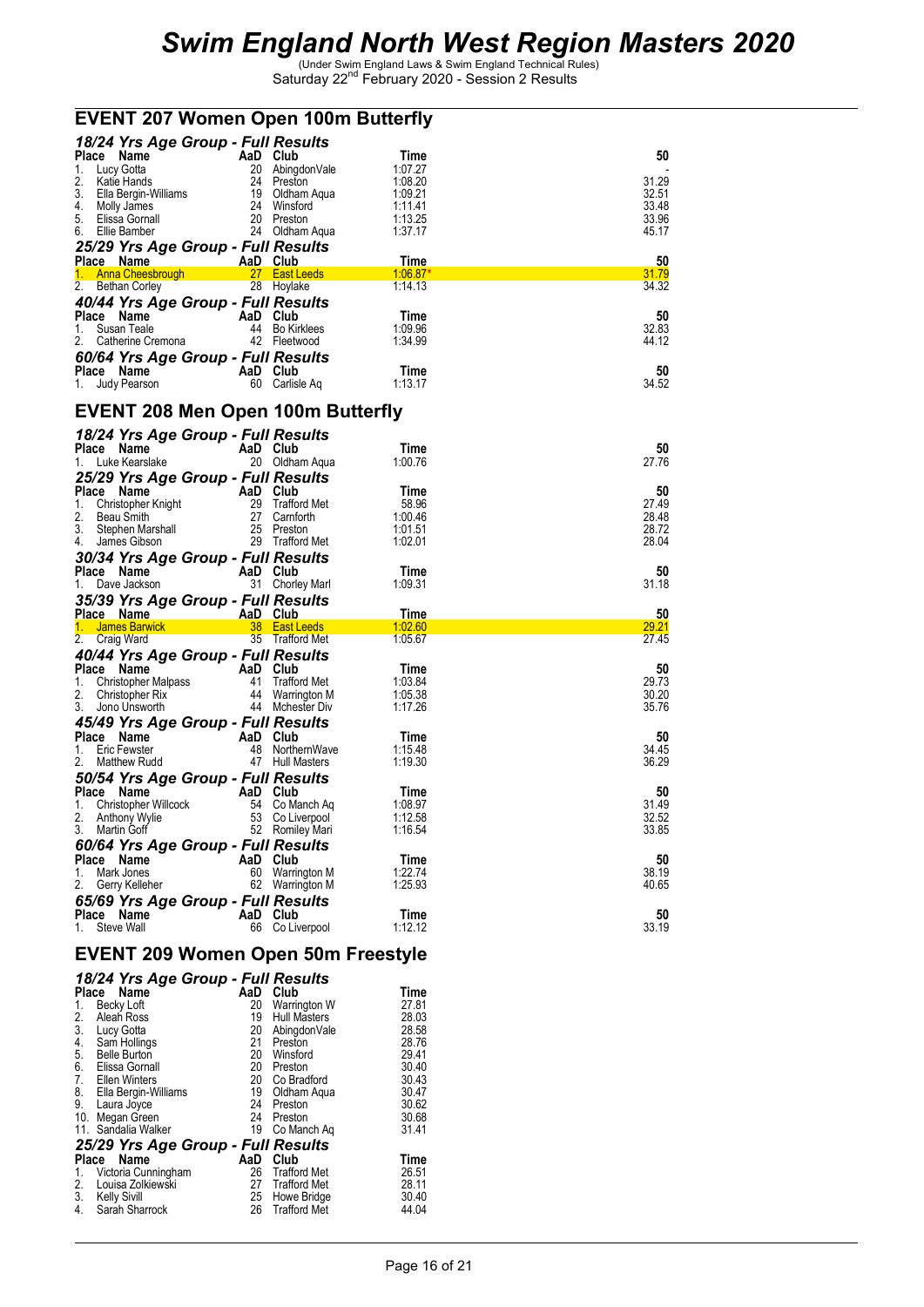| <b>EVENT 207 Women Open 100m Butterfly</b>                                                                                                                                                                                                               |          |                  |                    |                |  |
|----------------------------------------------------------------------------------------------------------------------------------------------------------------------------------------------------------------------------------------------------------|----------|------------------|--------------------|----------------|--|
| 18/24 Yrs Age Group - Full Results                                                                                                                                                                                                                       |          |                  |                    |                |  |
| Place Name                                                                                                                                                                                                                                               | AaD Club |                  | Time               | 50             |  |
|                                                                                                                                                                                                                                                          |          |                  | 1:07.27            |                |  |
|                                                                                                                                                                                                                                                          |          |                  | 1:08.20            | 31.29          |  |
|                                                                                                                                                                                                                                                          |          |                  | 1:09.21<br>1:11.41 | 32.51<br>33.48 |  |
|                                                                                                                                                                                                                                                          |          |                  | 1:13.25            | 33.96          |  |
| <b>Place Name</b><br>1. Lucy Gotta<br>2. Katie Hands<br>3. Ella Bergin-Williams<br>5. Ella Bergin-Williams<br>5. Elissa Gornall<br>6. Ellie Bamber<br>6. Ellie Bamber<br>24 Oldham Aqua<br>20 Preston<br>20 Preston<br>24 Oldham Aqua<br>6. Ellie Bamber |          | $24$ Oldham Aqua | 1:37.17            | 45.17          |  |
| 25/29 Yrs Age Group - Full Results                                                                                                                                                                                                                       |          |                  |                    |                |  |
| <b>Place Name Alexandria AaD Club</b><br>1. Anna Cheesbrough <b>1. Anna Cheesbrough 1. Anna Cheesbrough</b>                                                                                                                                              |          |                  | Time               | 50             |  |
|                                                                                                                                                                                                                                                          |          |                  | $1:06.87*$         | 31.79          |  |
| 2. Bethan Corley                                                                                                                                                                                                                                         |          | 28 Hoylake       | 1:14.13            | 34.32          |  |
| 40/44 Yrs Age Group - Full Results                                                                                                                                                                                                                       |          |                  |                    |                |  |
| <b>Place Name Community CAD Club</b><br>1. Susan Teale 44 Bo Kir<br>2. Catherine Cremona 42 Fleetw                                                                                                                                                       |          | $44$ Bo Kirklees | Time<br>1:09.96    | 50<br>32.83    |  |
|                                                                                                                                                                                                                                                          |          | 42 Fleetwood     | 1:34.99            | 44.12          |  |
| 60/64 Yrs Age Group - Full Results                                                                                                                                                                                                                       |          |                  |                    |                |  |
|                                                                                                                                                                                                                                                          |          |                  | Time               | 50             |  |
| <b>Place Name</b><br>1. Judy Pearson<br>1. Judy Pearson<br>1. Go Carlisl                                                                                                                                                                                 |          | 60 Carlisle Aq   | 1:13.17            | 34.52          |  |
|                                                                                                                                                                                                                                                          |          |                  |                    |                |  |
| <b>EVENT 208 Men Open 100m Butterfly</b>                                                                                                                                                                                                                 |          |                  |                    |                |  |
|                                                                                                                                                                                                                                                          |          |                  |                    |                |  |
| 18/24 Yrs Age Group - Full Results<br>Place Name                                                                                                                                                                                                         |          |                  | Time               | 50             |  |
| e <b>AaD Club</b><br>e 20 Oldham Aqua<br>1. Luke Kearslake                                                                                                                                                                                               |          |                  | 1:00.76            | 27.76          |  |
| 25/29 Yrs Age Group - Full Results                                                                                                                                                                                                                       |          |                  |                    |                |  |
|                                                                                                                                                                                                                                                          |          |                  | Time               | 50             |  |
|                                                                                                                                                                                                                                                          |          |                  | 58.96              | 27.49          |  |
| Place Name<br>1. Christopher Knight<br>2. Beau Smith<br>3. Stephen Marshall<br>4. James Gibson<br>2. Trafford Met<br>2. Beau Smith<br>2. Stephen Marshall<br>2. Trafford Met<br>2. Trafford Met                                                          |          |                  | 1:00.46            | 28.48          |  |
|                                                                                                                                                                                                                                                          |          |                  | 1:01.51            | 28.72          |  |
|                                                                                                                                                                                                                                                          |          |                  | 1:02.01            | 28.04          |  |
| 30/34 Yrs Age Group - Full Results                                                                                                                                                                                                                       |          |                  |                    |                |  |
| <b>Place Name Canadia AaD Club</b><br>1. Dave Jackson <b>Canadia A</b> 31 Chorley Marl                                                                                                                                                                   |          |                  | Time               | 50             |  |
|                                                                                                                                                                                                                                                          |          |                  | 1:09.31            | 31.18          |  |
| 35/39 Yrs Age Group - Full Results                                                                                                                                                                                                                       |          |                  |                    |                |  |
| Place Name AaD Club                                                                                                                                                                                                                                      |          |                  | Time               | 50<br>29.21    |  |
| 2. Craig Ward                                                                                                                                                                                                                                            |          | 35 Trafford Met  | 1:05.67            | 27.45          |  |
| 40/44 Yrs Age Group - Full Results                                                                                                                                                                                                                       |          |                  |                    |                |  |
|                                                                                                                                                                                                                                                          |          |                  | Time               | 50             |  |
|                                                                                                                                                                                                                                                          |          |                  | 1:03.84            | 29.73          |  |
| <b>Place Name AaD Club</b><br>1. Christopher Malpass 41 Trafford Met<br>2. Christopher Rix 44 Warrington M<br>3. Jono Unsworth 44 Mchester Div                                                                                                           |          |                  | 1:05.38            | 30.20          |  |
| 3. Jono Unsworth                                                                                                                                                                                                                                         |          | 44 Mchester Div  | 1:17.26            | 35.76          |  |
| 45/49 Yrs Age Group - Full Results                                                                                                                                                                                                                       |          |                  |                    |                |  |
| <b>Place Name Care AaD Club</b><br>1. Eric Fewster <b>1. Aan Adam Abdulus</b> 48 Northern Wave<br>2. Matthew Rudd 47 Hull Masters                                                                                                                        |          |                  | Time               | 50             |  |
| 2. Matthew Rudd                                                                                                                                                                                                                                          |          | 47 Hull Masters  | 1:15.48<br>1:19.30 | 34.45<br>36.29 |  |
|                                                                                                                                                                                                                                                          |          |                  |                    |                |  |
| 50/54 Yrs Age Group - Full Results<br>Place Name                                                                                                                                                                                                         | AaD Club |                  | Time               | 50             |  |
| 1. Christopher Willcock                                                                                                                                                                                                                                  |          | 54 Co Manch Ag   | 1:08.97            | 31.49          |  |
| 2.<br>Anthony Wylie                                                                                                                                                                                                                                      |          | 53 Co Liverpool  | 1:12.58            | 32.52          |  |
| 3.<br>Martin Goff                                                                                                                                                                                                                                        |          | 52 Romiley Mari  | 1:16.54            | 33.85          |  |
| <b>60/64 Yrs Age Group - Full Results</b>                                                                                                                                                                                                                |          |                  |                    |                |  |
| <b>Place</b><br>Name                                                                                                                                                                                                                                     | AaD Club |                  | Time               | 50             |  |
| Mark Jones<br>1.                                                                                                                                                                                                                                         |          | 60 Warrington M  | 1:22.74            | 38.19          |  |
| 2.<br>Gerry Kelleher                                                                                                                                                                                                                                     |          | 62 Warrington M  | 1:25.93            | 40.65          |  |
| 65/69 Yrs Age Group - Full Results                                                                                                                                                                                                                       |          |                  |                    |                |  |
| Place Name                                                                                                                                                                                                                                               | AaD Club |                  | Time               | 50             |  |
| Steve Wall<br>1.                                                                                                                                                                                                                                         |          | 66 Co Liverpool  | 1:12.12            | 33.19          |  |
| <b>EVENT 209 Women Open 50m Freestyle</b>                                                                                                                                                                                                                |          |                  |                    |                |  |
|                                                                                                                                                                                                                                                          |          |                  |                    |                |  |
| 18/24 Yrs Age Group - Full Results                                                                                                                                                                                                                       |          |                  |                    |                |  |

|       | $10/2 + 113$ Age Group - Tull Results |     |                     |       |
|-------|---------------------------------------|-----|---------------------|-------|
| Place | Name                                  | AaD | Club                | Time  |
| 1.    | Becky Loft                            | 20  | Warrington W        | 27.81 |
| 2.    | Aleah Ross                            | 19  | Hull Masters        | 28.03 |
| 3.    | Lucy Gotta                            | 20  | AbingdonVale        | 28.58 |
| 4.    | Sam Hollings                          | 21  | Preston             | 28.76 |
| 5.    | <b>Belle Burton</b>                   | 20  | Winsford            | 29.41 |
| 6.    | Elissa Gornall                        | 20  | Preston             | 30.40 |
| 7.    | Ellen Winters                         | 20  | Co Bradford         | 30.43 |
| 8.    | Ella Bergin-Williams                  | 19  | Oldham Aqua         | 30.47 |
| 9.    | Laura Joyce                           | 24  | Preston             | 30.62 |
| 10.   | Megan Green                           | 24  | Preston             | 30.68 |
|       | 11. Sandalia Walker                   | 19  | Co Manch Aq         | 31.41 |
|       | 25/29 Yrs Age Group - Full Results    |     |                     |       |
| Place | Name                                  | AaD | Club                | Time  |
| 1.    | Victoria Cunningham                   | 26  | <b>Trafford Met</b> | 26.51 |
| 2.    | Louisa Zolkiewski                     | 27  | <b>Trafford Met</b> | 28.11 |
| 3.    | Kelly Sivill                          | 25  | Howe Bridge         | 30.40 |
| 4.    | Sarah Sharrock                        | 26  | <b>Trafford Met</b> | 44.04 |
|       |                                       |     |                     |       |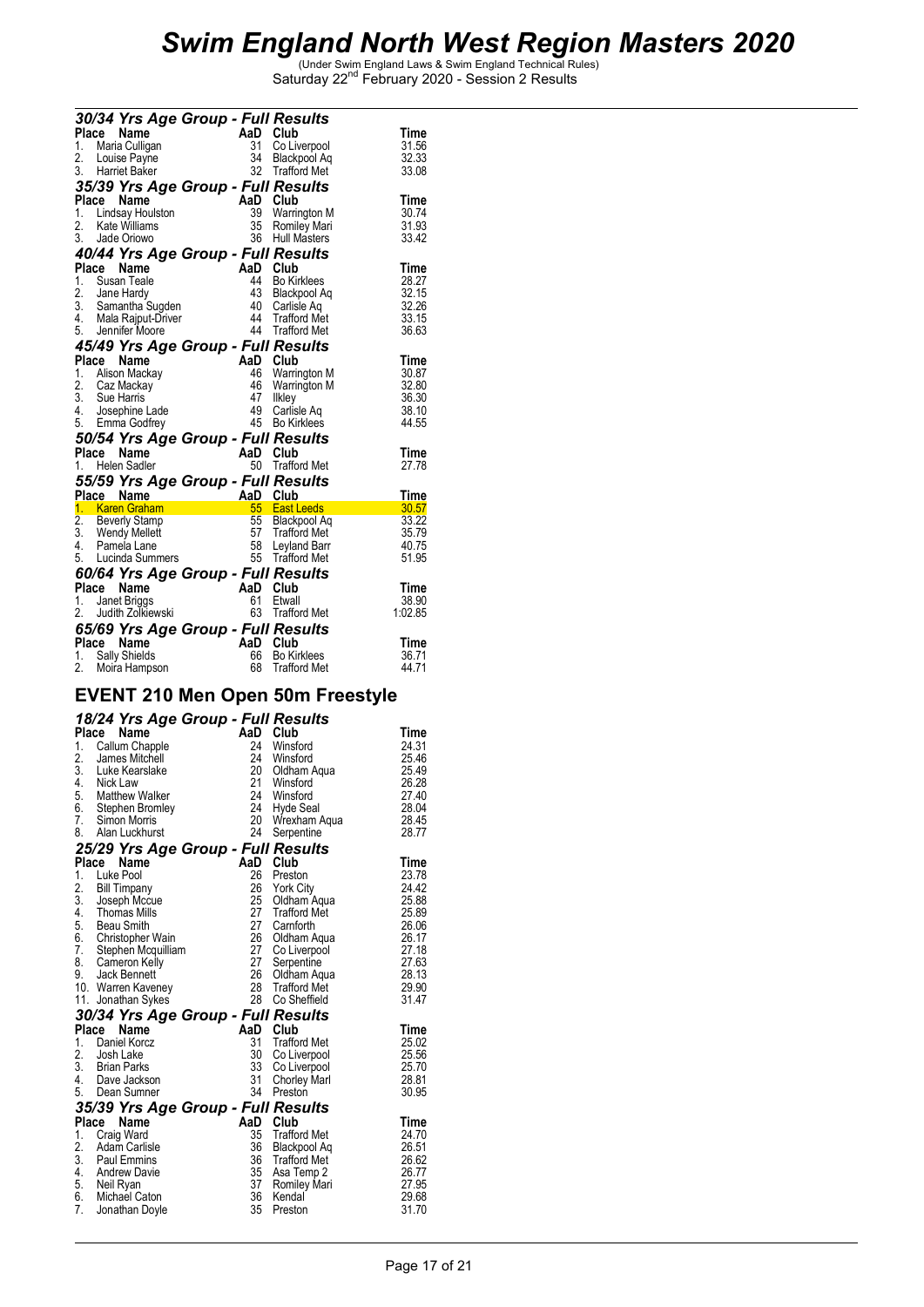|                  | 30/34 Yrs Age Group - Full Results<br>Place Name                                                             |          |                                             | Time        |
|------------------|--------------------------------------------------------------------------------------------------------------|----------|---------------------------------------------|-------------|
| 1.               | Maria Culligan                                                                                               |          | Co Liverpool                                | 31.56       |
| 2.               | AaD Club<br>31 Co Liv<br>34 Black<br>32 Traffo<br>Louise Payne                                               |          | 34 Blackpool Aq                             | 32.33       |
|                  | 3. Harriet Baker                                                                                             |          | 32 Trafford Met                             | 33.08       |
|                  | 35/39 Yrs Age Group - Full Results                                                                           |          |                                             |             |
|                  | And The Magnetics Contract Control Commission<br>1. Lindsay Houlston 39 Warrin<br>2. Kate Williams 35 Romile |          |                                             | Time        |
|                  |                                                                                                              |          | 39 Warrington M                             | 30.74       |
|                  |                                                                                                              |          | <b>Romiley Mari</b>                         | 31.93       |
|                  | 3. Jade Oriowo                                                                                               |          | 36 Hull Masters                             | 33.42       |
|                  | 40/44 Yrs Age Group - Full Results                                                                           |          |                                             |             |
|                  | Place Name                                                                                                   |          |                                             | <b>Time</b> |
|                  | 1. Susan Teale                                                                                               |          | <b>Bo Kirklees</b>                          | 28.27       |
|                  | 2. Jane Hardy                                                                                                |          | Blackpool Aq                                | 32.15       |
|                  |                                                                                                              |          |                                             | 32.26       |
|                  | 3. Samantha Sugden<br>4. Mala Rajput-Driver                                                                  |          |                                             | 33.15       |
|                  | 5. Jennifer Moore                                                                                            |          | 40 Canada<br>44 Trafford Met<br>11 Tonsults | 36.63       |
|                  | 45/49 Yrs Age Group - Full Results                                                                           |          |                                             |             |
|                  | Place<br>AaD Club<br>46 Warrin<br>Name                                                                       |          |                                             | Time        |
| 1.               | Alison Mackay                                                                                                |          | 46 Warrington M                             | 30.87       |
| 2.               | Caz Mackay                                                                                                   |          | 46 Warrington M                             | 32.80       |
|                  | 3. Sue Harris                                                                                                | 47       | Ilkley                                      | 36.30       |
| 4.               | Josephine Lade                                                                                               | 45       | 49 Carlisle Aq                              | 38.10       |
|                  | 5. Emma Godfrey                                                                                              |          | <b>Bo Kirklees</b>                          | 44.55       |
|                  | 50/54 Yrs Age Group - Full Results                                                                           |          |                                             |             |
|                  | Name<br>AaD Club<br>Place                                                                                    |          |                                             | Time        |
|                  | 1. Helen Sadler                                                                                              |          | 50 Trafford Met                             | 27.78       |
|                  | 55/59 Yrs Age Group - Full Results                                                                           |          |                                             |             |
|                  | Place Name                                                                                                   | AaD Club |                                             | Time        |
|                  | 1. Karen Graham<br>55 East Leeds<br>55 Blackpool Aq<br>57 Trafford Met<br>58 Leyland Barr<br>65 Trafford Met |          |                                             | 30.57       |
| $\overline{2}$ . | Beverly Stamp                                                                                                |          | Blackpool Aq                                | 33.22       |
|                  | 3. Wendy Mellett<br>4. Pamela Lane                                                                           |          |                                             | 35.79       |
|                  | 5. Lucinda Summers                                                                                           |          | 58 Leyland Barr                             | 40.75       |
|                  |                                                                                                              |          |                                             | 51.95       |
|                  | 60/64 Yrs Age Group - Full Results                                                                           |          |                                             |             |
|                  | AaD Club<br>61 Etwall<br>63 Traffo<br>Place Name                                                             |          |                                             | Time        |
|                  | 1. Janet Briggs                                                                                              |          | Etwall                                      | 38.90       |
|                  | 2. Judith Zolkiewski                                                                                         |          | 63 Trafford Met                             | 1:02.85     |
|                  | 65/69 Yrs Age Group - Full Results                                                                           |          |                                             |             |
|                  | Place Name                                                                                                   | AaD Club |                                             | Time        |
| 1.               | Sally Shields                                                                                                | 66       | <b>Bo Kirklees</b>                          | 36.71       |
| 2.               | Moira Hampson                                                                                                | 68       | <b>Trafford Met</b>                         | 44.71       |

#### **EVENT 210 Men Open 50m Freestyle**

|  |  | 18/24 Yrs Age Group - Full Results |
|--|--|------------------------------------|
|  |  |                                    |

|                  | 10/24 TIS Age Group - Full Results |          |                     |       |
|------------------|------------------------------------|----------|---------------------|-------|
|                  | Place<br>Name                      | AaD Club |                     | Time  |
| 1.               | Callum Chapple                     | 24       | Winsford            | 24.31 |
| 2.               | James Mitchell                     | 24       | Winsford            | 25.46 |
| $\overline{3}$ . | Luke Kearslake                     | 20       | Oldham Agua         | 25.49 |
| 4.               | Nick Law                           | 21       | Winsford            | 26.28 |
| 5.               | Matthew Walker                     | 24       | Winsford            | 27.40 |
| 6.               | Stephen Bromley                    |          | 24 Hyde Seal        | 28.04 |
| 7.               | Simon Morris                       |          | 20 Wrexham Aqua     | 28.45 |
| 8.               | Alan Luckhurst                     | 24       | Serpentine          | 28.77 |
|                  | 25/29 Yrs Age Group - Full Results |          |                     |       |
| <b>Place</b>     | Name                               | AaD      | Club                | Time  |
| 1.               | Luke Pool                          | 26       | Preston             | 23.78 |
| $\frac{2}{3}$ .  | <b>Bill Timpany</b>                | 26       | York City           | 24.42 |
|                  |                                    | 25       | Oldham Aqua         | 25.88 |
| 4.               | Joseph Mccue<br>Thomas Mills       | 27       | <b>Trafford Met</b> | 25.89 |
| 5.               | <b>Beau Smith</b>                  | 27       | Carnforth           | 26.06 |
| 6.               | Christopher Wain                   | 26       | Oldham Aqua         | 26.17 |
| 7.               | Stephen Mcquilliam                 | 27       | Co Liverpool        | 27.18 |
| 8.               | Cameron Kelly                      | 27       | Serpentine          | 27.63 |
| 9.               | Jack Bennett                       | 26       | Oldham Aqua         | 28.13 |
|                  | 10. Warren Kaveney                 |          | 28 Trafford Met     | 29.90 |
|                  | 11. Jonathan Sykes                 |          | 28 Co Sheffield     | 31.47 |
|                  | 30/34 Yrs Age Group - Full Results |          |                     |       |
| Place            | Name                               | AaD      | Club                | Time  |
| 1.               | Daniel Korcz                       | 31       | <b>Trafford Met</b> | 25.02 |
| 2.               | Josh Lake                          | 30       | Co Liverpool        | 25.56 |
|                  | 3. Brian Parks                     | 33       | Co Liverpool        | 25.70 |
|                  | 4. Dave Jackson                    | 31       | <b>Chorley Marl</b> | 28.81 |
| 5.               | Dean Sumner                        | 34       | Preston             | 30.95 |
|                  | 35/39 Yrs Age Group - Full Results |          |                     |       |
| Place            | <b>Name</b>                        | AaD Club |                     | Time  |
| 1.               | Craig Ward                         | 35       | <b>Trafford Met</b> | 24.70 |
| 2.               | Adam Carlisle                      | 36       | Blackpool Aq        | 26.51 |
| $\overline{3}$ . | Paul Emmins                        | 36       | <b>Trafford Met</b> | 26.62 |
| 4.               | Andrew Davie                       | 35       | Asa Temp 2          | 26.77 |
|                  | 5. Neil Ryan                       | 37       | Romiley Mari        | 27.95 |
|                  | 6. Michael Caton                   | 36       | Kendal              | 29.68 |
| 7.               | Jonathan Doyle                     | 35       | Preston             | 31.70 |
|                  |                                    |          |                     |       |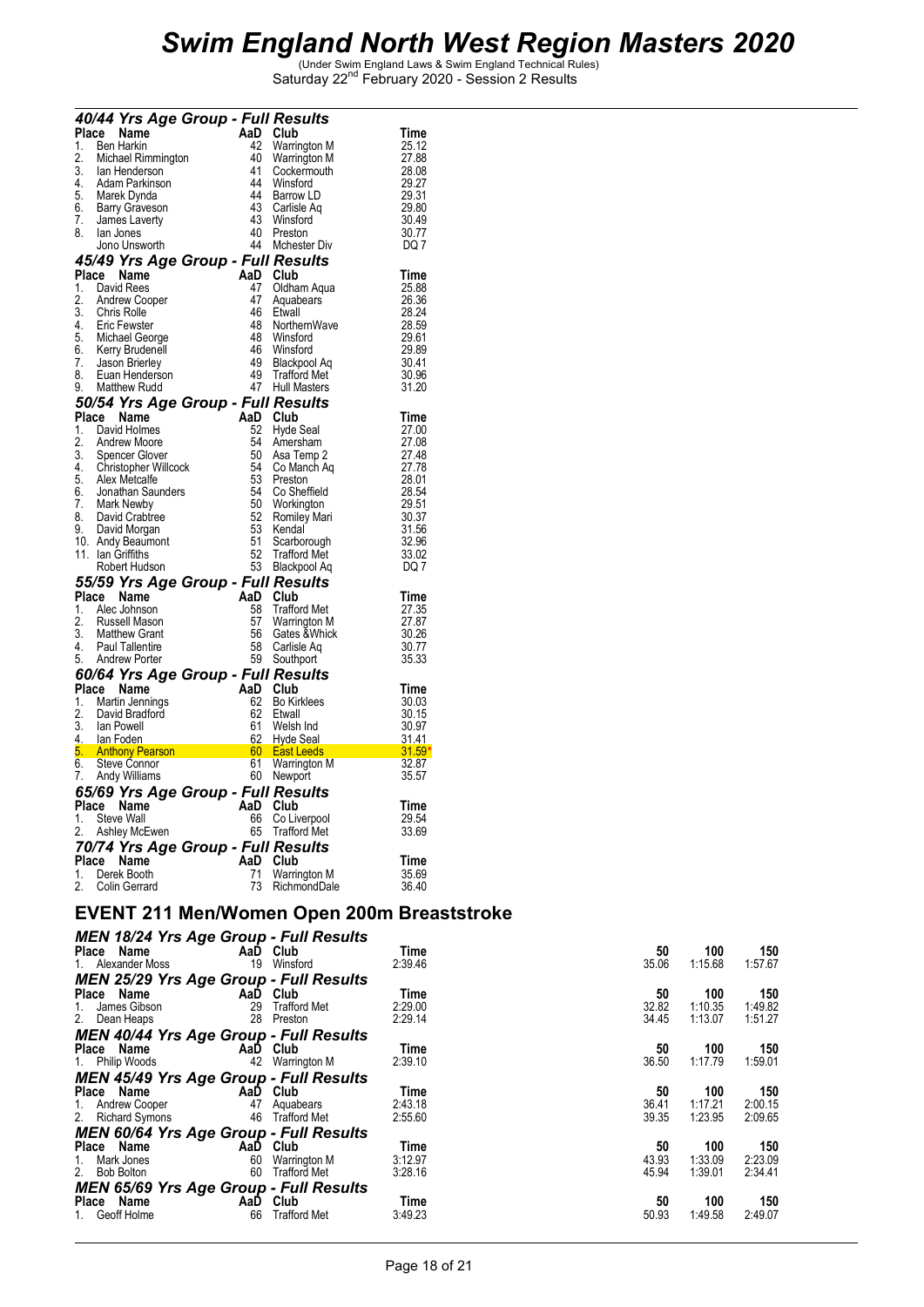|          |       | 40/44 Yrs Age Group - Full Results     |          |                                    |                               |                |
|----------|-------|----------------------------------------|----------|------------------------------------|-------------------------------|----------------|
|          |       | Place Name                             | AaD Club |                                    |                               | Time           |
| 1.       |       | <b>Ben Harkin</b>                      | 42       | <b>Warrington M</b>                |                               | 25.12          |
| 2.       |       | Michael Rimmington                     | 40       | Warrington M                       |                               | 27.88          |
| 3.<br>4. |       | lan Henderson                          | 41<br>44 | Cockermouth                        |                               | 28.08          |
| 5.       |       | Adam Parkinson                         | 44       | Winsford                           |                               | 29.27          |
| 6.       |       | Marek Dynda<br><b>Barry Graveson</b>   | 43       | Barrow LD<br>Carlisle Aq           |                               | 29.31<br>29.80 |
| 7.       |       | James Laverty                          | 43       | Winsford                           |                               | 30.49          |
| 8.       |       | lan Jones                              | 40       | Preston                            |                               | 30.77          |
|          |       | Jono Unsworth                          | 44       | Mchester Div                       |                               | DQ 7           |
|          |       | 45/49 Yrs Age Group - Full Results     |          |                                    |                               |                |
|          |       | Place Name                             | AaD Club |                                    |                               | <b>Time</b>    |
| 1.       |       | David Rees                             | 47       | Oldham Aqua                        |                               | 25.88          |
| 2.       |       | Andrew Cooper                          | 47       | Aquabears                          |                               | 26.36          |
| 3.       |       | <b>Chris Rolle</b>                     | 46       | Etwall                             |                               | 28.24          |
| 4.       |       | Eric Fewster                           | 48       | NorthernWave                       |                               | 28.59          |
| 5.       |       | Michael George                         | 48       | Winsford                           |                               | 29.61          |
| 6.       |       | Kerry Brudenell                        | 46       | Winsford                           |                               | 29.89          |
| 7.       |       | Jason Brierley                         | 49       | <b>Blackpool Aq</b>                |                               | 30.41          |
| 8.       |       | Euan Henderson                         |          | 49 Trafford Met<br>47 Hull Masters |                               | 30.96          |
| 9.       |       | Matthew Rudd                           |          |                                    |                               | 31.20          |
|          |       | 50/54 Yrs Age Group - Full Results     |          |                                    |                               |                |
| Place    |       | Name                                   | AaD Club |                                    |                               | Time           |
| 1.       |       | David Holmes                           | 52       | Hyde Seal                          |                               | 27.00          |
| 2.       |       | <b>Andrew Moore</b>                    | 54       | Amersham                           |                               | 27.08          |
| 3.<br>4. |       | Spencer Glover<br>Christopher Willcock | 50<br>54 | Asa Temp 2                         |                               | 27.48<br>27.78 |
| 5.       |       | Alex Metcalfe                          | 53       | Co Manch Aq<br>Preston             |                               | 28.01          |
| 6.       |       | Jonathan Saunders                      | 54       | Co Sheffield                       |                               | 28.54          |
| 7.       |       | Mark Newby                             | 50       | Workington                         |                               | 29.51          |
| 8.       |       | David Crabtree                         | 52       | Romiley Mari                       |                               |                |
| 9.       |       | David Morgan                           | 53       | Kendal                             |                               | 30.37<br>31.56 |
|          |       | 10. Andy Beaumont                      | 51       | Scarborough                        |                               | 32.96          |
|          |       | 11. Ian Griffiths                      | 52<br>53 | <b>Trafford Met</b>                |                               | 33.02          |
|          |       | Robert Hudson                          |          | Blackpool Aq                       |                               | DQ 7           |
|          |       | 55/59 Yrs Age Group - Full Results     |          |                                    |                               |                |
| Place    |       | Name                                   | AaD Club |                                    |                               | <b>Time</b>    |
| 1.       |       | Alec Johnson                           | 58       | <b>Trafford Met</b>                |                               | 27.35          |
| 2.       |       | Russell Mason                          | 57       | Warrington M                       |                               | 27.87          |
| 3.       |       | <b>Matthew Grant</b>                   | 56       | Gates & Whick                      |                               | 30.26          |
| 4.       |       | <b>Paul Tallentire</b>                 | 58       | Carlisle Aq                        |                               | 30.77          |
| 5.       |       | <b>Andrew Porter</b>                   |          | 59 Southport                       |                               | 35.33          |
|          |       | 60/64 Yrs Age Group - Full Results     |          |                                    |                               |                |
|          |       | Place Name                             | AaD Club |                                    |                               | Time           |
| 1.<br>2. |       | Martin Jennings<br>David Bradford      | 62<br>62 | <b>Bo Kirklees</b>                 |                               | 30.03          |
| 3.       |       | lan Powell                             | 61       | Etwall<br>Welsh Ind                |                               | 30.15<br>30.97 |
| 4.       |       | lan Foden                              |          | 62 Hyde Seal                       |                               | 31.41          |
| 5.       |       |                                        |          |                                    |                               |                |
| 6.       |       |                                        |          | Warrington M                       | <mark>31.59</mark><br>M 32.87 |                |
| 7.       |       | Andy Williams                          |          | 60 Newport                         |                               | 35.57          |
|          |       | 65/69 Yrs Age Group - Full Results     |          |                                    |                               |                |
|          |       | Place Name                             | AaD Club |                                    |                               | Time           |
| 1.       |       | Steve Wall                             | 66       | Co Liverpool                       |                               | 29.54          |
| 2.       |       | Ashley McEwen                          |          | 65 Trafford Met                    |                               | 33.69          |
|          |       | 70/74 Yrs Age Group - Full Results     |          |                                    |                               |                |
|          | Place | Name                                   | AaD      | Club                               |                               | Time           |
| 1.       |       | Derek Booth                            | 71       | Warrington M                       |                               | 35.69          |
| 2.       |       | Colin Gerrard                          | 73       | RichmondDale                       |                               | 36.40          |
|          |       |                                        |          |                                    |                               |                |
|          |       |                                        |          |                                    | nnn.                          | . n            |

### **EVENT 211 Men/Women Open 200m Breaststroke**

| <b>MEN 18/24 Yrs Age Group - Full Results</b> |                     |         |       |         |         |
|-----------------------------------------------|---------------------|---------|-------|---------|---------|
| Place Name<br>AaD                             | Club                | Time    | 50    | 100     | 150     |
| 1. Alexander Moss<br>19                       | Winsford            | 2:39.46 | 35.06 | 1:15.68 | 1:57.67 |
| <b>MEN 25/29 Yrs Age Group - Full Results</b> |                     |         |       |         |         |
| Place Name<br>AaD                             | Club                | Time    | 50    | 100     | 150     |
| 29<br>James Gibson<br>1.                      | <b>Trafford Met</b> | 2:29.00 | 32.82 | 1:10.35 | 1:49.82 |
| 2. Dean Heaps<br>28                           | Preston             | 2:29.14 | 34.45 | 1:13.07 | 1:51.27 |
| <b>MEN 40/44 Yrs Age Group - Full Results</b> |                     |         |       |         |         |
| Place Name<br>AaD                             | Club                | Time    | 50    | 100     | 150     |
| 42<br>1. Philip Woods                         | Warrington M        | 2:39.10 | 36.50 | 1:17.79 | 1:59.01 |
| <b>MEN 45/49 Yrs Age Group - Full Results</b> |                     |         |       |         |         |
| Place Name<br>AaD                             | Club                | Time    | 50    | 100     | 150     |
| 47                                            | Aquabears           | 2:43.18 | 36.41 | 1:17.21 | 2:00.15 |
| 1. Andrew Cooper<br>2. Richard Symons<br>46   | <b>Trafford Met</b> | 2:55.60 | 39.35 | 1:23.95 | 2:09.65 |
| <b>MEN 60/64 Yrs Age Group - Full Results</b> |                     |         |       |         |         |
| Place Name<br>AaD                             | Club                | Time    | 50    | 100     | 150     |
| Mark Jones<br>60<br>1.                        | Warrington M        | 3:12.97 | 43.93 | 1:33.09 | 2:23.09 |
| 2. Bob Bolton<br>60                           | <b>Trafford Met</b> | 3:28.16 | 45.94 | 1:39.01 | 2:34.41 |
| <b>MEN 65/69 Yrs Age Group - Full Results</b> |                     |         |       |         |         |
| Place Name<br>AaD                             | Club                | Time    | 50    | 100     | 150     |
| 66<br>Geoff Holme                             | Trafford Met        | 3:49.23 | 50.93 | 1:49.58 | 2:49.07 |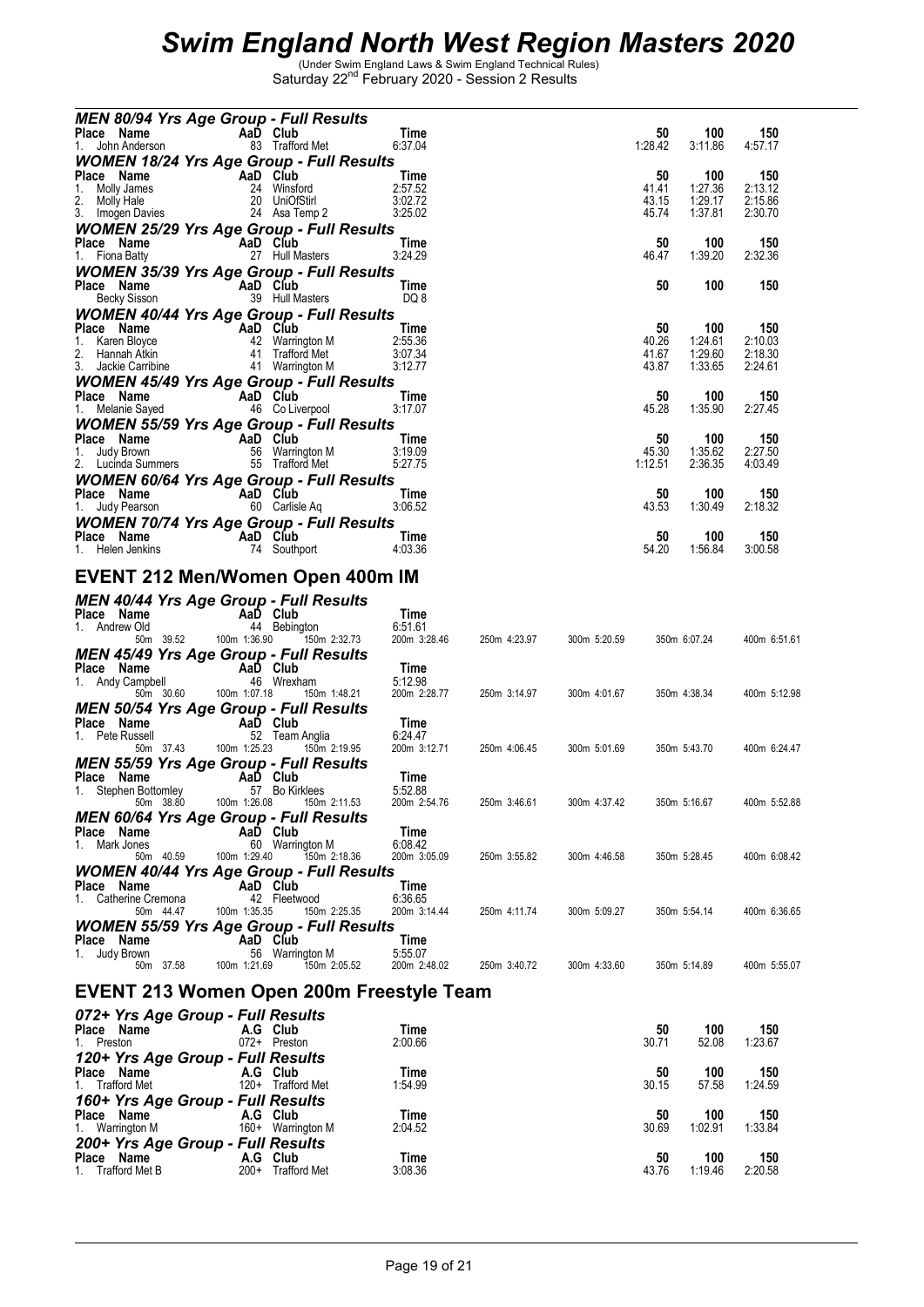| <b>MEN 80/94 Yrs Age Group - Full Results</b>                                                                                                                                                                                                          |                                 |                         |              |              |              |                |                |
|--------------------------------------------------------------------------------------------------------------------------------------------------------------------------------------------------------------------------------------------------------|---------------------------------|-------------------------|--------------|--------------|--------------|----------------|----------------|
| Place Name<br>AaD Club                                                                                                                                                                                                                                 |                                 | Time                    |              |              | 50           | 100            | 150            |
| 1. John Anderson                                                                                                                                                                                                                                       | 83 Trafford Met                 | 6:37.04                 |              |              | 1:28.42      | 3:11.86        | 4:57.17        |
| <b>WOMEN 18/24 Yrs Age Group - Full Results</b>                                                                                                                                                                                                        |                                 |                         |              |              |              |                |                |
| Place Name<br>$\overline{A}$ AaD Club                                                                                                                                                                                                                  |                                 | Time                    |              |              | 50           | 100            | 150            |
|                                                                                                                                                                                                                                                        | 24 Winsford                     | 2:57.52                 |              |              | 41.41        | 1:27.36        | 2:13.12        |
|                                                                                                                                                                                                                                                        |                                 | 3:02.72                 |              |              | 43.15        | 1:29.17        | 2:15.86        |
|                                                                                                                                                                                                                                                        |                                 | 3:25.02                 |              |              | 45.74        | 1:37.81        | 2:30.70        |
| <b>WOMEN 25/29 Yrs Age Group - Full Results</b>                                                                                                                                                                                                        |                                 |                         |              |              |              |                |                |
| Place Name<br>AaD Club<br>27 Hull Masters<br>1. Fiona Batty                                                                                                                                                                                            |                                 | Time<br>3:24.29         |              |              | 50<br>46.47  | 100<br>1:39.20 | 150<br>2:32.36 |
| <b>WOMEN 35/39 Yrs Age Group - Full Results</b>                                                                                                                                                                                                        |                                 |                         |              |              |              |                |                |
|                                                                                                                                                                                                                                                        |                                 | Time                    |              |              | 50           | 100            | 150            |
| <b>Place Name</b><br>Becky Sisson <b>29</b> Hull M                                                                                                                                                                                                     | 39 Hull Masters                 | DQ 8                    |              |              |              |                |                |
| <b>WOMEN 40/44 Yrs Age Group - Full Results</b>                                                                                                                                                                                                        |                                 |                         |              |              |              |                |                |
|                                                                                                                                                                                                                                                        |                                 | Time                    |              |              | 50           | 100            | 150            |
| <b>Place Name</b><br>1. Karen Bloyce<br>2. Hannah Atkin<br>2. Hannah Atkin<br>11 Trafford Met                                                                                                                                                          |                                 | 2:55.36                 |              |              | 40.26        | 1:24.61        | 2:10.03        |
|                                                                                                                                                                                                                                                        |                                 | 3:07.34                 |              |              | 41.67        | 1:29.60        | 2:18.30        |
| 2. Harinan Austrian (1998)<br>3. Jackie Carribine (1998) 41 Warrington M                                                                                                                                                                               |                                 | 3:12.77                 |              |              | 43.87        | 1:33.65        | 2:24.61        |
| <b>WOMEN 45/49 Yrs Age Group - Full Results</b>                                                                                                                                                                                                        |                                 |                         |              |              |              |                |                |
| <b>Place Name</b><br>1. Melanie Sayed <b>COLIVER</b> 46 CoLiverpool                                                                                                                                                                                    |                                 | Time                    |              |              | 50           | 100            | 150            |
|                                                                                                                                                                                                                                                        |                                 | 3:17.07                 |              |              | 45.28        | 1:35.90        | 2:27.45        |
| <b>WOMEN 55/59 Yrs Age Group - Full Results</b>                                                                                                                                                                                                        |                                 |                         |              |              |              |                |                |
|                                                                                                                                                                                                                                                        |                                 | Time<br>3:19.09         |              |              | 50<br>45.30  | 100<br>1:35.62 | 150<br>2:27.50 |
| Place Name<br>1. Judy Brown<br>1. Judy Brown<br>2. Lucidia Summers<br>2. Lucidia Summers<br>2. Lucidia Summers<br>2. Lucidia Summers<br>2. Lucidia Summers<br>2. Lucidia Summers<br>2. Lucidia Summers<br>2. Lucidia Summers<br>2. Lucidia Summers<br> |                                 | 5:27.75                 |              |              | 1:12.51      | 2:36.35        | 4:03.49        |
| <b>WOMEN 60/64 Yrs Age Group - Full Results</b>                                                                                                                                                                                                        |                                 |                         |              |              |              |                |                |
|                                                                                                                                                                                                                                                        |                                 | Time                    |              |              | 50           | 100            | 150            |
| 1. Judy Pearson                                                                                                                                                                                                                                        | 60 Carlisle Aq                  | 3:06.52                 |              |              | 43.53        | 1:30.49        | 2:18.32        |
| <b>WOMEN 70/74 Yrs Age Group - Full Results</b>                                                                                                                                                                                                        |                                 |                         |              |              |              |                |                |
| Place Name<br>1 Helen Jenkins 74 South                                                                                                                                                                                                                 |                                 | Time                    |              |              | 50           | 100            | 150            |
| 1. Helen Jenkins                                                                                                                                                                                                                                       | 74 Southport                    | 4:03.36                 |              |              | 54.20        | 1:56.84        | 3:00.58        |
|                                                                                                                                                                                                                                                        |                                 |                         |              |              |              |                |                |
| EVENT 212 Men/Women Open 400m IM                                                                                                                                                                                                                       |                                 |                         |              |              |              |                |                |
| <b>MEN 40/44 Yrs Age Group - Full Results</b>                                                                                                                                                                                                          |                                 |                         |              |              |              |                |                |
| Place Name<br><b>Example 2</b> AaD Club                                                                                                                                                                                                                |                                 | Time                    |              |              |              |                |                |
| 1. Andrew Old                                                                                                                                                                                                                                          | 44 Bebington                    | 6:51.61                 |              |              |              |                |                |
| 50m 39.52                                                                                                                                                                                                                                              | 100m 1:36.90 150m 2:32.73       | 200m 3:28.46            | 250m 4:23.97 | 300m 5:20.59 |              | 350m 6:07.24   | 400m 6:51.61   |
| <b>MEN 45/49 Yrs Age Group - Full Results</b>                                                                                                                                                                                                          |                                 |                         |              |              |              |                |                |
| Place Name<br>$AaD$ Club                                                                                                                                                                                                                               |                                 | Time                    |              |              |              |                |                |
| 1. Andy Campbell                                                                                                                                                                                                                                       | 46 Wrexham                      | 5:12.98                 |              |              |              |                |                |
| 50m 30.60 100m 1:07.18                                                                                                                                                                                                                                 | 150m 1:48.21                    | 200m 2:28.77            | 250m 3:14.97 | 300m 4:01.67 |              | 350m 4:38.34   | 400m 5:12.98   |
| <b>MEN 50/54 Yrs Age Group - Full Results</b><br>Place Name                                                                                                                                                                                            |                                 |                         |              |              |              |                |                |
| AaD Club<br>52 Team<br>1. Pete Russell                                                                                                                                                                                                                 | 52 Team Anglia                  | Time<br>6:24.47         |              |              |              |                |                |
| 50m 37.43 100m 1:25.23                                                                                                                                                                                                                                 | 150m 2:19.95                    | 200m 3:12.71            | 250m 4:06.45 | 300m 5:01.69 |              | 350m 5:43.70   | 400m 6:24.47   |
| <b>MEN 55/59 Yrs Age Group - Full Results</b>                                                                                                                                                                                                          |                                 |                         |              |              |              |                |                |
| Place Name<br>mley <b>AaD Club</b><br>mley 57 Bo Kirklees                                                                                                                                                                                              |                                 | Time                    |              |              |              |                |                |
| 1. Stephen Bottomley                                                                                                                                                                                                                                   |                                 | 5:52.88                 |              |              |              |                |                |
| 50m 38.80<br>100m 1:26.08                                                                                                                                                                                                                              | 150m 2:11.53                    | 200m 2:54.76            | 250m 3:46.61 | 300m 4:37.42 | 350m 5:16.67 |                | 400m 5:52.88   |
| <b>MEN 60/64 Yrs Age Group - Full Results</b>                                                                                                                                                                                                          |                                 |                         |              |              |              |                |                |
| Place<br>Name<br>AaD Club                                                                                                                                                                                                                              |                                 | Time                    |              |              |              |                |                |
| 1. Mark Jones<br>50m 40.59<br>100m 1:29.40                                                                                                                                                                                                             | 60 Warrington M<br>150m 2:18.36 | 6:08.42<br>200m 3:05.09 | 250m 3:55.82 | 300m 4:46.58 |              | 350m 5:28.45   | 400m 6:08.42   |
|                                                                                                                                                                                                                                                        |                                 |                         |              |              |              |                |                |
| <b>WOMEN 40/44 Yrs Age Group - Full Results</b><br>Place Name<br>AaD Club                                                                                                                                                                              |                                 | Time                    |              |              |              |                |                |
| Catherine Cremona<br>1.                                                                                                                                                                                                                                | 42 Fleetwood                    | 6:36.65                 |              |              |              |                |                |
| 100m 1:35.35<br>50m 44.47                                                                                                                                                                                                                              | 150m 2:25.35                    | 200m 3:14.44            | 250m 4:11.74 | 300m 5:09.27 |              | 350m 5:54.14   | 400m 6:36.65   |
| <b>WOMEN 55/59 Yrs Age Group - Full Results</b>                                                                                                                                                                                                        |                                 |                         |              |              |              |                |                |
| AaD Club<br>Place Name                                                                                                                                                                                                                                 |                                 | Time                    |              |              |              |                |                |
| 1. Judy Brown                                                                                                                                                                                                                                          | 56 Warrington M                 | 5:55.07                 |              |              |              |                |                |
| 100m 1:21.69<br>50m 37.58                                                                                                                                                                                                                              | 150m 2:05.52                    | 200m 2:48.02            | 250m 3:40.72 | 300m 4:33.60 |              | 350m 5:14.89   | 400m 5:55.07   |
|                                                                                                                                                                                                                                                        |                                 |                         |              |              |              |                |                |
| EVENT 213 Women Open 200m Freestyle Team                                                                                                                                                                                                               |                                 |                         |              |              |              |                |                |
| 072+ Yrs Age Group - Full Results                                                                                                                                                                                                                      |                                 |                         |              |              |              |                |                |
| Place Name                                                                                                                                                                                                                                             | A.G Club                        | Time                    |              |              | 50           | 100            | 150            |
| 1. Preston                                                                                                                                                                                                                                             | 072+ Preston                    | 2:00.66                 |              |              | 30.71        | 52.08          | 1:23.67        |
| 120+ Yrs Age Group - Full Results                                                                                                                                                                                                                      |                                 |                         |              |              |              |                |                |
| Place Name                                                                                                                                                                                                                                             | A.G Club                        | Time                    |              |              | 50           | 100            | 150            |
| Trafford Met<br>1.                                                                                                                                                                                                                                     | 120+ Trafford Met               | 1:54.99                 |              |              | 30.15        | 57.58          | 1:24.59        |
| 160+ Yrs Age Group - Full Results                                                                                                                                                                                                                      |                                 |                         |              |              |              |                |                |
| Place Name                                                                                                                                                                                                                                             | A.G Club                        | Time                    |              |              | 50           | 100            | 150            |
| 1. Warrington M                                                                                                                                                                                                                                        | 160+ Warrington M               | 2:04.52                 |              |              | 30.69        | 1:02.91        | 1:33.84        |
| 200+ Yrs Age Group - Full Results                                                                                                                                                                                                                      | A.G Club                        | Time                    |              |              | 50           | 100            |                |
| Place Name<br>1. Trafford Met B                                                                                                                                                                                                                        | 200+ Trafford Met               | 3:08.36                 |              |              | 43.76        | 1:19.46        | 150<br>2:20.58 |
|                                                                                                                                                                                                                                                        |                                 |                         |              |              |              |                |                |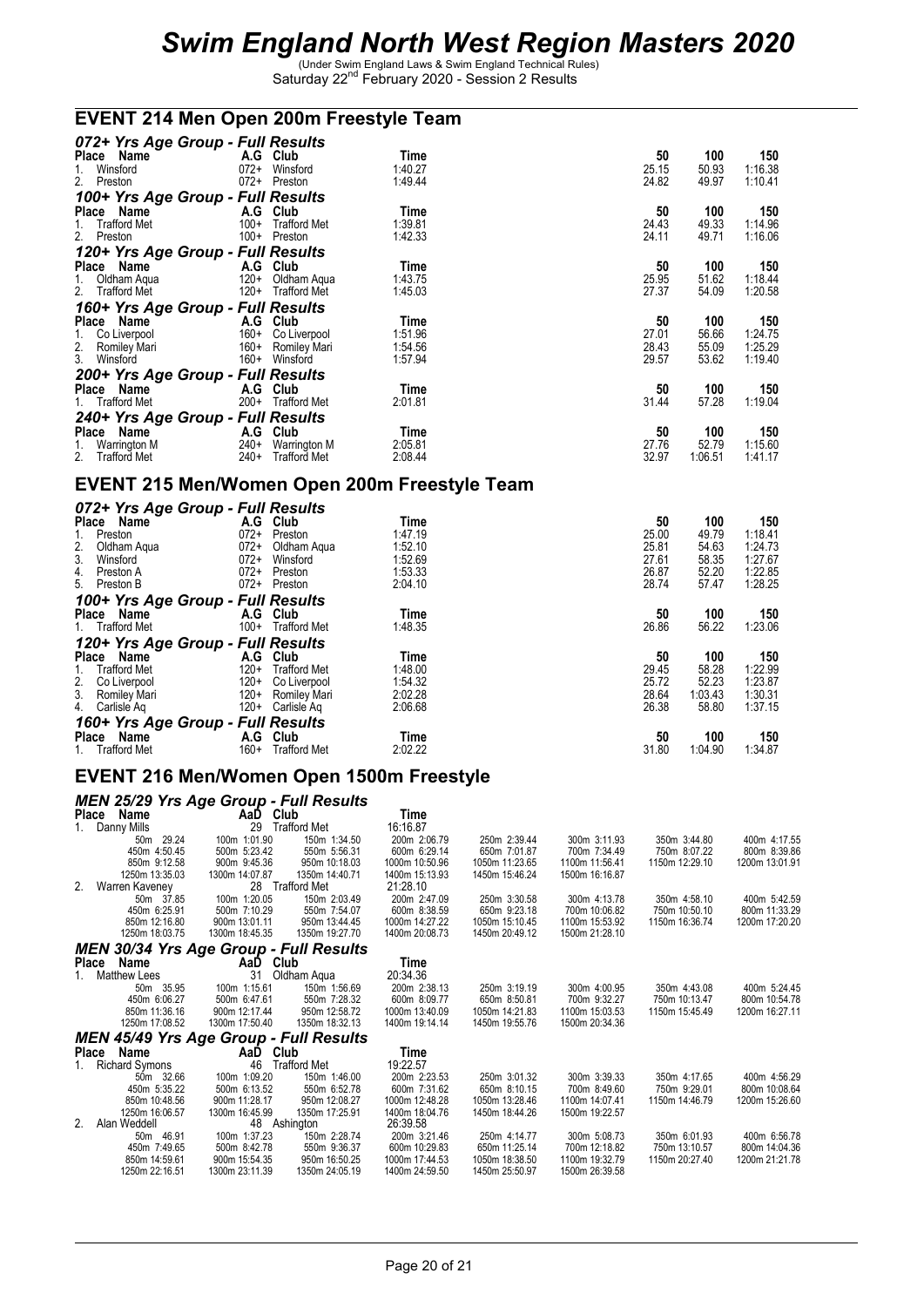### **EVENT 214 Men Open 200m Freestyle Team**

| 072+ Yrs Age Group - Full Results                           |                     |         |       |         |         |
|-------------------------------------------------------------|---------------------|---------|-------|---------|---------|
| Place Name                                                  | A.G Club            | Time    | 50    | 100     | 150     |
| Winsford<br>$072+$<br>1.                                    | Winsford            | 1:40.27 | 25.15 | 50.93   | 1:16.38 |
| 2. Preston<br>$072+$                                        | Preston             | 1:49.44 | 24.82 | 49.97   | 1:10.41 |
| 100+ Yrs Age Group - Full Results                           |                     |         |       |         |         |
| Place Name                                                  | A.G Club            | Time    | 50    | 100     | 150     |
| <b>Trafford Met</b><br>$100+$<br>1.                         | <b>Trafford Met</b> | 1:39.81 | 24.43 | 49.33   | 1:14.96 |
| 2. Preston<br>$100+$                                        | Preston             | 1:42.33 | 24.11 | 49.71   | 1:16.06 |
| 120+ Yrs Age Group - Full Results                           |                     |         |       |         |         |
| Place Name                                                  | A.G Club            | Time    | 50    | 100     | 150     |
| $120+$<br>Oldham Aqua                                       | Oldham Agua         | 1:43.75 | 25.95 | 51.62   | 1:18.44 |
| 1. Oldham Aqua<br>2. Trafford Met<br>$120+$                 | <b>Trafford Met</b> | 1:45.03 | 27.37 | 54.09   | 1:20.58 |
| 160+ Yrs Age Group - Full Results                           |                     |         |       |         |         |
| Place<br>Name                                               | A.G Club            | Time    | 50    | 100     | 150     |
| $160+$                                                      | Co Liverpool        | 1:51.96 | 27.01 | 56.66   | 1:24.75 |
| $160+$                                                      | Romiley Mari        | 1:54.56 | 28.43 | 55.09   | 1:25.29 |
| 1. Co Liverpool<br>2. Romiley Mari<br>3. Winsford<br>$160+$ | Winsford            | 1:57.94 | 29.57 | 53.62   | 1:19.40 |
| 200+ Yrs Age Group - Full Results                           |                     |         |       |         |         |
| Place Name<br>A.G                                           | Club                | Time    | 50    | 100     | 150     |
| 1. Trafford Met<br>$200+$                                   | <b>Trafford Met</b> | 2:01.81 | 31.44 | 57.28   | 1:19.04 |
| 240+ Yrs Age Group - Full Results                           |                     |         |       |         |         |
| Place<br>Name<br>A.G                                        | Club                | Time    | 50    | 100     | 150     |
| $240+$<br>Warrington M<br>1.                                | Warrington M        | 2:05.81 | 27.76 | 52.79   | 1:15.60 |
| 2.<br><b>Trafford Met</b><br>$240+$                         | <b>Trafford Met</b> | 2:08.44 | 32.97 | 1:06.51 | 1:41.17 |

#### **EVENT 215 Men/Women Open 200m Freestyle Team**

| 072+ Yrs Age Group - Full Results |        |                     |         |       |         |         |
|-----------------------------------|--------|---------------------|---------|-------|---------|---------|
| Place<br>Name                     |        | A.G Club            | Time    | 50    | 100     | 150     |
| Preston<br>1.                     | $072+$ | Preston             | 1:47.19 | 25.00 | 49.79   | 1:18.41 |
| $\frac{2}{3}$ .<br>Oldham Aqua    | $072+$ | Oldham Agua         | 1:52.10 | 25.81 | 54.63   | 1:24.73 |
| Winsford                          | $072+$ | Winsford            | 1:52.69 | 27.61 | 58.35   | 1:27.67 |
| 4.<br>Preston A                   | $072+$ | Preston             | 1:53.33 | 26.87 | 52.20   | 1:22.85 |
| 5. Preston B                      | $072+$ | Preston             | 2:04.10 | 28.74 | 57.47   | 1:28.25 |
| 100+ Yrs Age Group - Full Results |        |                     |         |       |         |         |
| Place<br>Name                     | A.G    | Club                | Time    | 50    | 100     | 150     |
| 1. Trafford Met                   | $100+$ | <b>Trafford Met</b> | 1:48.35 | 26.86 | 56.22   | 1:23.06 |
| 120+ Yrs Age Group - Full Results |        |                     |         |       |         |         |
| Place<br>Name                     | A.G    | Club                | Time    | 50    | 100     | 150     |
| <b>Trafford Met</b><br>1.         | $120+$ | <b>Trafford Met</b> | 1:48.00 | 29.45 | 58.28   | 1:22.99 |
| $\frac{2}{3}$ .<br>Co Liverpool   | $120+$ | Co Liverpool        | 1:54.32 | 25.72 | 52.23   | 1:23.87 |
| Romiley Mari                      | $120+$ | Romiley Mari        | 2:02.28 | 28.64 | 1:03.43 | 1:30.31 |
| 4. Carlisle Aq                    | $120+$ | Carlisle Ag         | 2:06.68 | 26.38 | 58.80   | 1:37.15 |
| 160+ Yrs Age Group - Full Results |        |                     |         |       |         |         |
| Name<br>Place                     | A.G    | Club                | Time    | 50    | 100     | 150     |
| 1. Trafford Met                   | $160+$ | <b>Trafford Met</b> | 2:02.22 | 31.80 | 1:04.90 | 1:34.87 |

#### **EVENT 216 Men/Women Open 1500m Freestyle**

|                    | <b>MEN 25/29 Yrs Age Group - Full Results</b> |                |                |                |                |                |
|--------------------|-----------------------------------------------|----------------|----------------|----------------|----------------|----------------|
| Place Name         | AaD Club                                      | Time           |                |                |                |                |
| Danny Mills<br>1.  | 29<br><b>Trafford Met</b>                     | 16:16.87       |                |                |                |                |
| 50m 29.24          | 100m 1:01.90<br>150m 1:34.50                  | 200m 2:06.79   | 250m 2:39.44   | 300m 3:11.93   | 350m 3:44.80   | 400m 4:17.55   |
| 450m 4:50.45       | 500m 5:23.42<br>550m 5:56.31                  | 600m 6:29.14   | 650m 7:01.87   | 700m 7:34.49   | 750m 8:07.22   | 800m 8:39.86   |
| 850m 9:12.58       | 900m 9:45.36<br>950m 10:18.03                 | 1000m 10:50.96 | 1050m 11:23.65 | 1100m 11:56.41 | 1150m 12:29.10 | 1200m 13:01.91 |
| 1250m 13:35.03     | 1300m 14:07.87<br>1350m 14:40.71              | 1400m 15:13.93 | 1450m 15:46.24 | 1500m 16:16.87 |                |                |
| 2. Warren Kaveney  | 28 Trafford Met                               | 21:28.10       |                |                |                |                |
| 50m 37.85          | 100m 1:20.05<br>150m 2:03.49                  | 200m 2:47.09   | 250m 3:30.58   | 300m 4:13.78   | 350m 4:58.10   | 400m 5:42.59   |
| 450m 6:25.91       | 500m 7:10.29<br>550m 7:54.07                  | 600m 8:38.59   | 650m 9:23.18   | 700m 10:06.82  | 750m 10:50.10  | 800m 11:33.29  |
| 850m 12:16.80      | 950m 13:44.45<br>900m 13:01.11                | 1000m 14:27.22 | 1050m 15:10.45 | 1100m 15:53.92 | 1150m 16:36.74 | 1200m 17:20.20 |
| 1250m 18:03.75     | 1300m 18:45.35<br>1350m 19:27.70              | 1400m 20:08.73 | 1450m 20:49.12 | 1500m 21:28.10 |                |                |
|                    | <b>MEN 30/34 Yrs Age Group - Full Results</b> |                |                |                |                |                |
| Place Name         | AaD Club                                      | Time           |                |                |                |                |
| Matthew Lees<br>1. | 31<br>Oldham Agua                             | 20:34.36       |                |                |                |                |
| 50m 35.95          | 100m 1:15.61<br>150m 1:56.69                  | 200m 2:38.13   | 250m 3:19.19   | 300m 4:00.95   | 350m 4:43.08   | 400m 5:24.45   |
| 450m 6:06.27       | 500m 6:47.61<br>550m 7:28.32                  | 600m 8:09.77   | 650m 8:50.81   | 700m 9:32.27   | 750m 10:13.47  | 800m 10:54.78  |
| 850m 11:36.16      | 900m 12:17.44<br>950m 12:58.72                | 1000m 13:40.09 | 1050m 14:21.83 | 1100m 15:03.53 | 1150m 15:45.49 | 1200m 16:27.11 |
| 1250m 17:08.52     | 1300m 17:50.40<br>1350m 18:32.13              | 1400m 19:14.14 | 1450m 19:55.76 | 1500m 20:34.36 |                |                |
|                    | MEN 45/49 Yrs Age Group - Full Results        |                |                |                |                |                |
| Place Name         | AaD Club                                      | Time           |                |                |                |                |
| 1. Richard Symons  | 46<br><b>Trafford Met</b>                     | 19:22.57       |                |                |                |                |
| 50m 32.66          | 100m 1:09.20<br>150m 1:46.00                  | 200m 2:23.53   | 250m 3:01.32   | 300m 3:39.33   | 350m 4:17.65   | 400m 4:56.29   |
| 450m 5:35.22       | 500m 6:13.52<br>550m 6:52.78                  | 600m 7:31.62   | 650m 8:10.15   | 700m 8:49.60   | 750m 9:29.01   | 800m 10:08.64  |
| 850m 10:48.56      | 900m 11:28.17<br>950m 12:08.27                | 1000m 12:48.28 | 1050m 13:28.46 | 1100m 14:07.41 | 1150m 14:46.79 | 1200m 15:26.60 |
| 1250m 16:06.57     | 1300m 16:45.99<br>1350m 17:25.91              | 1400m 18:04.76 | 1450m 18:44.26 | 1500m 19:22.57 |                |                |
| 2.<br>Alan Weddell | 48 Ashington                                  | 26:39.58       |                |                |                |                |
| 50m 46.91          | 100m 1:37.23<br>150m 2:28.74                  | 200m 3:21.46   | 250m 4:14.77   | 300m 5:08.73   | 350m 6:01.93   | 400m 6:56.78   |
| 450m 7:49.65       | 500m 8:42.78<br>550m 9:36.37                  | 600m 10:29.83  | 650m 11:25.14  | 700m 12:18.82  | 750m 13:10.57  | 800m 14:04.36  |
| 850m 14:59.61      | 900m 15:54.35<br>950m 16:50.25                | 1000m 17:44.53 | 1050m 18:38.50 | 1100m 19:32.79 | 1150m 20:27.40 | 1200m 21:21.78 |
| 1250m 22:16.51     | 1300m 23:11.39<br>1350m 24:05.19              | 1400m 24:59.50 | 1450m 25:50.97 | 1500m 26:39.58 |                |                |